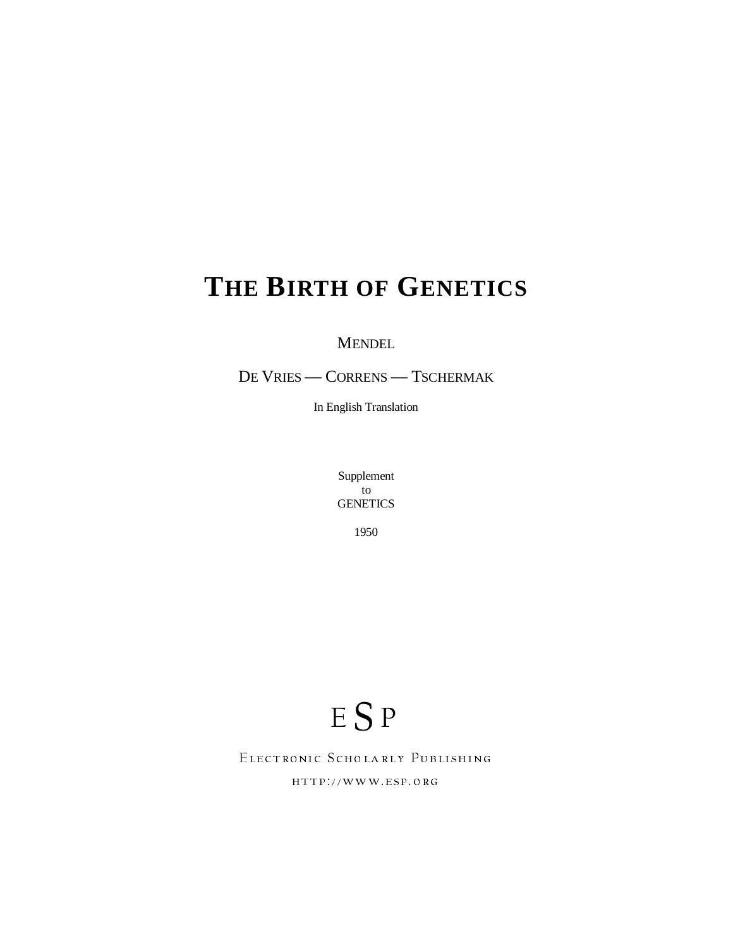# **THE BIRTH OF GENETICS**

**MENDEL** 

## DE VRIES –– CORRENS –– TSCHERMAK

In English Translation

Supplement to **GENETICS** 

1950

# <sup>E</sup> S <sup>P</sup>

Electronic Scholarly Publishing

http://www.esp.org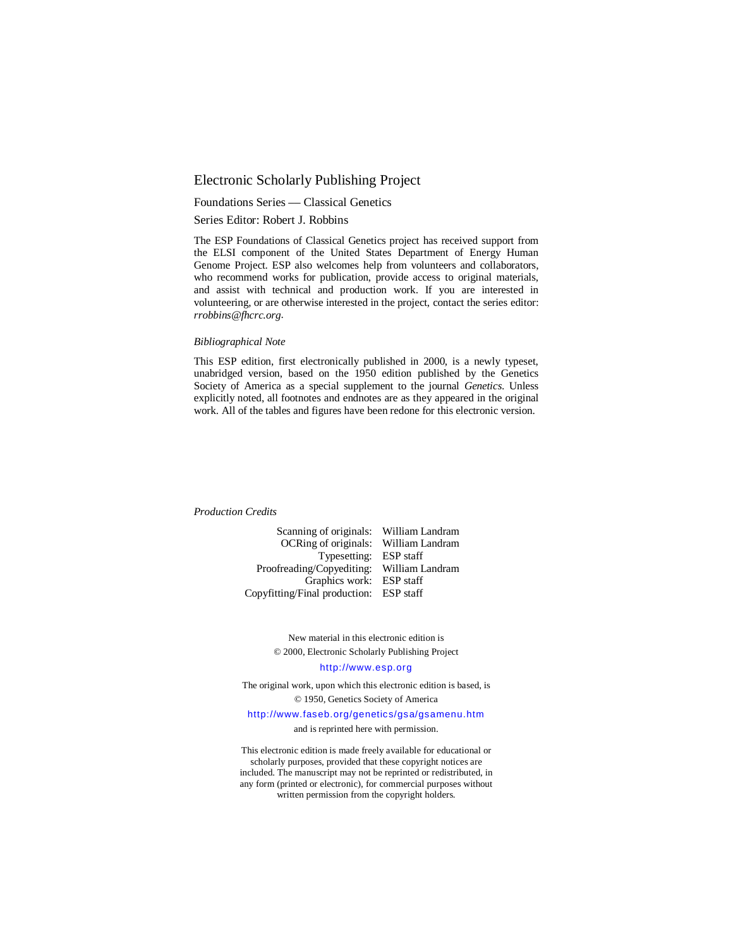#### Electronic Scholarly Publishing Project

Foundations Series –– Classical Genetics

Series Editor: Robert J. Robbins

The ESP Foundations of Classical Genetics project has received support from the ELSI component of the United States Department of Energy Human Genome Project. ESP also welcomes help from volunteers and collaborators, who recommend works for publication, provide access to original materials, and assist with technical and production work. If you are interested in volunteering, or are otherwise interested in the project, contact the series editor: *rrobbins@fhcrc.org*.

#### *Bibliographical Note*

This ESP edition, first electronically published in 2000, is a newly typeset, unabridged version, based on the 1950 edition published by the Genetics Society of America as a special supplement to the journal *Genetics*. Unless explicitly noted, all footnotes and endnotes are as they appeared in the original work. All of the tables and figures have been redone for this electronic version.

*Production Credits*

Scanning of originals: William Landram OCRing of originals: William Landram Typesetting: ESP staff Proofreading/Copyediting: William Landram Graphics work: ESP staff Copyfitting/Final production: ESP staff

> New material in this electronic edition is © 2000, Electronic Scholarly Publishing Project

#### http://www.esp.org

The original work, upon which this electronic edition is based, is © 1950, Genetics Society of America http://www.faseb.org/genetics/gsa/gsamenu.htm

and is reprinted here with permission.

This electronic edition is made freely available for educational or scholarly purposes, provided that these copyright notices are included. The manuscript may not be reprinted or redistributed, in any form (printed or electronic), for commercial purposes without written permission from the copyright holders.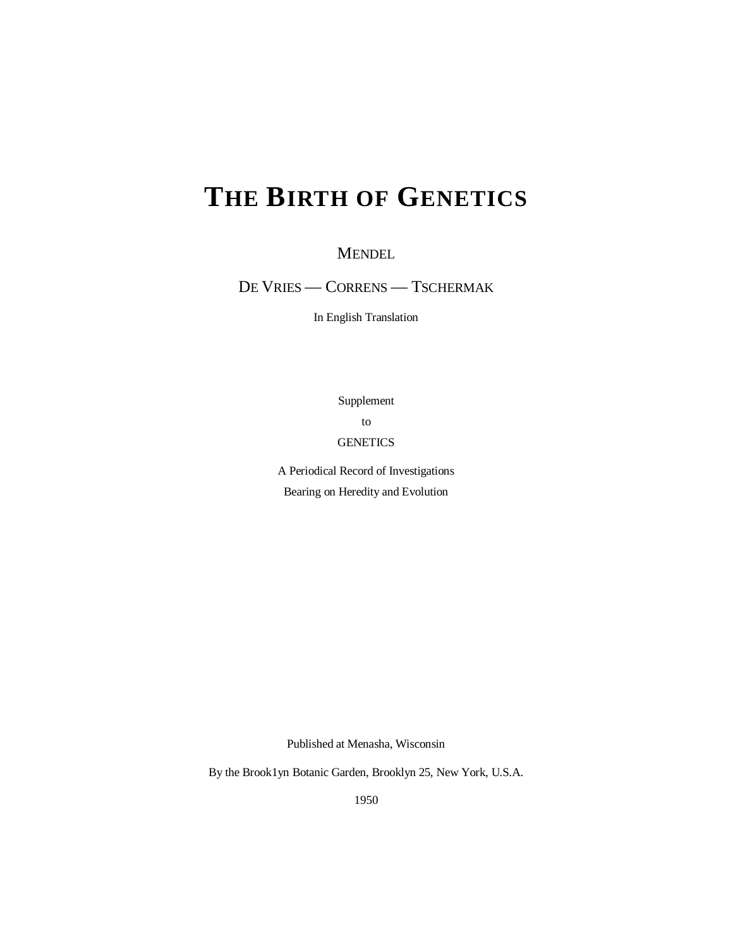# **THE BIRTH OF GENETICS**

### **MENDEL**

DE VRIES –– CORRENS –– TSCHERMAK

In English Translation

Supplement to **GENETICS** 

A Periodical Record of Investigations Bearing on Heredity and Evolution

Published at Menasha, Wisconsin

By the Brook1yn Botanic Garden, Brooklyn 25, New York, U.S.A.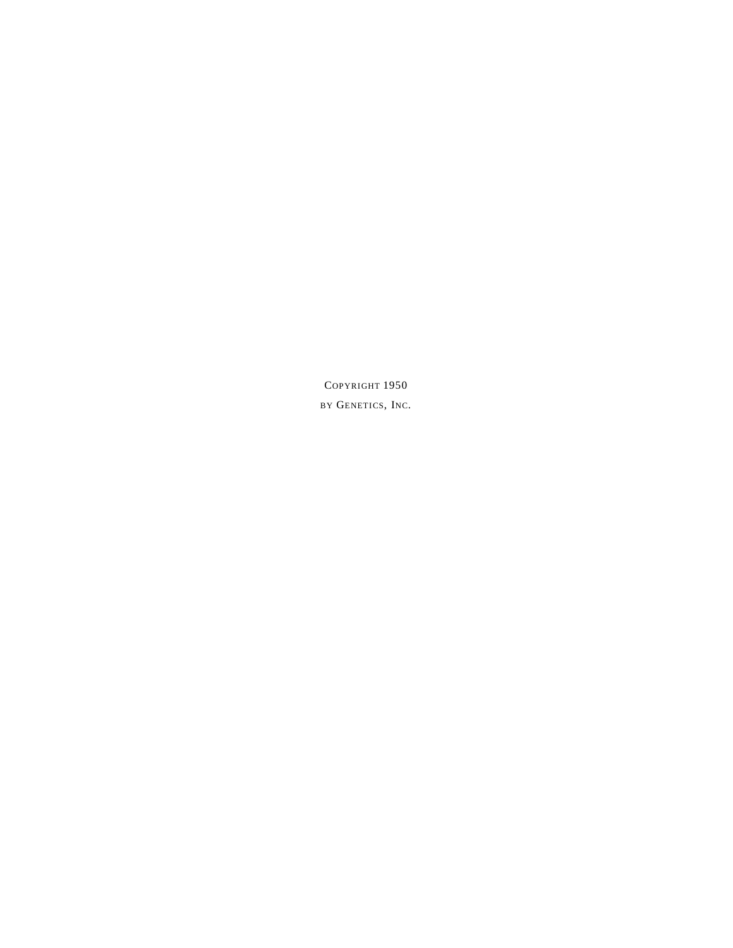COPYRIGHT 1950 BY GENETICS, INC.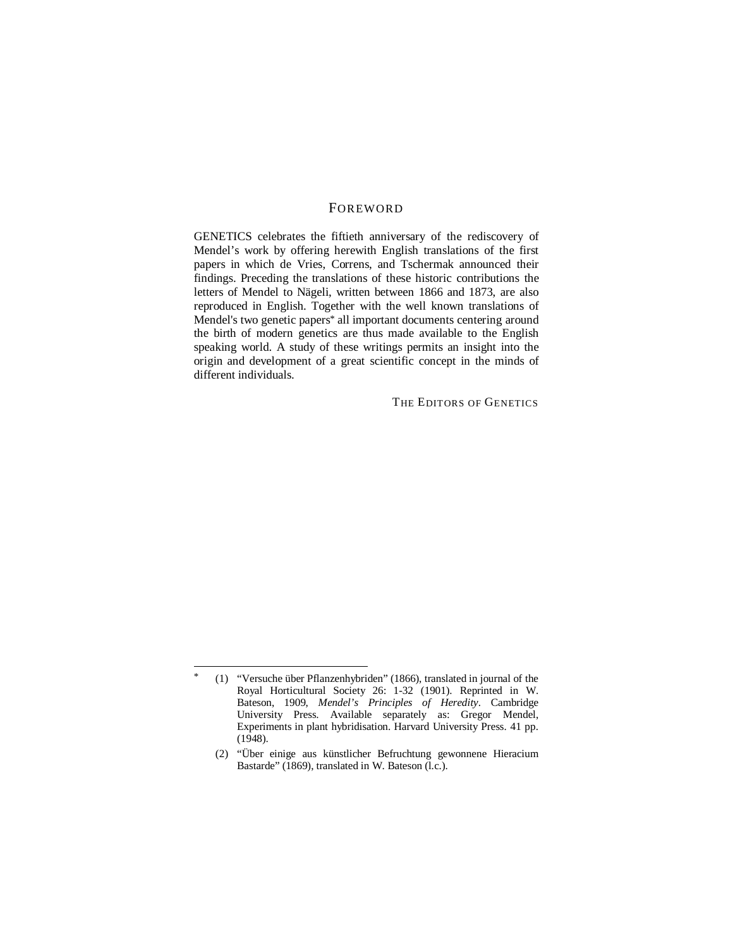#### FOREWORD

GENETICS celebrates the fiftieth anniversary of the rediscovery of Mendel's work by offering herewith English translations of the first papers in which de Vries, Correns, and Tschermak announced their findings. Preceding the translations of these historic contributions the letters of Mendel to Nägeli, written between 1866 and 1873, are also reproduced in English. Together with the well known translations of Mendel's two genetic papers\* all important documents centering around the birth of modern genetics are thus made available to the English speaking world. A study of these writings permits an insight into the origin and development of a great scientific concept in the minds of different individuals.

THE EDITORS OF GENETICS

<sup>(1) &</sup>quot;Versuche über Pflanzenhybriden" (1866), translated in journal of the Royal Horticultural Society 26: 1-32 (1901). Reprinted in W. Bateson, 1909, *Mendel's Principles of Heredity*. Cambridge University Press. Available separately as: Gregor Mendel, Experiments in plant hybridisation. Harvard University Press. 41 pp. (1948).

<sup>(2) &</sup>quot;Über einige aus künstlicher Befruchtung gewonnene Hieracium Bastarde" (1869), translated in W. Bateson (l.c.).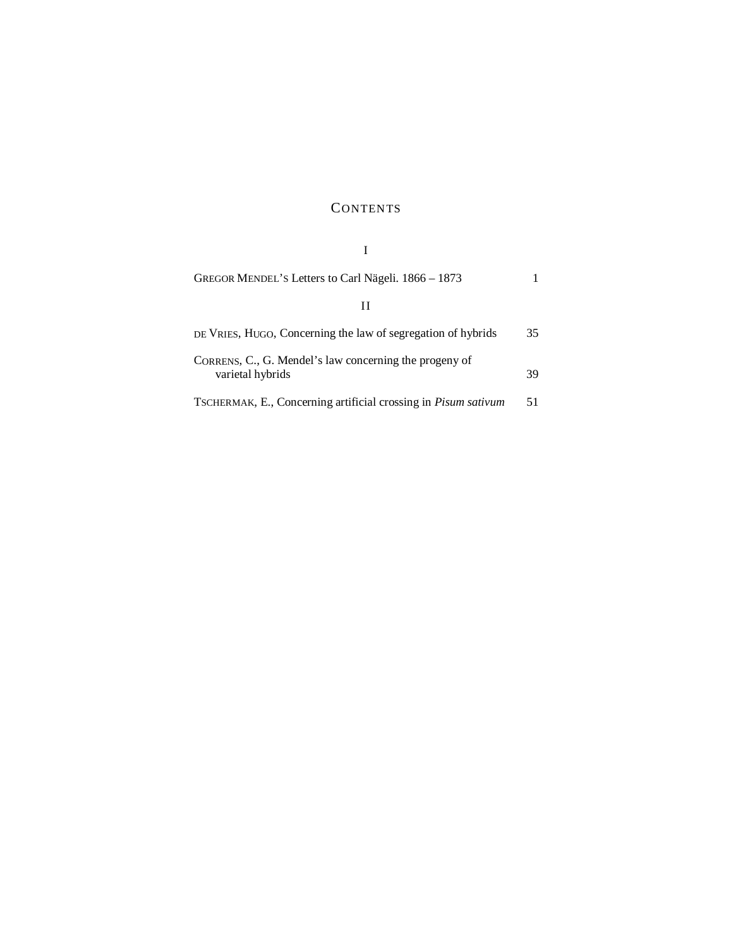### **CONTENTS**

| GREGOR MENDEL'S Letters to Carl Nägeli. 1866 – 1873                        |    |
|----------------------------------------------------------------------------|----|
|                                                                            |    |
| DE VRIES, HUGO, Concerning the law of segregation of hybrids               | 35 |
| CORRENS, C., G. Mendel's law concerning the progeny of<br>varietal hybrids | 39 |
| TSCHERMAK, E., Concerning artificial crossing in Pisum sativum             | 51 |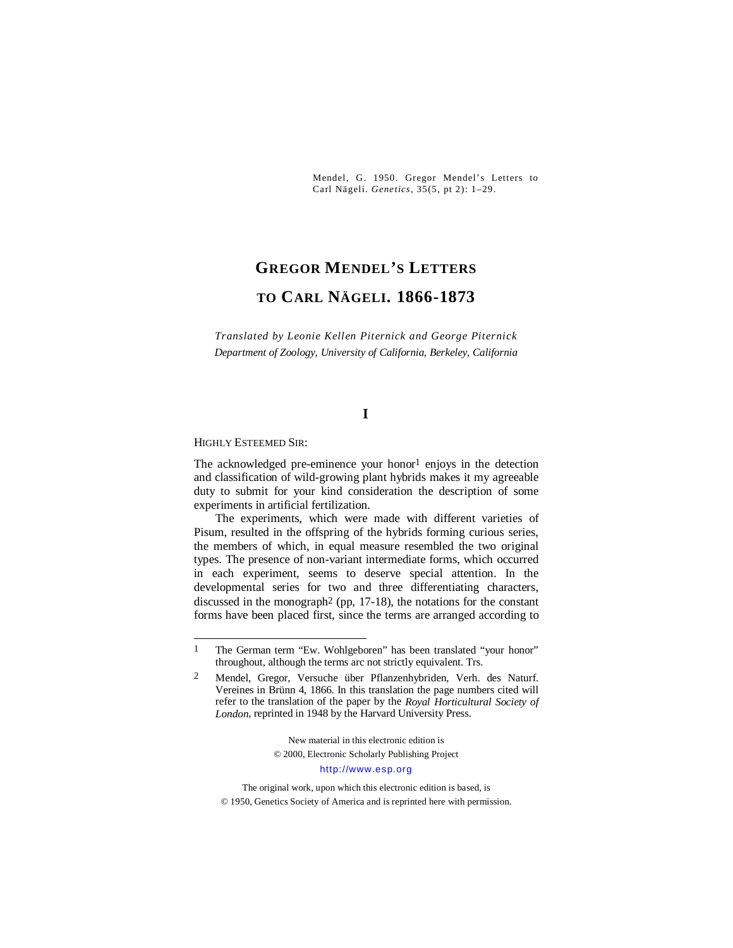Mendel, G. 1950. Gregor Mendel's Letters to Carl Nägeli. *Genetics*, 35(5, pt 2): 1–29.

# **GREGOR MENDEL'S LETTERS TO CARL NÄGELI. 1866-1873**

*Translated by Leonie Kellen Piternick and George Piternick Department of Zoology, University of California, Berkeley, California*

#### **I**

HIGHLY ESTEEMED SIR:

 $\overline{a}$ 

The acknowledged pre-eminence your honor<sup>1</sup> enjoys in the detection and classification of wild-growing plant hybrids makes it my agreeable duty to submit for your kind consideration the description of some experiments in artificial fertilization.

The experiments, which were made with different varieties of Pisum, resulted in the offspring of the hybrids forming curious series, the members of which, in equal measure resembled the two original types. The presence of non-variant intermediate forms, which occurred in each experiment, seems to deserve special attention. In the developmental series for two and three differentiating characters, discussed in the monograph2 (pp, 17-18), the notations for the constant forms have been placed first, since the terms are arranged according to

New material in this electronic edition is

© 2000, Electronic Scholarly Publishing Project

http://www.esp.org

The original work, upon which this electronic edition is based, is

© 1950, Genetics Society of America and is reprinted here with permission.

<sup>1</sup> The German term "Ew. Wohlgeboren" has been translated "your honor" throughout, although the terms arc not strictly equivalent. Trs.

<sup>2</sup> Mendel, Gregor, Versuche über Pflanzenhybriden, Verh. des Naturf. Vereines in Brünn 4, 1866. In this translation the page numbers cited will refer to the translation of the paper by the *Royal Horticultural Society of London*, reprinted in 1948 by the Harvard University Press.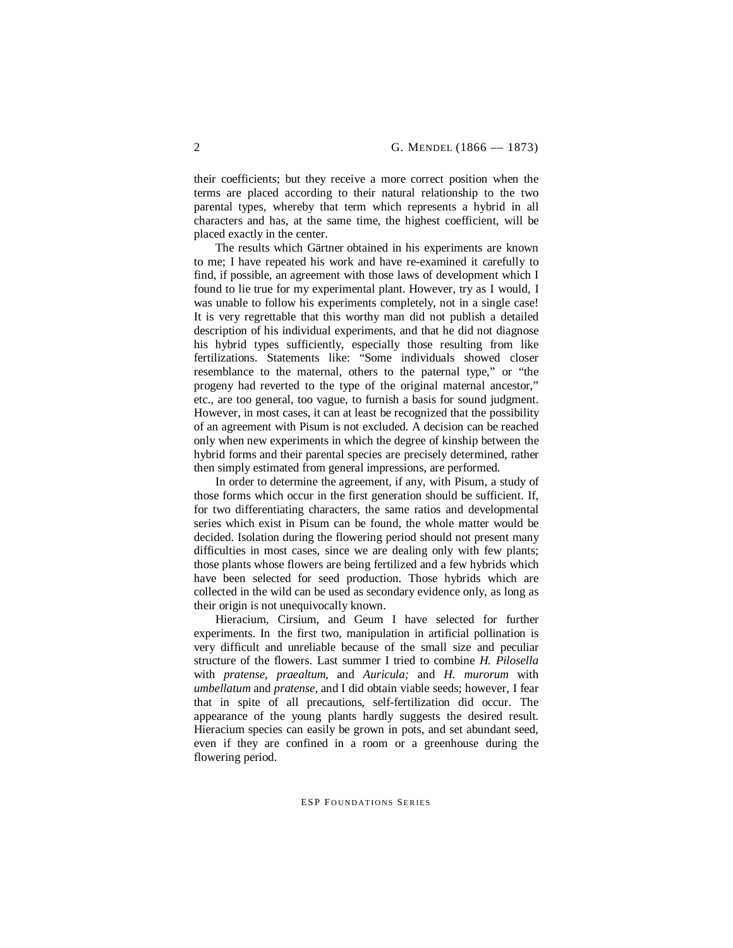their coefficients; but they receive a more correct position when the terms are placed according to their natural relationship to the two parental types, whereby that term which represents a hybrid in all characters and has, at the same time, the highest coefficient, will be placed exactly in the center.

The results which Gärtner obtained in his experiments are known to me; I have repeated his work and have re-examined it carefully to find, if possible, an agreement with those laws of development which I found to lie true for my experimental plant. However, try as I would, I was unable to follow his experiments completely, not in a single case! It is very regrettable that this worthy man did not publish a detailed description of his individual experiments, and that he did not diagnose his hybrid types sufficiently, especially those resulting from like fertilizations. Statements like: "Some individuals showed closer resemblance to the maternal, others to the paternal type," or "the progeny had reverted to the type of the original maternal ancestor," etc., are too general, too vague, to furnish a basis for sound judgment. However, in most cases, it can at least be recognized that the possibility of an agreement with Pisum is not excluded. A decision can be reached only when new experiments in which the degree of kinship between the hybrid forms and their parental species are precisely determined, rather then simply estimated from general impressions, are performed.

In order to determine the agreement, if any, with Pisum, a study of those forms which occur in the first generation should be sufficient. If, for two differentiating characters, the same ratios and developmental series which exist in Pisum can be found, the whole matter would be decided. Isolation during the flowering period should not present many difficulties in most cases, since we are dealing only with few plants; those plants whose flowers are being fertilized and a few hybrids which have been selected for seed production. Those hybrids which are collected in the wild can be used as secondary evidence only, as long as their origin is not unequivocally known.

Hieracium, Cirsium, and Geum I have selected for further experiments. In the first two, manipulation in artificial pollination is very difficult and unreliable because of the small size and peculiar structure of the flowers. Last summer I tried to combine *H. Pilosella* with *pratense, praealtum,* and *Auricula;* and *H. murorum* with *umbellatum* and *pratense,* and I did obtain viable seeds; however, I fear that in spite of all precautions, self-fertilization did occur. The appearance of the young plants hardly suggests the desired result. Hieracium species can easily be grown in pots, and set abundant seed, even if they are confined in a room or a greenhouse during the flowering period.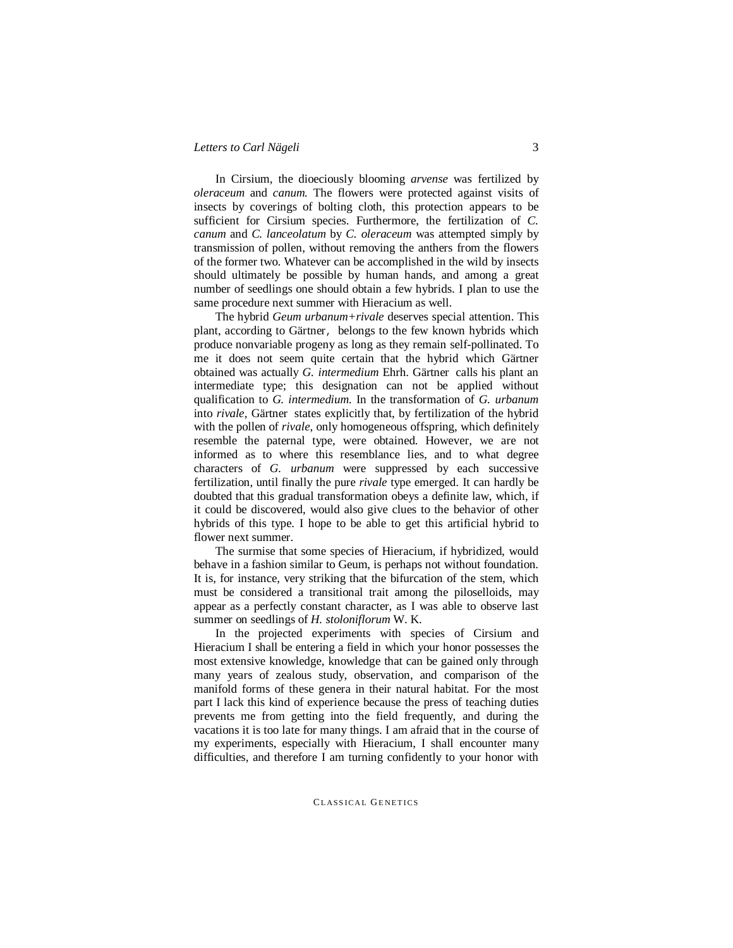In Cirsium, the dioeciously blooming *arvense* was fertilized by *oleraceum* and *canum.* The flowers were protected against visits of insects by coverings of bolting cloth, this protection appears to be sufficient for Cirsium species. Furthermore, the fertilization of *C. canum* and *C. lanceolatum* by *C. oleraceum* was attempted simply by transmission of pollen, without removing the anthers from the flowers of the former two. Whatever can be accomplished in the wild by insects should ultimately be possible by human hands, and among a great number of seedlings one should obtain a few hybrids. I plan to use the same procedure next summer with Hieracium as well.

The hybrid *Geum urbanum+rivale* deserves special attention. This plant, according to Gärtner, belongs to the few known hybrids which produce nonvariable progeny as long as they remain self-pollinated. To me it does not seem quite certain that the hybrid which Gärtner obtained was actually *G. intermedium* Ehrh. Gärtner calls his plant an intermediate type; this designation can not be applied without qualification to *G. intermedium.* In the transformation of *G. urbanum* into *rivale,* Gärtner states explicitly that, by fertilization of the hybrid with the pollen of *rivale,* only homogeneous offspring, which definitely resemble the paternal type, were obtained. However, we are not informed as to where this resemblance lies, and to what degree characters of *G. urbanum* were suppressed by each successive fertilization, until finally the pure *rivale* type emerged. It can hardly be doubted that this gradual transformation obeys a definite law, which, if it could be discovered, would also give clues to the behavior of other hybrids of this type. I hope to be able to get this artificial hybrid to flower next summer.

The surmise that some species of Hieracium, if hybridized, would behave in a fashion similar to Geum, is perhaps not without foundation. It is, for instance, very striking that the bifurcation of the stem, which must be considered a transitional trait among the piloselloids, may appear as a perfectly constant character, as I was able to observe last summer on seedlings of *H. stoloniflorum* W. K.

In the projected experiments with species of Cirsium and Hieracium I shall be entering a field in which your honor possesses the most extensive knowledge, knowledge that can be gained only through many years of zealous study, observation, and comparison of the manifold forms of these genera in their natural habitat. For the most part I lack this kind of experience because the press of teaching duties prevents me from getting into the field frequently, and during the vacations it is too late for many things. I am afraid that in the course of my experiments, especially with Hieracium, I shall encounter many difficulties, and therefore I am turning confidently to your honor with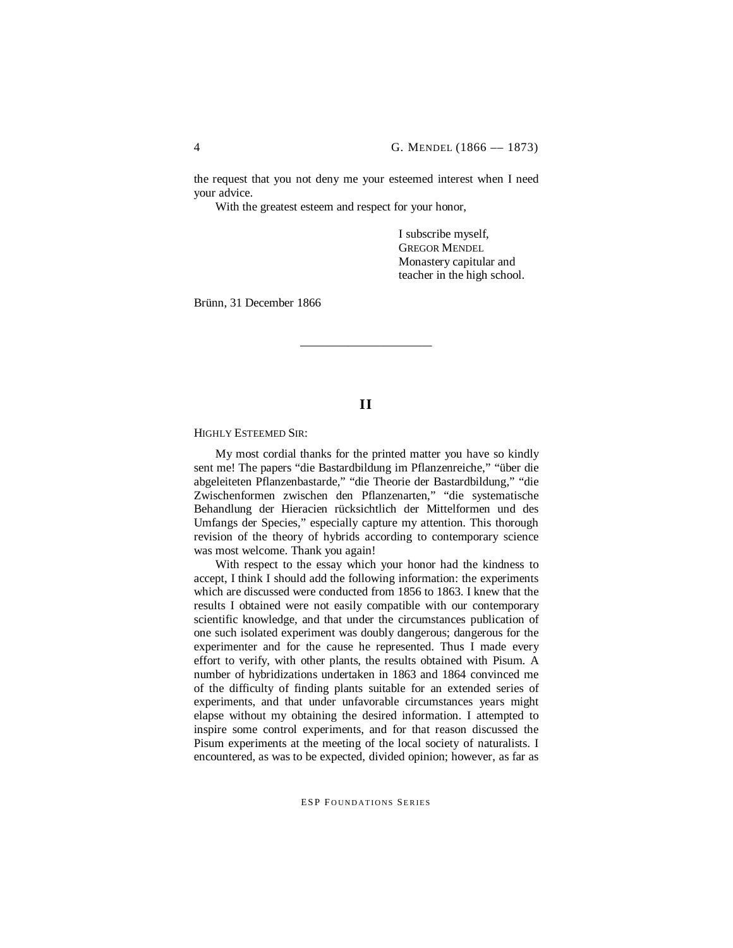the request that you not deny me your esteemed interest when I need your advice.

With the greatest esteem and respect for your honor,

I subscribe myself, GREGOR MENDEL Monastery capitular and teacher in the high school.

Brünn, 31 December 1866

#### **II**

———————————

HIGHLY ESTEEMED SIR:

My most cordial thanks for the printed matter you have so kindly sent me! The papers "die Bastardbildung im Pflanzenreiche," "über die abgeleiteten Pflanzenbastarde," "die Theorie der Bastardbildung," "die Zwischenformen zwischen den Pflanzenarten," "die systematische Behandlung der Hieracien rücksichtlich der Mittelformen und des Umfangs der Species," especially capture my attention. This thorough revision of the theory of hybrids according to contemporary science was most welcome. Thank you again!

With respect to the essay which your honor had the kindness to accept, I think I should add the following information: the experiments which are discussed were conducted from 1856 to 1863. I knew that the results I obtained were not easily compatible with our contemporary scientific knowledge, and that under the circumstances publication of one such isolated experiment was doubly dangerous; dangerous for the experimenter and for the cause he represented. Thus I made every effort to verify, with other plants, the results obtained with Pisum. A number of hybridizations undertaken in 1863 and 1864 convinced me of the difficulty of finding plants suitable for an extended series of experiments, and that under unfavorable circumstances years might elapse without my obtaining the desired information. I attempted to inspire some control experiments, and for that reason discussed the Pisum experiments at the meeting of the local society of naturalists. I encountered, as was to be expected, divided opinion; however, as far as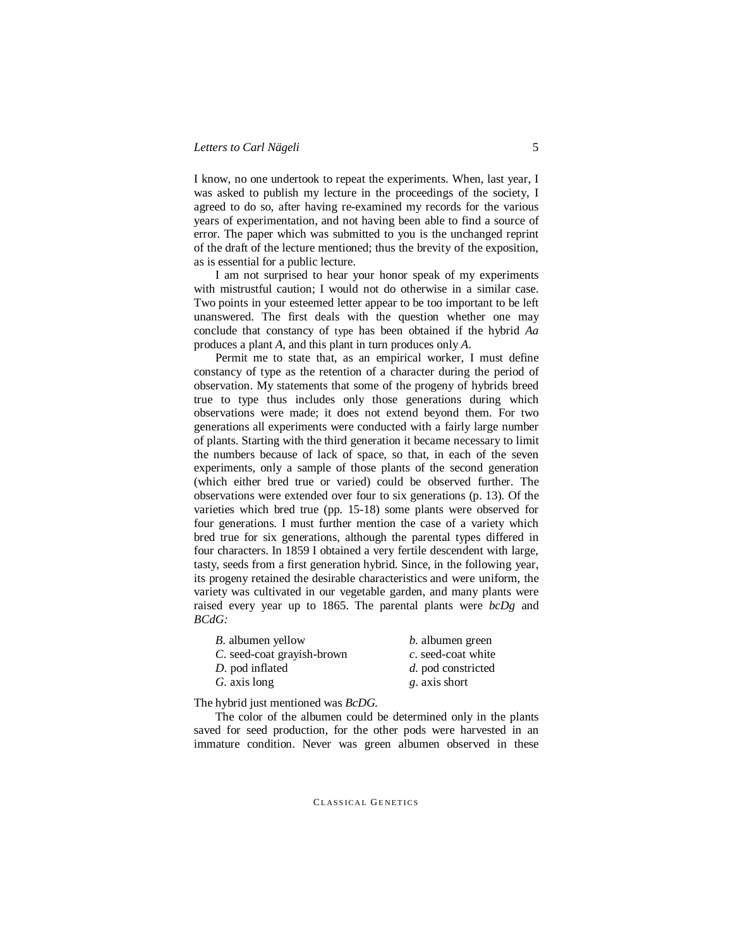I know, no one undertook to repeat the experiments. When, last year, I was asked to publish my lecture in the proceedings of the society, I agreed to do so, after having re-examined my records for the various years of experimentation, and not having been able to find a source of error. The paper which was submitted to you is the unchanged reprint of the draft of the lecture mentioned; thus the brevity of the exposition, as is essential for a public lecture.

I am not surprised to hear your honor speak of my experiments with mistrustful caution; I would not do otherwise in a similar case. Two points in your esteemed letter appear to be too important to be left unanswered. The first deals with the question whether one may conclude that constancy of type has been obtained if the hybrid *Aa* produces a plant *A*, and this plant in turn produces only *A*.

Permit me to state that, as an empirical worker, I must define constancy of type as the retention of a character during the period of observation. My statements that some of the progeny of hybrids breed true to type thus includes only those generations during which observations were made; it does not extend beyond them. For two generations all experiments were conducted with a fairly large number of plants. Starting with the third generation it became necessary to limit the numbers because of lack of space, so that, in each of the seven experiments, only a sample of those plants of the second generation (which either bred true or varied) could be observed further. The observations were extended over four to six generations (p. 13). Of the varieties which bred true (pp. 15-18) some plants were observed for four generations. I must further mention the case of a variety which bred true for six generations, although the parental types differed in four characters. In 1859 I obtained a very fertile descendent with large, tasty, seeds from a first generation hybrid. Since, in the following year, its progeny retained the desirable characteristics and were uniform, the variety was cultivated in our vegetable garden, and many plants were raised every year up to 1865. The parental plants were *bcDg* and *BCdG:*

| <i>B</i> . albumen yellow  | <i>b</i> . albumen green |
|----------------------------|--------------------------|
| C. seed-coat grayish-brown | c. seed-coat white       |
| D. pod inflated            | d. pod constricted       |
| G. axis long               | g. axis short            |

The hybrid just mentioned was *BcDG.*

The color of the albumen could be determined only in the plants saved for seed production, for the other pods were harvested in an immature condition. Never was green albumen observed in these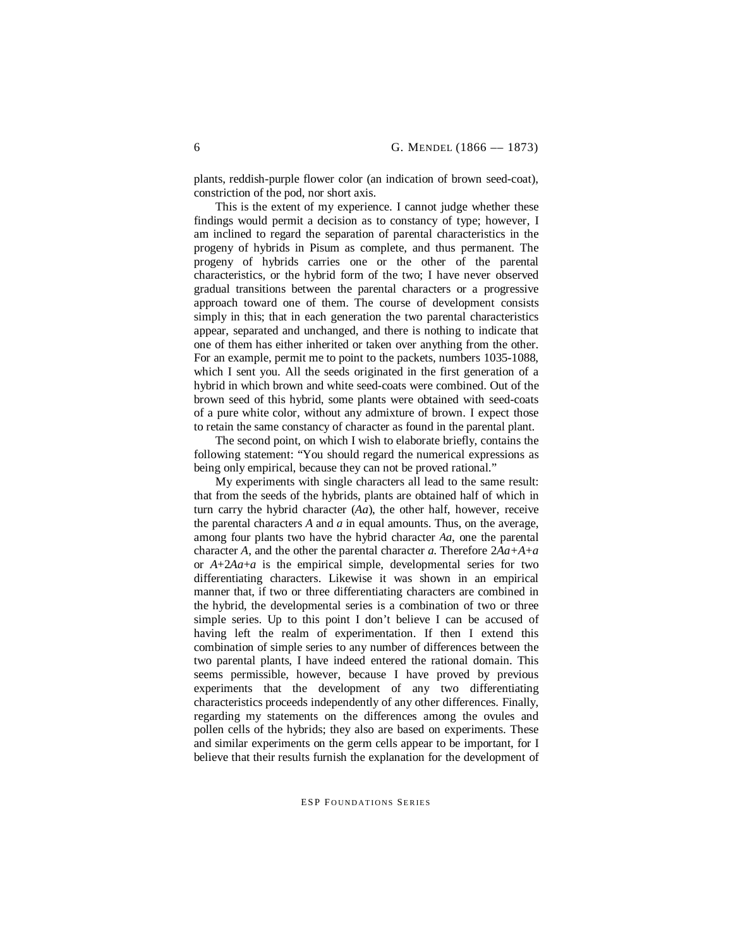plants, reddish-purple flower color (an indication of brown seed-coat), constriction of the pod, nor short axis.

This is the extent of my experience. I cannot judge whether these findings would permit a decision as to constancy of type; however, I am inclined to regard the separation of parental characteristics in the progeny of hybrids in Pisum as complete, and thus permanent. The progeny of hybrids carries one or the other of the parental characteristics, or the hybrid form of the two; I have never observed gradual transitions between the parental characters or a progressive approach toward one of them. The course of development consists simply in this; that in each generation the two parental characteristics appear, separated and unchanged, and there is nothing to indicate that one of them has either inherited or taken over anything from the other. For an example, permit me to point to the packets, numbers 1035-1088, which I sent you. All the seeds originated in the first generation of a hybrid in which brown and white seed-coats were combined. Out of the brown seed of this hybrid, some plants were obtained with seed-coats of a pure white color, without any admixture of brown. I expect those to retain the same constancy of character as found in the parental plant.

The second point, on which I wish to elaborate briefly, contains the following statement: "You should regard the numerical expressions as being only empirical, because they can not be proved rational."

My experiments with single characters all lead to the same result: that from the seeds of the hybrids, plants are obtained half of which in turn carry the hybrid character (*Aa*), the other half, however, receive the parental characters *A* and *a* in equal amounts. Thus, on the average, among four plants two have the hybrid character *Aa*, one the parental character *A*, and the other the parental character *a*. Therefore 2*Aa+A*+*a* or *A*+2*Aa*+*a* is the empirical simple, developmental series for two differentiating characters. Likewise it was shown in an empirical manner that, if two or three differentiating characters are combined in the hybrid, the developmental series is a combination of two or three simple series. Up to this point I don't believe I can be accused of having left the realm of experimentation. If then I extend this combination of simple series to any number of differences between the two parental plants, I have indeed entered the rational domain. This seems permissible, however, because I have proved by previous experiments that the development of any two differentiating characteristics proceeds independently of any other differences. Finally, regarding my statements on the differences among the ovules and pollen cells of the hybrids; they also are based on experiments. These and similar experiments on the germ cells appear to be important, for I believe that their results furnish the explanation for the development of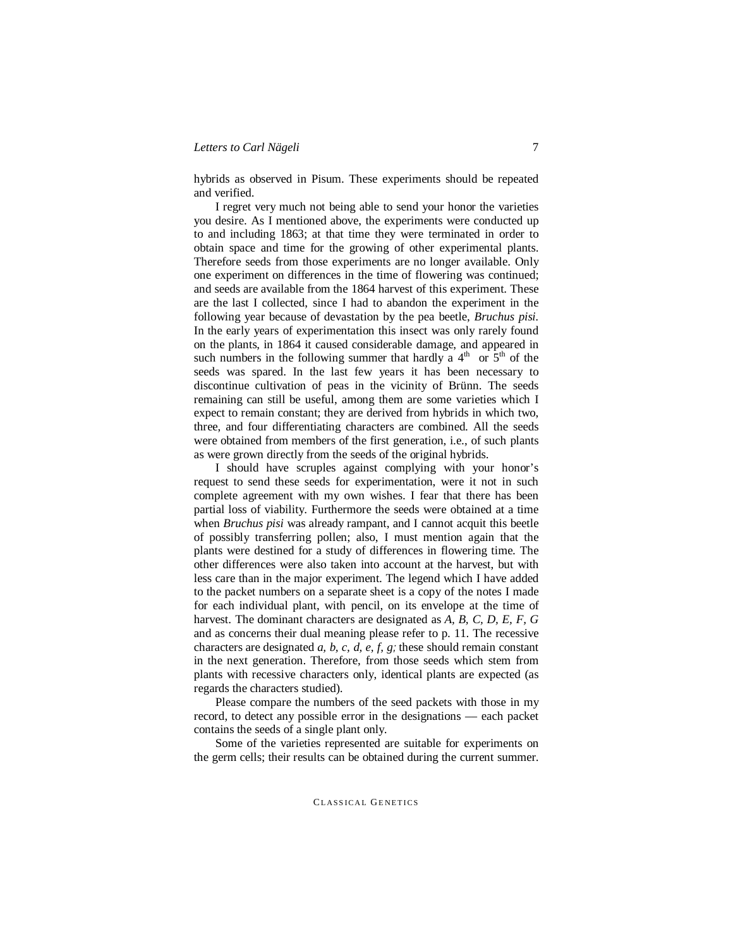hybrids as observed in Pisum. These experiments should be repeated and verified.

I regret very much not being able to send your honor the varieties you desire. As I mentioned above, the experiments were conducted up to and including 1863; at that time they were terminated in order to obtain space and time for the growing of other experimental plants. Therefore seeds from those experiments are no longer available. Only one experiment on differences in the time of flowering was continued; and seeds are available from the 1864 harvest of this experiment. These are the last I collected, since I had to abandon the experiment in the following year because of devastation by the pea beetle, *Bruchus pisi.* In the early years of experimentation this insect was only rarely found on the plants, in 1864 it caused considerable damage, and appeared in such numbers in the following summer that hardly a  $4<sup>th</sup>$  or  $5<sup>th</sup>$  of the seeds was spared. In the last few years it has been necessary to discontinue cultivation of peas in the vicinity of Brünn. The seeds remaining can still be useful, among them are some varieties which I expect to remain constant; they are derived from hybrids in which two, three, and four differentiating characters are combined. All the seeds were obtained from members of the first generation, i.e., of such plants as were grown directly from the seeds of the original hybrids.

I should have scruples against complying with your honor's request to send these seeds for experimentation, were it not in such complete agreement with my own wishes. I fear that there has been partial loss of viability. Furthermore the seeds were obtained at a time when *Bruchus pisi* was already rampant, and I cannot acquit this beetle of possibly transferring pollen; also, I must mention again that the plants were destined for a study of differences in flowering time. The other differences were also taken into account at the harvest, but with less care than in the major experiment. The legend which I have added to the packet numbers on a separate sheet is a copy of the notes I made for each individual plant, with pencil, on its envelope at the time of harvest. The dominant characters are designated as *A, B, C, D, E, F, G* and as concerns their dual meaning please refer to p. 11. The recessive characters are designated *a, b, c, d, e, f, g*; these should remain constant in the next generation. Therefore, from those seeds which stem from plants with recessive characters only, identical plants are expected (as regards the characters studied).

Please compare the numbers of the seed packets with those in my record, to detect any possible error in the designations –– each packet contains the seeds of a single plant only.

Some of the varieties represented are suitable for experiments on the germ cells; their results can be obtained during the current summer.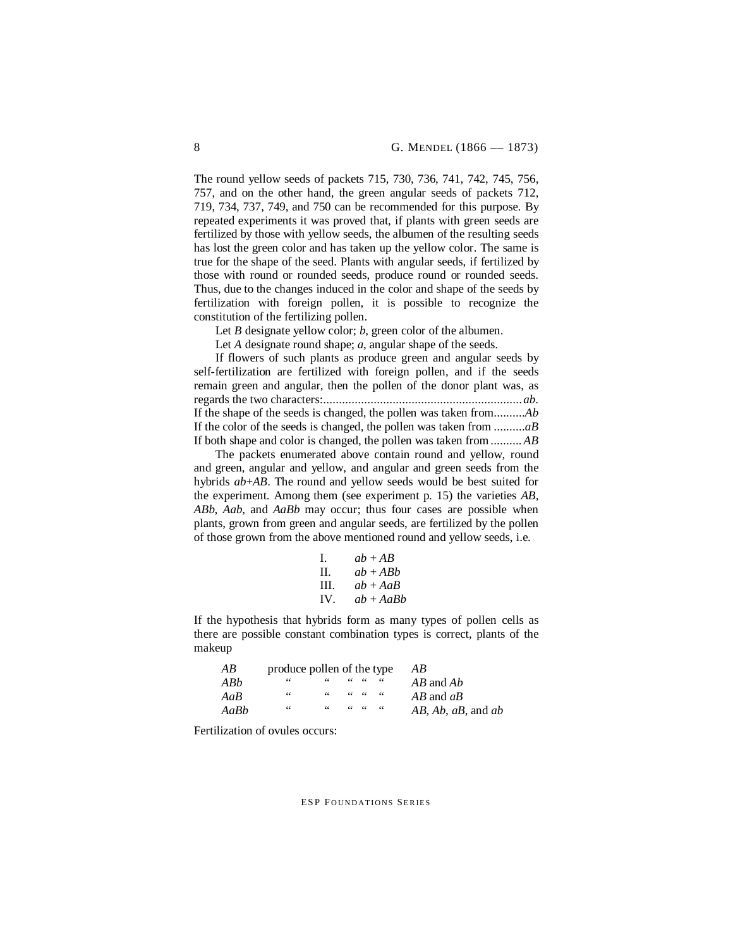The round yellow seeds of packets 715, 730, 736, 741, 742, 745, 756, 757, and on the other hand, the green angular seeds of packets 712, 719, 734, 737, 749, and 750 can be recommended for this purpose. By repeated experiments it was proved that, if plants with green seeds are fertilized by those with yellow seeds, the albumen of the resulting seeds has lost the green color and has taken up the yellow color. The same is true for the shape of the seed. Plants with angular seeds, if fertilized by those with round or rounded seeds, produce round or rounded seeds. Thus, due to the changes induced in the color and shape of the seeds by fertilization with foreign pollen, it is possible to recognize the constitution of the fertilizing pollen.

Let *B* designate yellow color; *b*, green color of the albumen.

Let *A* designate round shape; *a*, angular shape of the seeds.

If flowers of such plants as produce green and angular seeds by self-fertilization are fertilized with foreign pollen, and if the seeds remain green and angular, then the pollen of the donor plant was, as regards the two characters:...............................................................*ab*. If the shape of the seeds is changed, the pollen was taken from..........*Ab* If the color of the seeds is changed, the pollen was taken from ..........*aB* If both shape and color is changed, the pollen was taken from .......... *AB*

The packets enumerated above contain round and yellow, round and green, angular and yellow, and angular and green seeds from the hybrids *ab*+*AB*. The round and yellow seeds would be best suited for the experiment. Among them (see experiment p. 15) the varieties *AB*, *ABb, Aab*, and *AaBb* may occur; thus four cases are possible when plants, grown from green and angular seeds, are fertilized by the pollen of those grown from the above mentioned round and yellow seeds, i.e*.*

| I.  | $ab + AB$   |
|-----|-------------|
| Н.  | $ab + ABb$  |
| HL. | $ab + AaB$  |
| IV. | $ab + AaBb$ |

If the hypothesis that hybrids form as many types of pollen cells as there are possible constant combination types is correct, plants of the makeup

| AB   | produce pollen of the type |    |           |       | AВ                 |
|------|----------------------------|----|-----------|-------|--------------------|
| ABb  | 66                         | 44 | $66 - 66$ | $-66$ | AB and Ab          |
| AaB  | 66                         | 66 | 66666     | 66    | AB and aB          |
| AaBb | 66                         | 66 | 66666     |       | AB, Ab, aB, and ab |

Fertilization of ovules occurs: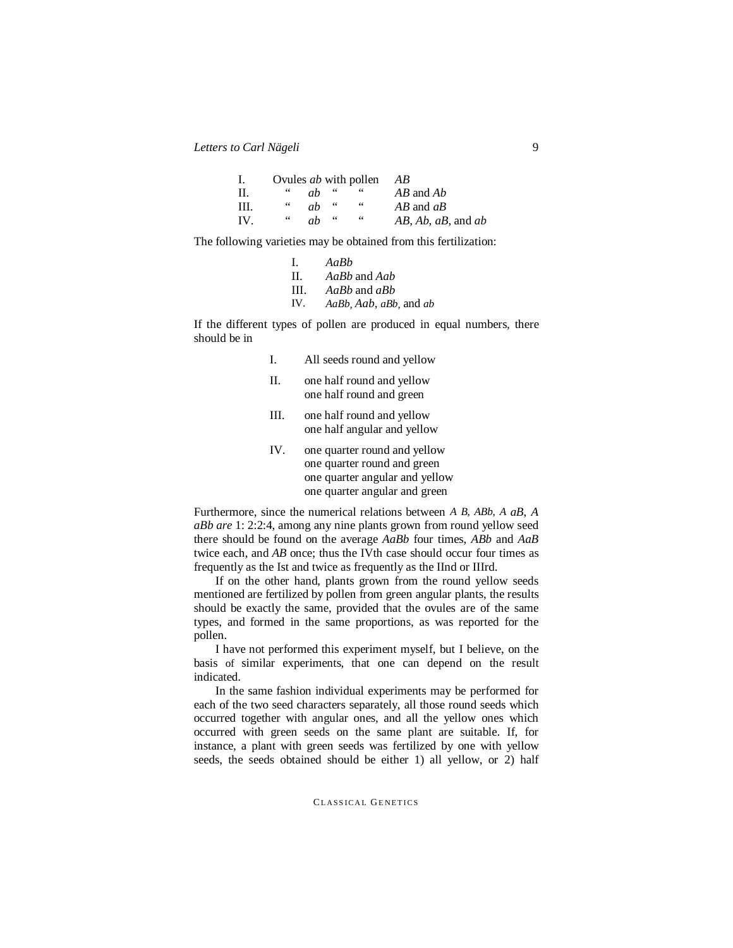|     |    |      | Ovules <i>ab</i> with pollen | AB                 |
|-----|----|------|------------------------------|--------------------|
| -П. | 66 | ab " |                              | AB and Ab          |
| HH. | 66 | ab " | 66                           | AB and aB          |
| IV. | 66 | ab " | 66                           | AB, Ab, aB, and ab |

The following varieties may be obtained from this fertilization:

| AaBh                   |
|------------------------|
| AaBh and Aah           |
| AaBb and aBb           |
| AaBb, Aab, aBb, and ab |
|                        |

If the different types of pollen are produced in equal numbers, there should be in

- I. All seeds round and yellow
- II. one half round and yellow one half round and green
- III. one half round and yellow one half angular and yellow
- IV. one quarter round and yellow one quarter round and green one quarter angular and yellow one quarter angular and green

Furthermore, since the numerical relations between *A B, ABb, A aB*, *A aBb are* 1: 2:2:4, among any nine plants grown from round yellow seed there should be found on the average *AaBb* four times, *ABb* and *AaB* twice each, and *AB* once; thus the IVth case should occur four times as frequently as the Ist and twice as frequently as the IInd or IIIrd.

If on the other hand, plants grown from the round yellow seeds mentioned are fertilized by pollen from green angular plants, the results should be exactly the same, provided that the ovules are of the same types, and formed in the same proportions, as was reported for the pollen.

I have not performed this experiment myself, but I believe, on the basis of similar experiments, that one can depend on the result indicated.

In the same fashion individual experiments may be performed for each of the two seed characters separately, all those round seeds which occurred together with angular ones, and all the yellow ones which occurred with green seeds on the same plant are suitable. If, for instance, a plant with green seeds was fertilized by one with yellow seeds, the seeds obtained should be either 1) all yellow, or 2) half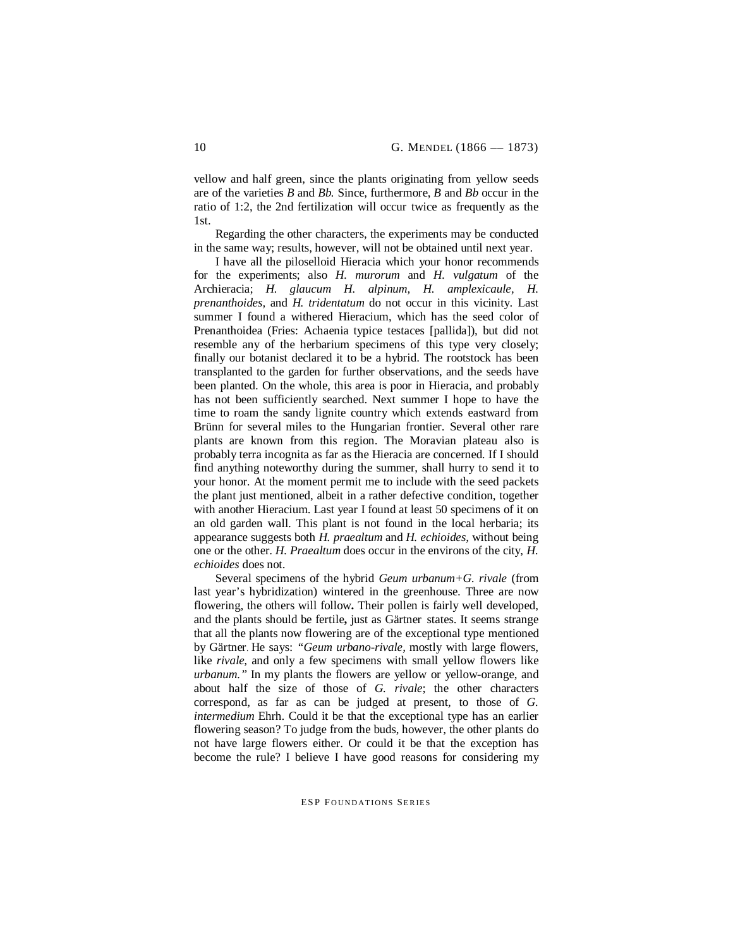vellow and half green, since the plants originating from yellow seeds are of the varieties *B* and *Bb.* Since, furthermore, *B* and *Bb* occur in the ratio of 1:2, the 2nd fertilization will occur twice as frequently as the 1st.

Regarding the other characters, the experiments may be conducted in the same way; results, however, will not be obtained until next year.

I have all the piloselloid Hieracia which your honor recommends for the experiments; also *H. murorum* and *H. vulgatum* of the Archieracia; *H. glaucum H. alpinum, H. amplexicaule, H. prenanthoides,* and *H. tridentatum* do not occur in this vicinity. Last summer I found a withered Hieracium, which has the seed color of Prenanthoidea (Fries: Achaenia typice testaces [pallida]), but did not resemble any of the herbarium specimens of this type very closely; finally our botanist declared it to be a hybrid. The rootstock has been transplanted to the garden for further observations, and the seeds have been planted. On the whole, this area is poor in Hieracia, and probably has not been sufficiently searched. Next summer I hope to have the time to roam the sandy lignite country which extends eastward from Brünn for several miles to the Hungarian frontier. Several other rare plants are known from this region. The Moravian plateau also is probably terra incognita as far as the Hieracia are concerned. If I should find anything noteworthy during the summer, shall hurry to send it to your honor. At the moment permit me to include with the seed packets the plant just mentioned, albeit in a rather defective condition, together with another Hieracium. Last year I found at least 50 specimens of it on an old garden wall. This plant is not found in the local herbaria; its appearance suggests both *H. praealtum* and *H. echioides,* without being one or the other. *H. Praealtum* does occur in the environs of the city, *H. echioides* does not.

Several specimens of the hybrid *Geum urbanum+G. rivale* (from last year's hybridization) wintered in the greenhouse. Three are now flowering, the others will follow**.** Their pollen is fairly well developed, and the plants should be fertile**,** just as Gärtnerstates. It seems strange that all the plants now flowering are of the exceptional type mentioned by Gärtner. He says: *"Geum urbano-rivale,* mostly with large flowers, like *rivale,* and only a few specimens with small yellow flowers like *urbanum."* In my plants the flowers are yellow or yellow-orange, and about half the size of those of *G. rivale*; the other characters correspond, as far as can be judged at present, to those of *G. intermedium* Ehrh. Could it be that the exceptional type has an earlier flowering season? To judge from the buds, however, the other plants do not have large flowers either. Or could it be that the exception has become the rule? I believe I have good reasons for considering my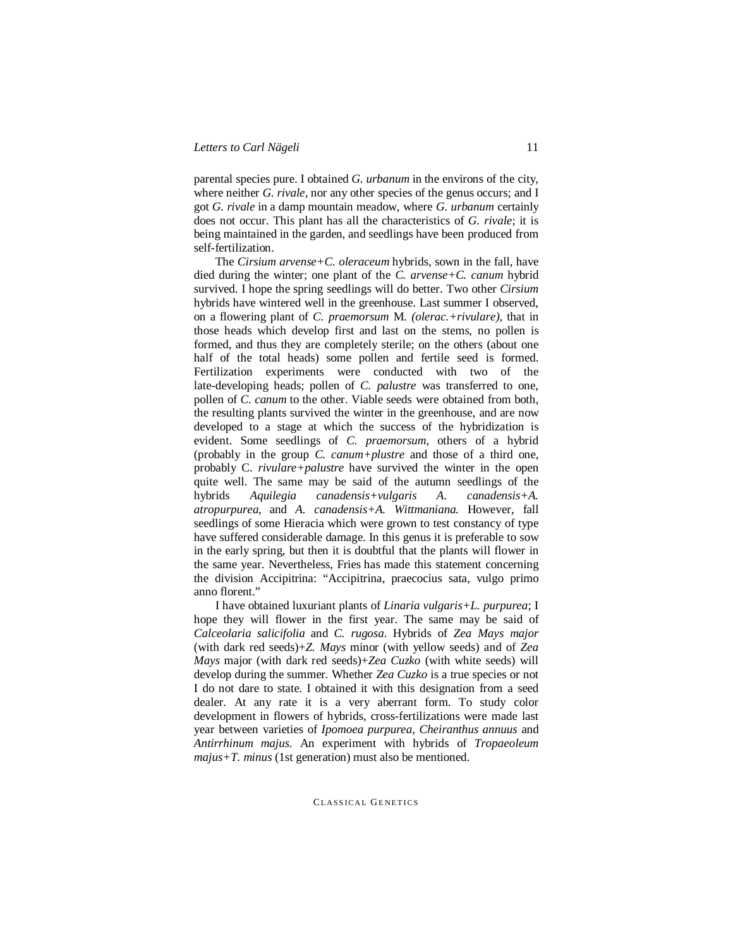parental species pure. I obtained *G. urbanum* in the environs of the city, where neither *G. rivale*, nor any other species of the genus occurs; and I got *G. rivale* in a damp mountain meadow, where *G*. *urbanum* certainly does not occur. This plant has all the characteristics of *G. rivale*; it is being maintained in the garden, and seedlings have been produced from self-fertilization.

The *Cirsium arvense+C. oleraceum* hybrids, sown in the fall, have died during the winter; one plant of the *C. arvense+C. canum* hybrid survived. I hope the spring seedlings will do better. Two other *Cirsium* hybrids have wintered well in the greenhouse. Last summer I observed, on a flowering plant of *C. praemorsum* M. *(olerac.+rivulare),* that in those heads which develop first and last on the stems, no pollen is formed, and thus they are completely sterile; on the others (about one half of the total heads) some pollen and fertile seed is formed. Fertilization experiments were conducted with two of the late-developing heads; pollen of *C. palustre* was transferred to one, pollen of *C. canum* to the other. Viable seeds were obtained from both, the resulting plants survived the winter in the greenhouse, and are now developed to a stage at which the success of the hybridization is evident. Some seedlings of *C. praemorsum*, others of a hybrid (probably in the group *C. canum+plustre* and those of a third one, probably C. *rivulare+palustre* have survived the winter in the open quite well. The same may be said of the autumn seedlings of the hybrids *Aquilegia canadensis+vulgaris A. canadensis+A. atropurpurea,* and *A. canadensis+A. Wittmaniana.* However, fall seedlings of some Hieracia which were grown to test constancy of type have suffered considerable damage. In this genus it is preferable to sow in the early spring, but then it is doubtful that the plants will flower in the same year. Nevertheless, Fries has made this statement concerning the division Accipitrina: "Accipitrina, praecocius sata, vulgo primo anno florent."

I have obtained luxuriant plants of *Linaria vulgaris+L. purpurea*; I hope they will flower in the first year. The same may be said of *Calceolaria salicifolia* and *C. rugosa*. Hybrids of *Zea Mays major* (with dark red seeds)+*Z. Mays* minor (with yellow seeds) and of *Zea Mays* major (with dark red seeds)+*Zea Cuzko* (with white seeds) will develop during the summer. Whether *Zea Cuzko* is a true species or not I do not dare to state. I obtained it with this designation from a seed dealer. At any rate it is a very aberrant form. To study color development in flowers of hybrids, cross-fertilizations were made last year between varieties of *Ipomoea purpurea, Cheiranthus annuus* and *Antirrhinum majus*. An experiment with hybrids of *Tropaeoleum majus+T. minus* (1st generation) must also be mentioned.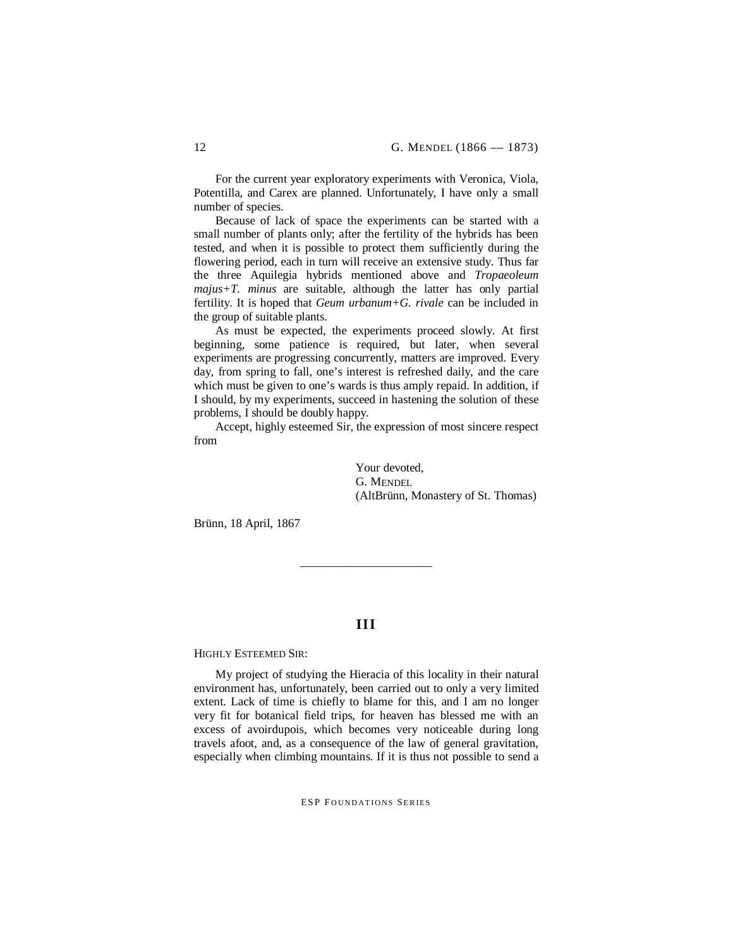For the current year exploratory experiments with Veronica, Viola, Potentilla, and Carex are planned. Unfortunately, I have only a small number of species.

Because of lack of space the experiments can be started with a small number of plants only; after the fertility of the hybrids has been tested, and when it is possible to protect them sufficiently during the flowering period, each in turn will receive an extensive study. Thus far the three Aquilegia hybrids mentioned above and *Tropaeoleum majus+T. minus* are suitable, although the latter has only partial fertility. It is hoped that *Geum urbanum+G. rivale* can be included in the group of suitable plants.

As must be expected, the experiments proceed slowly. At first beginning, some patience is required, but later, when several experiments are progressing concurrently, matters are improved. Every day, from spring to fall, one's interest is refreshed daily, and the care which must be given to one's wards is thus amply repaid. In addition, if I should, by my experiments, succeed in hastening the solution of these problems, I should be doubly happy.

Accept, highly esteemed Sir, the expression of most sincere respect from

> Your devoted, G. MENDEL (AltBrünn, Monastery of St. Thomas)

Brünn, 18 April, 1867

#### **III**

———————————

HIGHLY ESTEEMED SIR:

My project of studying the Hieracia of this locality in their natural environment has, unfortunately, been carried out to only a very limited extent. Lack of time is chiefly to blame for this, and I am no longer very fit for botanical field trips, for heaven has blessed me with an excess of avoirdupois, which becomes very noticeable during long travels afoot, and, as a consequence of the law of general gravitation, especially when climbing mountains. If it is thus not possible to send a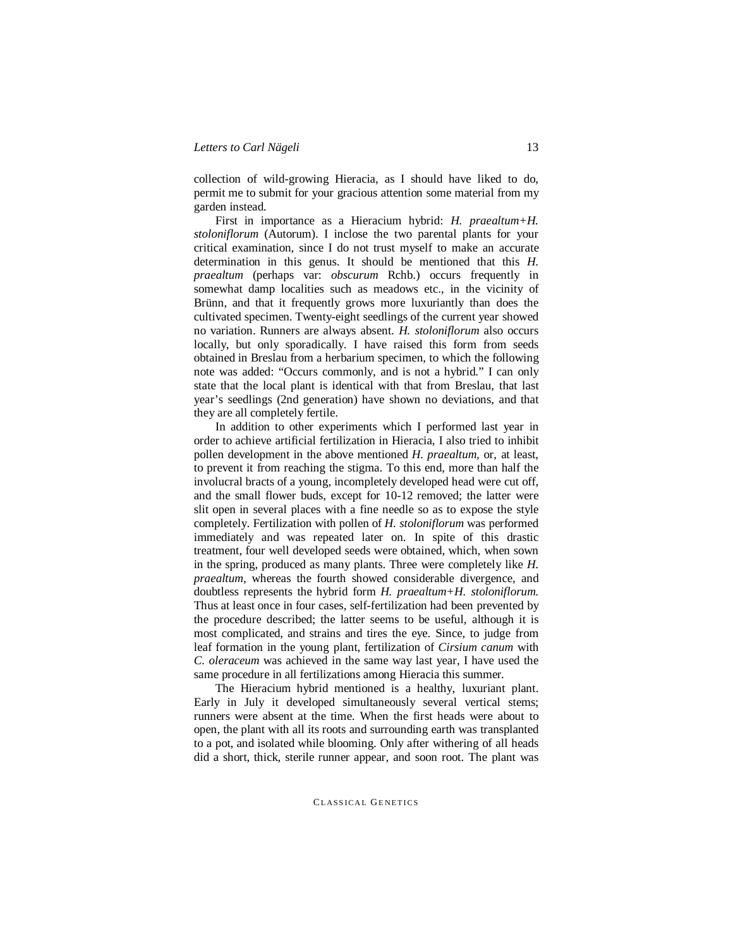collection of wild-growing Hieracia, as I should have liked to do, permit me to submit for your gracious attention some material from my garden instead.

First in importance as a Hieracium hybrid: *H. praealtum+H. stoloniflorum* (Autorum). I inclose the two parental plants for your critical examination, since I do not trust myself to make an accurate determination in this genus. It should be mentioned that this *H. praealtum* (perhaps var: *obscurum* Rchb.) occurs frequently in somewhat damp localities such as meadows etc., in the vicinity of Brünn, and that it frequently grows more luxuriantly than does the cultivated specimen. Twenty-eight seedlings of the current year showed no variation. Runners are always absent. *H. stoloniflorum* also occurs locally, but only sporadically. I have raised this form from seeds obtained in Breslau from a herbarium specimen, to which the following note was added: "Occurs commonly, and is not a hybrid." I can only state that the local plant is identical with that from Breslau, that last year's seedlings (2nd generation) have shown no deviations, and that they are all completely fertile.

In addition to other experiments which I performed last year in order to achieve artificial fertilization in Hieracia, I also tried to inhibit pollen development in the above mentioned *H. praealtum,* or, at least, to prevent it from reaching the stigma. To this end, more than half the involucral bracts of a young, incompletely developed head were cut off, and the small flower buds, except for 10-12 removed; the latter were slit open in several places with a fine needle so as to expose the style completely. Fertilization with pollen of *H. stoloniflorum* was performed immediately and was repeated later on. In spite of this drastic treatment, four well developed seeds were obtained, which, when sown in the spring, produced as many plants. Three were completely like *H. praealtum,* whereas the fourth showed considerable divergence, and doubtless represents the hybrid form *H. praealtum+H. stoloniflorum.* Thus at least once in four cases, self-fertilization had been prevented by the procedure described; the latter seems to be useful, although it is most complicated, and strains and tires the eye. Since, to judge from leaf formation in the young plant, fertilization of *Cirsium canum* with *C. oleraceum* was achieved in the same way last year, I have used the same procedure in all fertilizations among Hieracia this summer.

The Hieracium hybrid mentioned is a healthy, luxuriant plant. Early in July it developed simultaneously several vertical stems; runners were absent at the time. When the first heads were about to open, the plant with all its roots and surrounding earth was transplanted to a pot, and isolated while blooming. Only after withering of all heads did a short, thick, sterile runner appear, and soon root. The plant was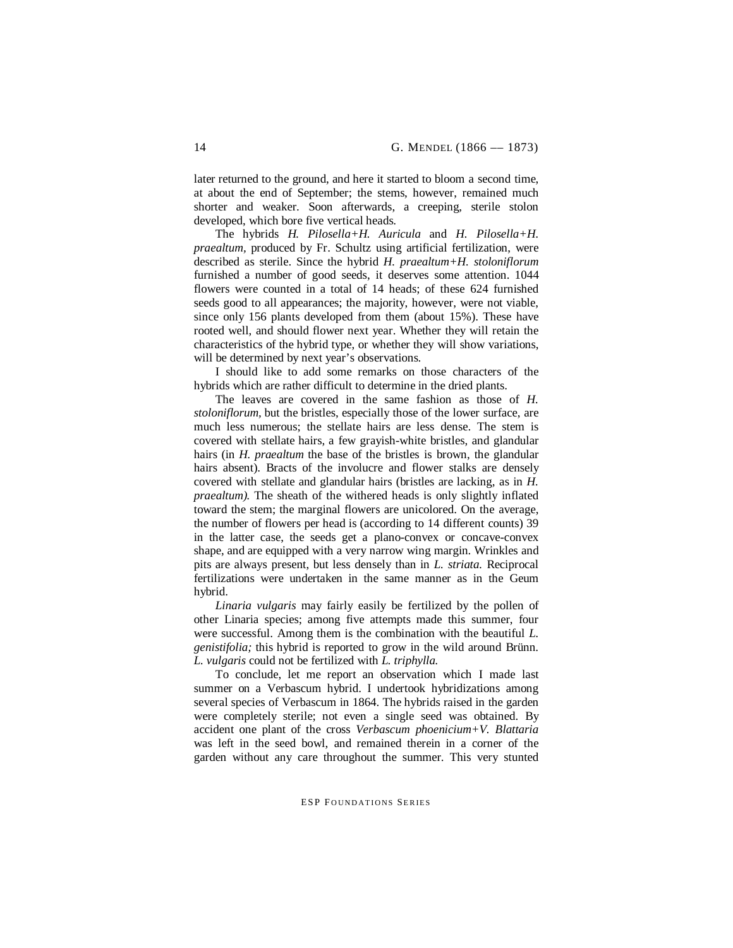later returned to the ground, and here it started to bloom a second time, at about the end of September; the stems, however, remained much shorter and weaker. Soon afterwards, a creeping, sterile stolon developed, which bore five vertical heads.

The hybrids *H. Pilosella+H. Auricula* and *H. Pilosella+H. praealtum,* produced by Fr. Schultz using artificial fertilization, were described as sterile. Since the hybrid *H. praealtum+H. stoloniflorum* furnished a number of good seeds, it deserves some attention. 1044 flowers were counted in a total of 14 heads; of these 624 furnished seeds good to all appearances; the majority, however, were not viable, since only 156 plants developed from them (about 15%). These have rooted well, and should flower next year. Whether they will retain the characteristics of the hybrid type, or whether they will show variations, will be determined by next year's observations.

I should like to add some remarks on those characters of the hybrids which are rather difficult to determine in the dried plants.

The leaves are covered in the same fashion as those of *H. stoloniflorum,* but the bristles, especially those of the lower surface, are much less numerous; the stellate hairs are less dense. The stem is covered with stellate hairs, a few grayish-white bristles, and glandular hairs (in *H. praealtum* the base of the bristles is brown, the glandular hairs absent). Bracts of the involucre and flower stalks are densely covered with stellate and glandular hairs (bristles are lacking, as in *H. praealtum).* The sheath of the withered heads is only slightly inflated toward the stem; the marginal flowers are unicolored. On the average, the number of flowers per head is (according to 14 different counts) 39 in the latter case, the seeds get a plano-convex or concave-convex shape, and are equipped with a very narrow wing margin. Wrinkles and pits are always present, but less densely than in *L. striata.* Reciprocal fertilizations were undertaken in the same manner as in the Geum hybrid.

*Linaria vulgaris* may fairly easily be fertilized by the pollen of other Linaria species; among five attempts made this summer, four were successful. Among them is the combination with the beautiful *L. genistifolia;* this hybrid is reported to grow in the wild around Brünn. *L. vulgaris* could not be fertilized with *L. triphylla.*

To conclude, let me report an observation which I made last summer on a Verbascum hybrid. I undertook hybridizations among several species of Verbascum in 1864. The hybrids raised in the garden were completely sterile; not even a single seed was obtained. By accident one plant of the cross *Verbascum phoenicium+V. Blattaria* was left in the seed bowl, and remained therein in a corner of the garden without any care throughout the summer. This very stunted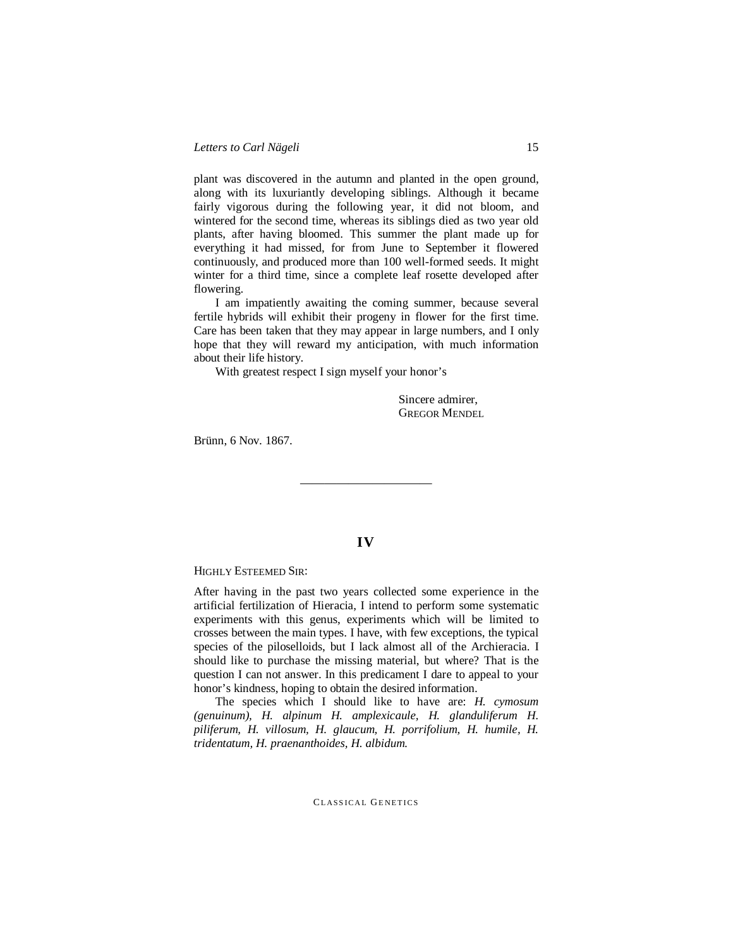*Letters to Carl Nägeli* 15

plant was discovered in the autumn and planted in the open ground, along with its luxuriantly developing siblings. Although it became fairly vigorous during the following year, it did not bloom, and wintered for the second time, whereas its siblings died as two year old plants, after having bloomed. This summer the plant made up for everything it had missed, for from June to September it flowered continuously, and produced more than 100 well-formed seeds. It might winter for a third time, since a complete leaf rosette developed after flowering.

I am impatiently awaiting the coming summer, because several fertile hybrids will exhibit their progeny in flower for the first time. Care has been taken that they may appear in large numbers, and I only hope that they will reward my anticipation, with much information about their life history.

With greatest respect I sign myself your honor's

Sincere admirer, GREGOR MENDEL

Brünn, 6 Nov. 1867.

#### **IV**

———————————

HIGHLY ESTEEMED SIR:

After having in the past two years collected some experience in the artificial fertilization of Hieracia, I intend to perform some systematic experiments with this genus, experiments which will be limited to crosses between the main types. I have, with few exceptions, the typical species of the piloselloids, but I lack almost all of the Archieracia. I should like to purchase the missing material, but where? That is the question I can not answer. In this predicament I dare to appeal to your honor's kindness, hoping to obtain the desired information.

The species which I should like to have are: *H. cymosum (genuinum), H. alpinum H. amplexicaule, H. glanduliferum H. piliferum, H. villosum, H. glaucum, H. porrifolium, H. humile, H. tridentatum, H. praenanthoides, H. albidum.*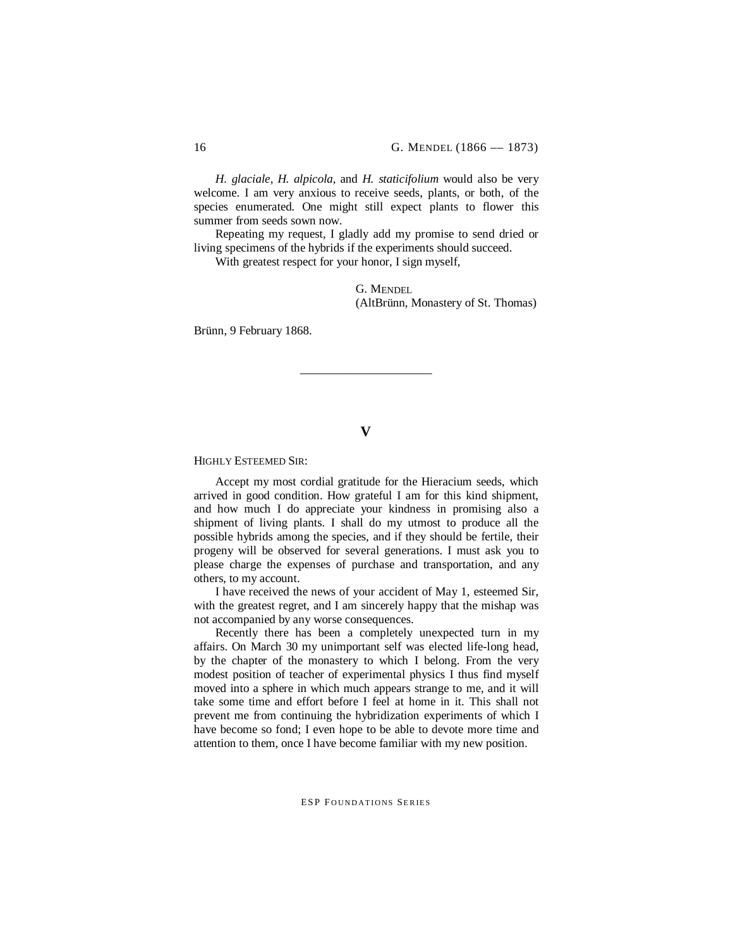*H. glaciale, H. alpicola,* and *H. staticifolium* would also be very welcome. I am very anxious to receive seeds, plants, or both, of the species enumerated. One might still expect plants to flower this summer from seeds sown now.

Repeating my request, I gladly add my promise to send dried or living specimens of the hybrids if the experiments should succeed.

With greatest respect for your honor, I sign myself,

G. MENDEL (AltBrünn, Monastery of St. Thomas)

Brünn, 9 February 1868.

#### **V**

————————————————————

HIGHLY ESTEEMED SIR:

Accept my most cordial gratitude for the Hieracium seeds, which arrived in good condition. How grateful I am for this kind shipment, and how much I do appreciate your kindness in promising also a shipment of living plants. I shall do my utmost to produce all the possible hybrids among the species, and if they should be fertile, their progeny will be observed for several generations. I must ask you to please charge the expenses of purchase and transportation, and any others, to my account.

I have received the news of your accident of May 1, esteemed Sir, with the greatest regret, and I am sincerely happy that the mishap was not accompanied by any worse consequences.

Recently there has been a completely unexpected turn in my affairs. On March 30 my unimportant self was elected life-long head, by the chapter of the monastery to which I belong. From the very modest position of teacher of experimental physics I thus find myself moved into a sphere in which much appears strange to me, and it will take some time and effort before I feel at home in it. This shall not prevent me from continuing the hybridization experiments of which I have become so fond; I even hope to be able to devote more time and attention to them, once I have become familiar with my new position.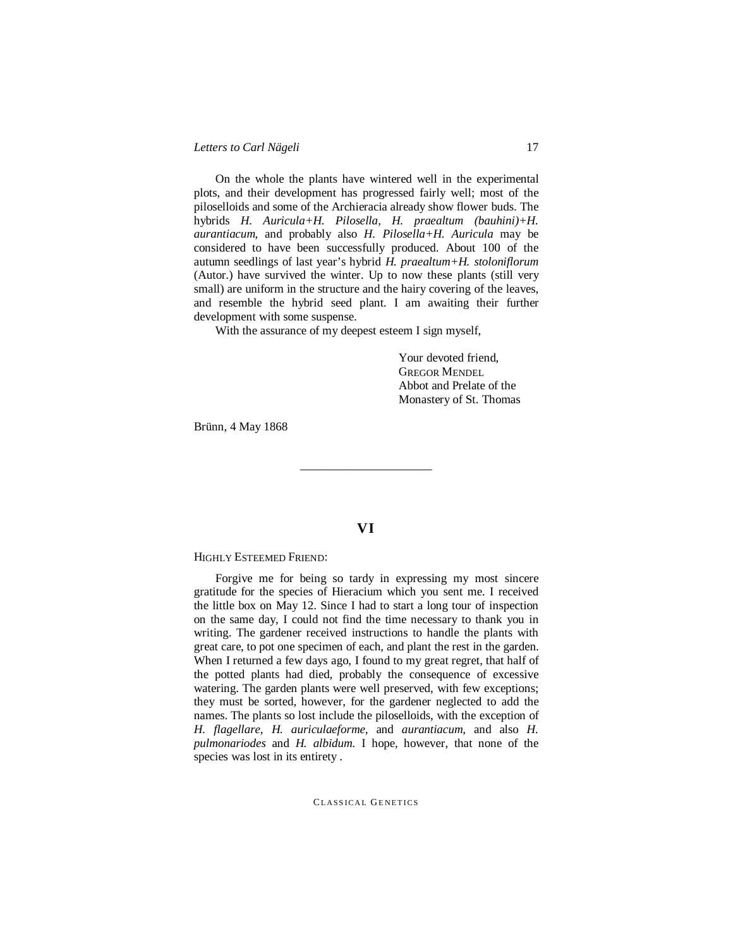On the whole the plants have wintered well in the experimental plots, and their development has progressed fairly well; most of the piloselloids and some of the Archieracia already show flower buds. The hybrids *H. Auricula+H. Pilosella, H. praealtum (bauhini)+H. aurantiacum,* and probably also *H. Pilosella+H. Auricula* may be considered to have been successfully produced. About 100 of the autumn seedlings of last year's hybrid *H. praealtum+H. stoloniflorum* (Autor.) have survived the winter. Up to now these plants (still very small) are uniform in the structure and the hairy covering of the leaves, and resemble the hybrid seed plant. I am awaiting their further development with some suspense.

With the assurance of my deepest esteem I sign myself,

Your devoted friend, GREGOR MENDEL Abbot and Prelate of the Monastery of St. Thomas

Brünn, 4 May 1868

#### **VI**

———————————

HIGHLY ESTEEMED FRIEND:

Forgive me for being so tardy in expressing my most sincere gratitude for the species of Hieracium which you sent me. I received the little box on May 12. Since I had to start a long tour of inspection on the same day, I could not find the time necessary to thank you in writing. The gardener received instructions to handle the plants with great care, to pot one specimen of each, and plant the rest in the garden. When I returned a few days ago, I found to my great regret, that half of the potted plants had died, probably the consequence of excessive watering. The garden plants were well preserved, with few exceptions; they must be sorted, however, for the gardener neglected to add the names. The plants so lost include the piloselloids, with the exception of *H. flagellare, H. auriculaeforme,* and *aurantiacum,* and also *H. pulmonariodes* and *H. albidum.* I hope, however, that none of the species was lost in its entirety .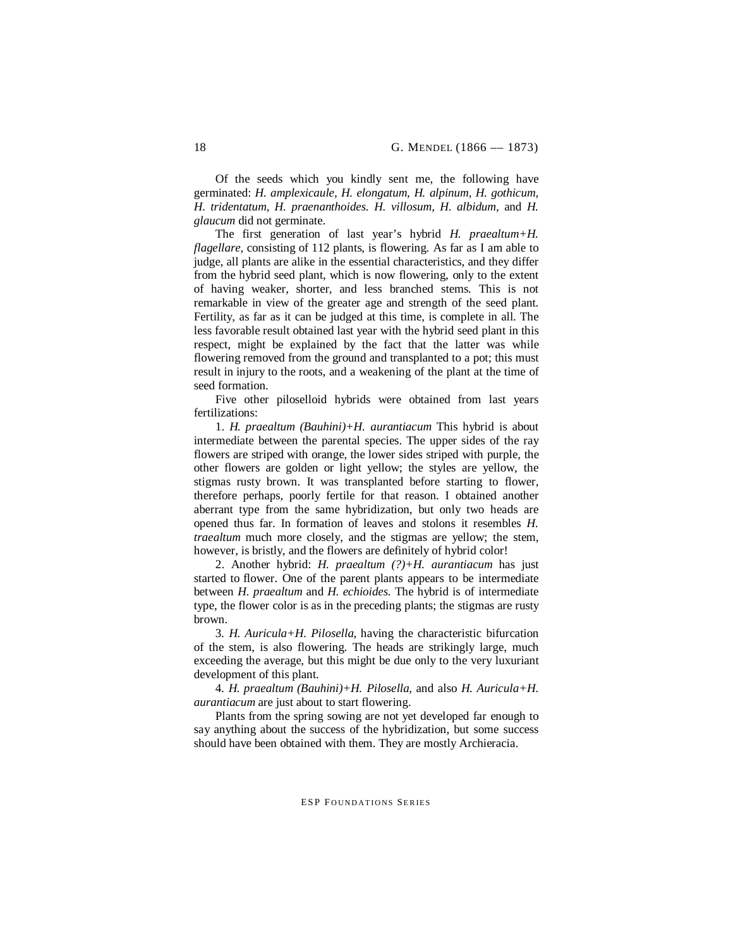Of the seeds which you kindly sent me, the following have germinated: *H. amplexicaule, H. elongatum, H. alpinum, H. gothicum, H. tridentatum, H. praenanthoides. H. villosum, H. albidum,* and *H. glaucum* did not germinate.

The first generation of last year's hybrid *H. praealtum+H. flagellare,* consisting of 112 plants, is flowering. As far as I am able to judge, all plants are alike in the essential characteristics, and they differ from the hybrid seed plant, which is now flowering, only to the extent of having weaker, shorter, and less branched stems. This is not remarkable in view of the greater age and strength of the seed plant. Fertility, as far as it can be judged at this time, is complete in all. The less favorable result obtained last year with the hybrid seed plant in this respect, might be explained by the fact that the latter was while flowering removed from the ground and transplanted to a pot; this must result in injury to the roots, and a weakening of the plant at the time of seed formation.

Five other piloselloid hybrids were obtained from last years fertilizations:

1. *H. praealtum (Bauhini)+H. aurantiacum* This hybrid is about intermediate between the parental species. The upper sides of the ray flowers are striped with orange, the lower sides striped with purple, the other flowers are golden or light yellow; the styles are yellow, the stigmas rusty brown. It was transplanted before starting to flower, therefore perhaps, poorly fertile for that reason. I obtained another aberrant type from the same hybridization, but only two heads are opened thus far. In formation of leaves and stolons it resembles *H. traealtum* much more closely, and the stigmas are yellow; the stem, however, is bristly, and the flowers are definitely of hybrid color!

2. Another hybrid: *H. praealtum (?)+H. aurantiacum* has just started to flower. One of the parent plants appears to be intermediate between *H. praealtum* and *H. echioides.* The hybrid is of intermediate type, the flower color is as in the preceding plants; the stigmas are rusty brown.

3*. H. Auricula+H. Pilosella,* having the characteristic bifurcation of the stem, is also flowering. The heads are strikingly large, much exceeding the average, but this might be due only to the very luxuriant development of this plant.

4*. H. praealtum (Bauhini)+H. Pilosella,* and also *H. Auricula+H. aurantiacum* are just about to start flowering.

Plants from the spring sowing are not yet developed far enough to say anything about the success of the hybridization, but some success should have been obtained with them. They are mostly Archieracia.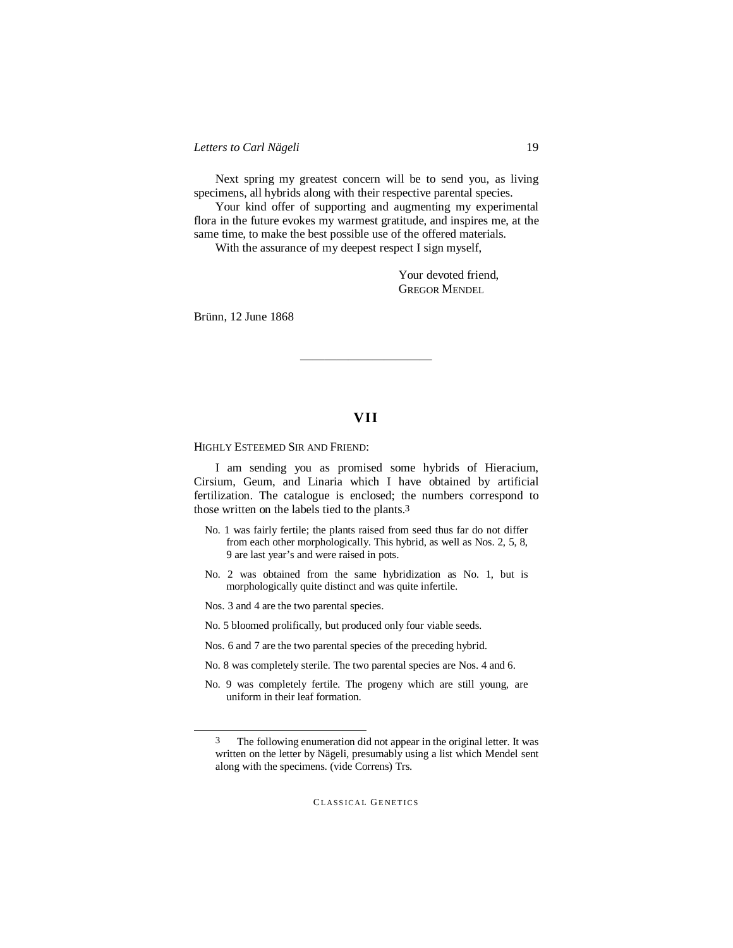Next spring my greatest concern will be to send you, as living specimens, all hybrids along with their respective parental species.

Your kind offer of supporting and augmenting my experimental flora in the future evokes my warmest gratitude, and inspires me, at the same time, to make the best possible use of the offered materials.

With the assurance of my deepest respect I sign myself,

Your devoted friend, GREGOR MENDEL

Brünn, 12 June 1868

#### **VII**

———————————

HIGHLY ESTEEMED SIR AND FRIEND:

I am sending you as promised some hybrids of Hieracium, Cirsium, Geum, and Linaria which I have obtained by artificial fertilization. The catalogue is enclosed; the numbers correspond to those written on the labels tied to the plants.3

- No. 1 was fairly fertile; the plants raised from seed thus far do not differ from each other morphologically. This hybrid, as well as Nos. 2, 5, 8, 9 are last year's and were raised in pots.
- No. 2 was obtained from the same hybridization as No. 1, but is morphologically quite distinct and was quite infertile.
- Nos. 3 and 4 are the two parental species.
- No. 5 bloomed prolifically, but produced only four viable seeds.
- Nos. 6 and 7 are the two parental species of the preceding hybrid.
- No. 8 was completely sterile. The two parental species are Nos. 4 and 6.
- No. 9 was completely fertile. The progeny which are still young, are uniform in their leaf formation.

<sup>&</sup>lt;sup>3</sup> The following enumeration did not appear in the original letter. It was written on the letter by Nägeli, presumably using a list which Mendel sent along with the specimens. (vide Correns) Trs.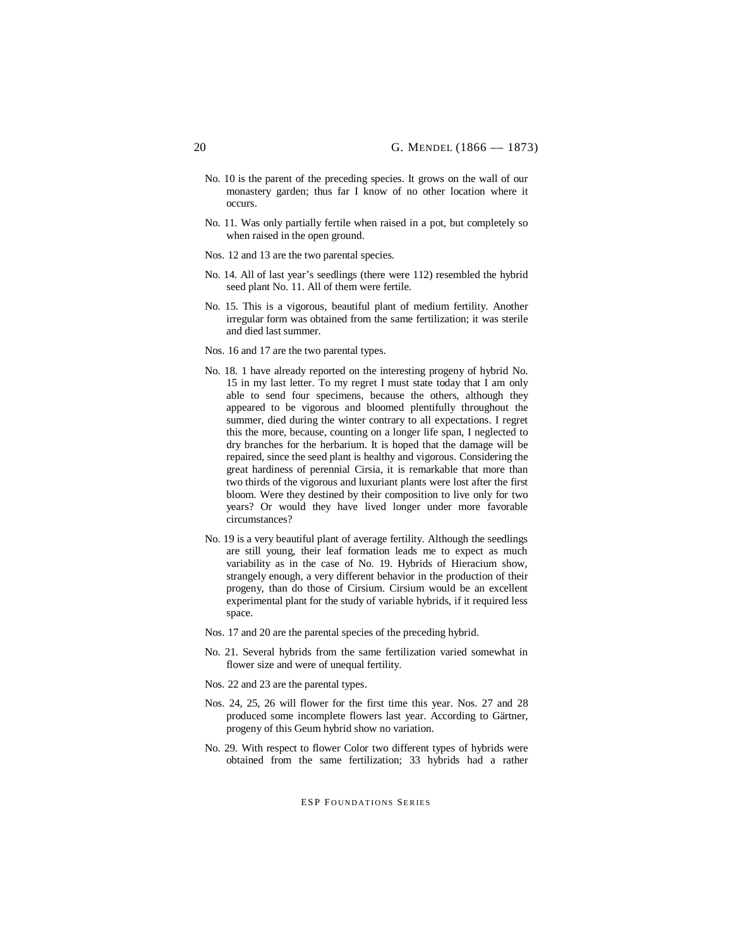- No. 10 is the parent of the preceding species. It grows on the wall of our monastery garden; thus far I know of no other location where it occurs.
- No. 11. Was only partially fertile when raised in a pot, but completely so when raised in the open ground.
- Nos. 12 and 13 are the two parental species.
- No. 14. All of last year's seedlings (there were 112) resembled the hybrid seed plant No. 11. All of them were fertile.
- No. 15. This is a vigorous, beautiful plant of medium fertility. Another irregular form was obtained from the same fertilization; it was sterile and died last summer.
- Nos. 16 and 17 are the two parental types.
- No. 18. 1 have already reported on the interesting progeny of hybrid No. 15 in my last letter. To my regret I must state today that I am only able to send four specimens, because the others, although they appeared to be vigorous and bloomed plentifully throughout the summer, died during the winter contrary to all expectations. I regret this the more, because, counting on a longer life span, I neglected to dry branches for the herbarium. It is hoped that the damage will be repaired, since the seed plant is healthy and vigorous. Considering the great hardiness of perennial Cirsia, it is remarkable that more than two thirds of the vigorous and luxuriant plants were lost after the first bloom. Were they destined by their composition to live only for two years? Or would they have lived longer under more favorable circumstances?
- No. 19 is a very beautiful plant of average fertility. Although the seedlings are still young, their leaf formation leads me to expect as much variability as in the case of No. 19. Hybrids of Hieracium show, strangely enough, a very different behavior in the production of their progeny, than do those of Cirsium. Cirsium would be an excellent experimental plant for the study of variable hybrids, if it required less space.
- Nos. 17 and 20 are the parental species of the preceding hybrid.
- No. 21. Several hybrids from the same fertilization varied somewhat in flower size and were of unequal fertility.
- Nos. 22 and 23 are the parental types.
- Nos. 24, 25, 26 will flower for the first time this year. Nos. 27 and 28 produced some incomplete flowers last year. According to Gärtner, progeny of this Geum hybrid show no variation.
- No. 29. With respect to flower Color two different types of hybrids were obtained from the same fertilization; 33 hybrids had a rather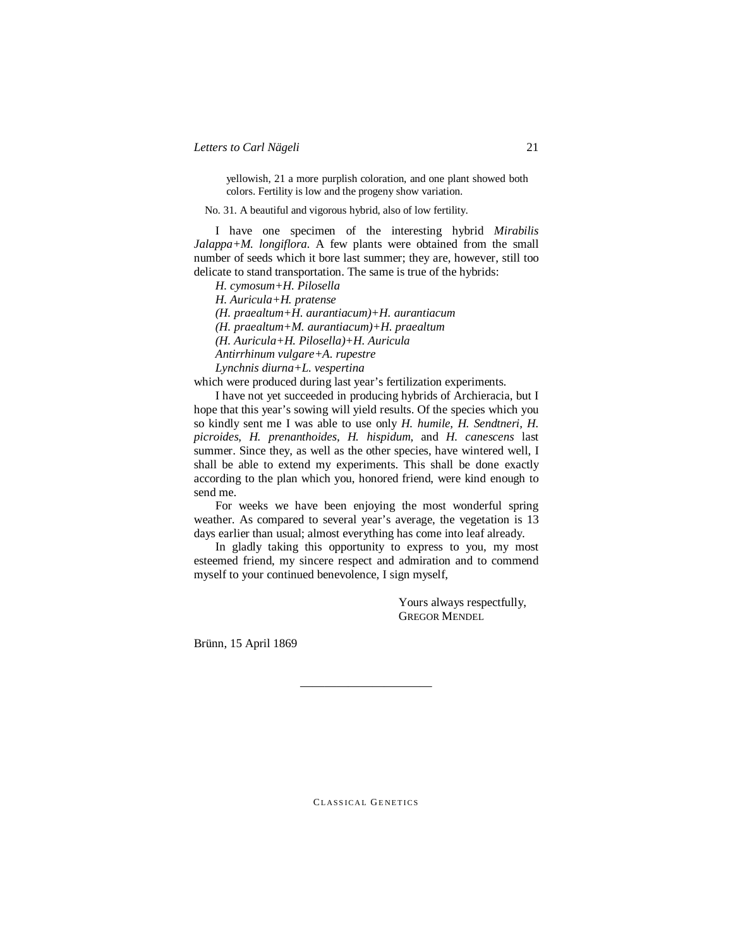yellowish, 21 a more purplish coloration, and one plant showed both colors. Fertility is low and the progeny show variation.

No. 31. A beautiful and vigorous hybrid, also of low fertility.

I have one specimen of the interesting hybrid *Mirabilis Jalappa+M. longiflora.* A few plants were obtained from the small number of seeds which it bore last summer; they are, however, still too delicate to stand transportation. The same is true of the hybrids:

*H. cymosum+H. Pilosella H. Auricula+H. pratense (H. praealtum+H. aurantiacum)+H. aurantiacum (H. praealtum+M. aurantiacum)+H. praealtum (H. Auricula+H. Pilosella)+H. Auricula Antirrhinum vulgare+A. rupestre Lynchnis diurna+L. vespertina*

which were produced during last year's fertilization experiments.

I have not yet succeeded in producing hybrids of Archieracia, but I hope that this year's sowing will yield results. Of the species which you so kindly sent me I was able to use only *H. humile, H. Sendtneri, H. picroides, H. prenanthoides, H. hispidum,* and *H. canescens* last summer. Since they, as well as the other species, have wintered well, I shall be able to extend my experiments. This shall be done exactly according to the plan which you, honored friend, were kind enough to send me.

For weeks we have been enjoying the most wonderful spring weather. As compared to several year's average, the vegetation is 13 days earlier than usual; almost everything has come into leaf already.

In gladly taking this opportunity to express to you, my most esteemed friend, my sincere respect and admiration and to commend myself to your continued benevolence, I sign myself,

> Yours always respectfully, GREGOR MENDEL

Brünn, 15 April 1869

———————————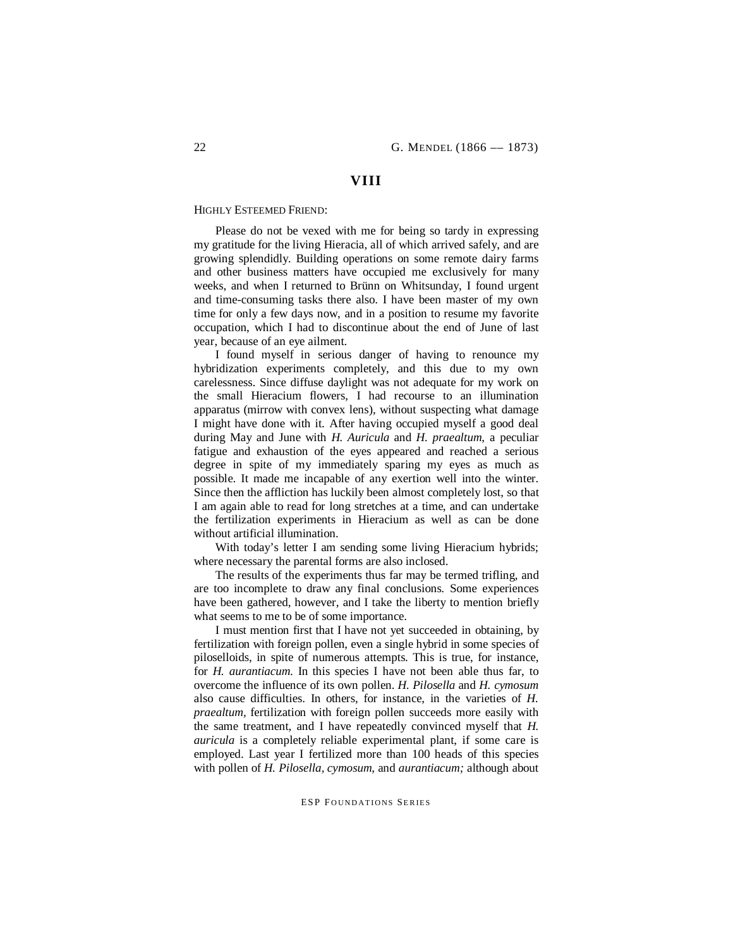#### **VIII**

#### HIGHLY ESTEEMED FRIEND:

Please do not be vexed with me for being so tardy in expressing my gratitude for the living Hieracia, all of which arrived safely, and are growing splendidly. Building operations on some remote dairy farms and other business matters have occupied me exclusively for many weeks, and when I returned to Brünn on Whitsunday, I found urgent and time-consuming tasks there also. I have been master of my own time for only a few days now, and in a position to resume my favorite occupation, which I had to discontinue about the end of June of last year, because of an eye ailment.

I found myself in serious danger of having to renounce my hybridization experiments completely, and this due to my own carelessness. Since diffuse daylight was not adequate for my work on the small Hieracium flowers, I had recourse to an illumination apparatus (mirrow with convex lens), without suspecting what damage I might have done with it. After having occupied myself a good deal during May and June with *H. Auricula* and *H. praealtum*, a peculiar fatigue and exhaustion of the eyes appeared and reached a serious degree in spite of my immediately sparing my eyes as much as possible. It made me incapable of any exertion well into the winter. Since then the affliction has luckily been almost completely lost, so that I am again able to read for long stretches at a time, and can undertake the fertilization experiments in Hieracium as well as can be done without artificial illumination.

With today's letter I am sending some living Hieracium hybrids; where necessary the parental forms are also inclosed.

The results of the experiments thus far may be termed trifling, and are too incomplete to draw any final conclusions. Some experiences have been gathered, however, and I take the liberty to mention briefly what seems to me to be of some importance.

I must mention first that I have not yet succeeded in obtaining, by fertilization with foreign pollen, even a single hybrid in some species of piloselloids, in spite of numerous attempts. This is true, for instance, for *H. aurantiacum*. In this species I have not been able thus far, to overcome the influence of its own pollen. *H. Pilosella* and *H. cymosum* also cause difficulties. In others, for instance, in the varieties of *H. praealtum,* fertilization with foreign pollen succeeds more easily with the same treatment, and I have repeatedly convinced myself that *H. auricula* is a completely reliable experimental plant, if some care is employed. Last year I fertilized more than 100 heads of this species with pollen of *H. Pilosella, cymosum*, and *aurantiacum;* although about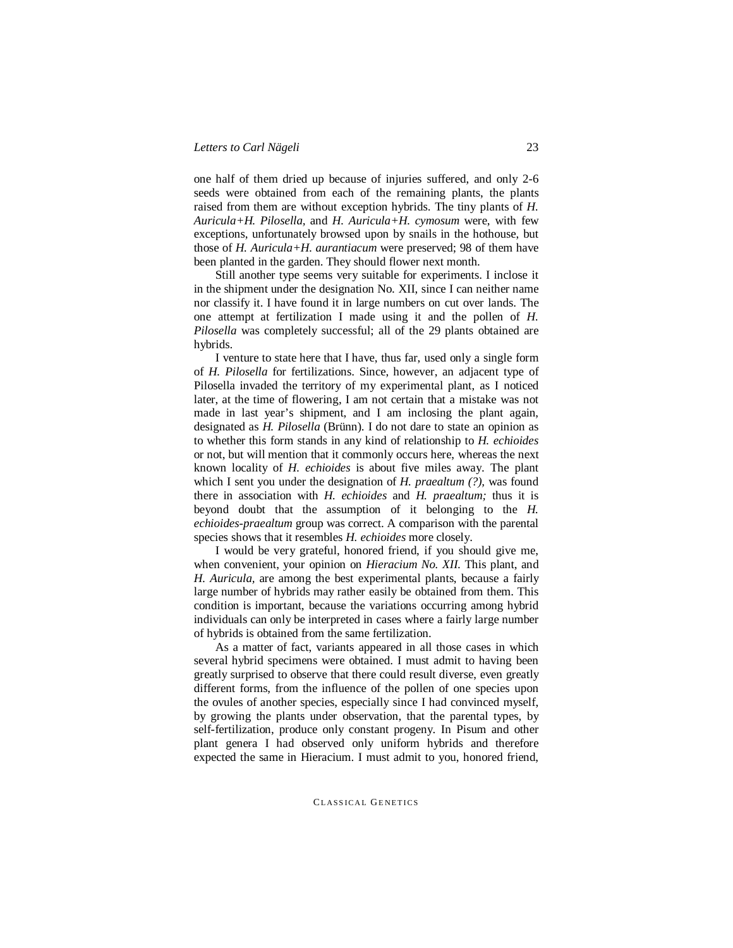one half of them dried up because of injuries suffered, and only 2-6 seeds were obtained from each of the remaining plants, the plants raised from them are without exception hybrids. The tiny plants of *H. Auricula+H. Pilosella,* and *H. Auricula+H. cymosum* were, with few exceptions, unfortunately browsed upon by snails in the hothouse, but those of *H. Auricula+H. aurantiacum* were preserved; 98 of them have been planted in the garden. They should flower next month.

Still another type seems very suitable for experiments. I inclose it in the shipment under the designation No. XII, since I can neither name nor classify it. I have found it in large numbers on cut over lands. The one attempt at fertilization I made using it and the pollen of *H. Pilosella* was completely successful; all of the 29 plants obtained are hybrids.

I venture to state here that I have, thus far, used only a single form of *H. Pilosella* for fertilizations. Since, however, an adjacent type of Pilosella invaded the territory of my experimental plant, as I noticed later, at the time of flowering, I am not certain that a mistake was not made in last year's shipment, and I am inclosing the plant again, designated as *H. Pilosella* (Brünn). I do not dare to state an opinion as to whether this form stands in any kind of relationship to *H. echioides* or not, but will mention that it commonly occurs here, whereas the next known locality of *H. echioides* is about five miles away. The plant which I sent you under the designation of *H. praealtum (?),* was found there in association with *H. echioides* and *H. praealtum;* thus it is beyond doubt that the assumption of it belonging to the *H. echioides-praealtum* group was correct. A comparison with the parental species shows that it resembles *H. echioides* more closely.

I would be very grateful, honored friend, if you should give me, when convenient, your opinion on *Hieracium No. XII*. This plant, and *H. Auricula,* are among the best experimental plants, because a fairly large number of hybrids may rather easily be obtained from them. This condition is important, because the variations occurring among hybrid individuals can only be interpreted in cases where a fairly large number of hybrids is obtained from the same fertilization.

As a matter of fact, variants appeared in all those cases in which several hybrid specimens were obtained. I must admit to having been greatly surprised to observe that there could result diverse, even greatly different forms, from the influence of the pollen of one species upon the ovules of another species, especially since I had convinced myself, by growing the plants under observation, that the parental types, by self-fertilization, produce only constant progeny. In Pisum and other plant genera I had observed only uniform hybrids and therefore expected the same in Hieracium. I must admit to you, honored friend,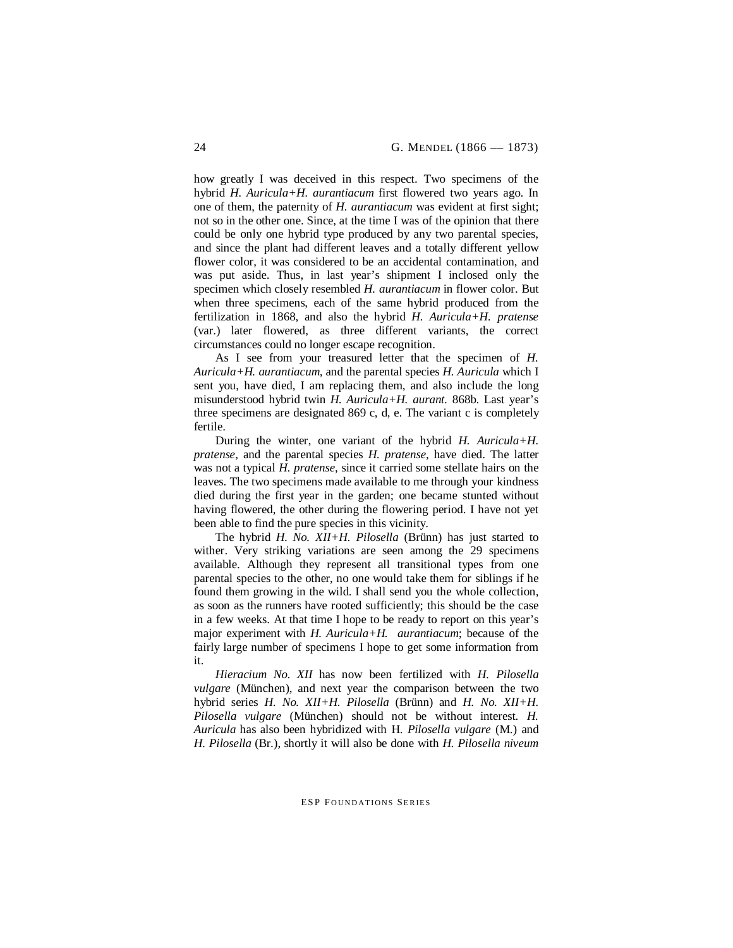how greatly I was deceived in this respect. Two specimens of the hybrid *H. Auricula+H. aurantiacum* first flowered two years ago. In one of them, the paternity of *H. aurantiacum* was evident at first sight; not so in the other one. Since, at the time I was of the opinion that there could be only one hybrid type produced by any two parental species, and since the plant had different leaves and a totally different yellow flower color, it was considered to be an accidental contamination, and was put aside. Thus, in last year's shipment I inclosed only the specimen which closely resembled *H. aurantiacum* in flower color. But when three specimens, each of the same hybrid produced from the fertilization in 1868, and also the hybrid *H. Auricula+H. pratense* (var.) later flowered, as three different variants, the correct circumstances could no longer escape recognition.

As I see from your treasured letter that the specimen of *H. Auricula+H. aurantiacum,* and the parental species *H. Auricula* which I sent you, have died, I am replacing them, and also include the long misunderstood hybrid twin *H. Auricula+H. aurant.* 868b. Last year's three specimens are designated 869 c, d, e. The variant c is completely fertile.

During the winter, one variant of the hybrid *H. Auricula+H. pratense,* and the parental species *H. pratense,* have died. The latter was not a typical *H. pratense,* since it carried some stellate hairs on the leaves. The two specimens made available to me through your kindness died during the first year in the garden; one became stunted without having flowered, the other during the flowering period. I have not yet been able to find the pure species in this vicinity.

The hybrid *H. No. XII+H. Pilosella* (Brünn) has just started to wither. Very striking variations are seen among the 29 specimens available. Although they represent all transitional types from one parental species to the other, no one would take them for siblings if he found them growing in the wild. I shall send you the whole collection, as soon as the runners have rooted sufficiently; this should be the case in a few weeks. At that time I hope to be ready to report on this year's major experiment with *H. Auricula+H. aurantiacum*; because of the fairly large number of specimens I hope to get some information from it.

*Hieracium No. XII* has now been fertilized with *H. Pilosella vulgare* (München), and next year the comparison between the two hybrid series *H. No. XII+H. Pilosella* (Brünn) and *H. No. XII+H. Pilosella vulgare* (München) should not be without interest. *H. Auricula* has also been hybridized with H. *Pilosella vulgare* (M.) and *H. Pilosella* (Br.), shortly it will also be done with *H. Pilosella niveum*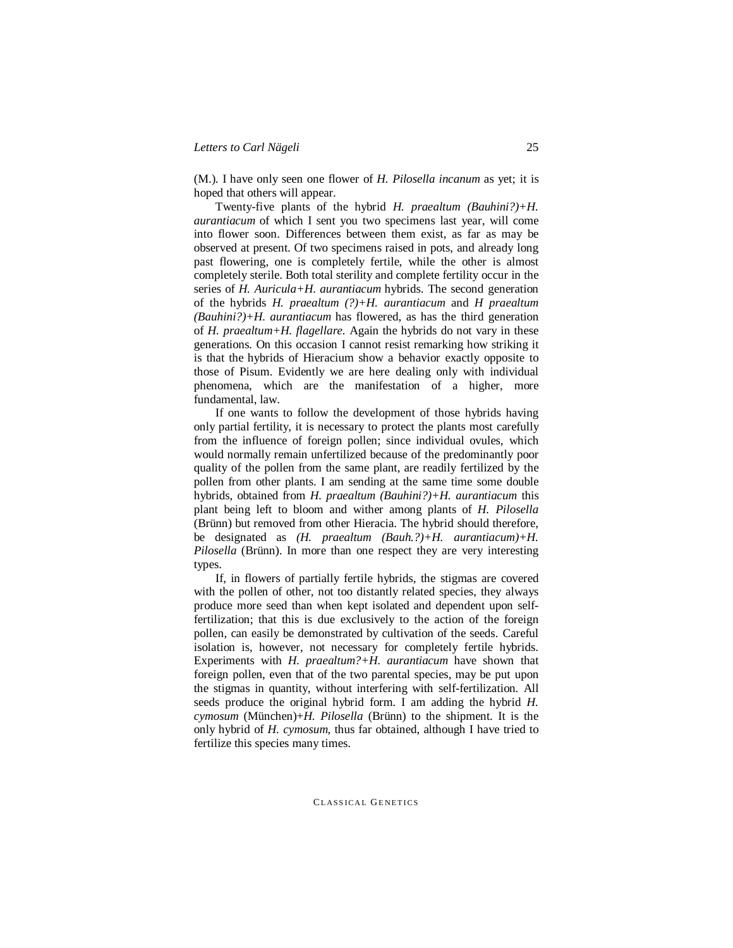(M.)*.* I have only seen one flower of *H. Pilosella incanum* as yet; it is hoped that others will appear.

Twenty-five plants of the hybrid *H. praealtum (Bauhini?)+H. aurantiacum* of which I sent you two specimens last year, will come into flower soon. Differences between them exist, as far as may be observed at present. Of two specimens raised in pots, and already long past flowering, one is completely fertile, while the other is almost completely sterile. Both total sterility and complete fertility occur in the series of *H. Auricula+H. aurantiacum* hybrids. The second generation of the hybrids *H. praealtum (?)+H. aurantiacum* and *H praealtum (Bauhini?)+H. aurantiacum* has flowered, as has the third generation of *H. praealtum+H. flagellare.* Again the hybrids do not vary in these generations. On this occasion I cannot resist remarking how striking it is that the hybrids of Hieracium show a behavior exactly opposite to those of Pisum. Evidently we are here dealing only with individual phenomena, which are the manifestation of a higher, more fundamental, law.

If one wants to follow the development of those hybrids having only partial fertility, it is necessary to protect the plants most carefully from the influence of foreign pollen; since individual ovules, which would normally remain unfertilized because of the predominantly poor quality of the pollen from the same plant, are readily fertilized by the pollen from other plants. I am sending at the same time some double hybrids, obtained from *H. praealtum (Bauhini?)+H. aurantiacum* this plant being left to bloom and wither among plants of *H. Pilosella* (Brünn) but removed from other Hieracia. The hybrid should therefore, be designated as *(H. praealtum (Bauh.?)+H. aurantiacum)+H. Pilosella* (Brünn). In more than one respect they are very interesting types.

If, in flowers of partially fertile hybrids, the stigmas are covered with the pollen of other, not too distantly related species, they always produce more seed than when kept isolated and dependent upon selffertilization; that this is due exclusively to the action of the foreign pollen, can easily be demonstrated by cultivation of the seeds. Careful isolation is, however, not necessary for completely fertile hybrids. Experiments with *H. praealtum?+H. aurantiacum* have shown that foreign pollen, even that of the two parental species, may be put upon the stigmas in quantity, without interfering with self-fertilization. All seeds produce the original hybrid form. I am adding the hybrid *H. cymosum* (München)+*H. Pilosella* (Brünn) to the shipment. It is the only hybrid of *H. cymosum,* thus far obtained, although I have tried to fertilize this species many times.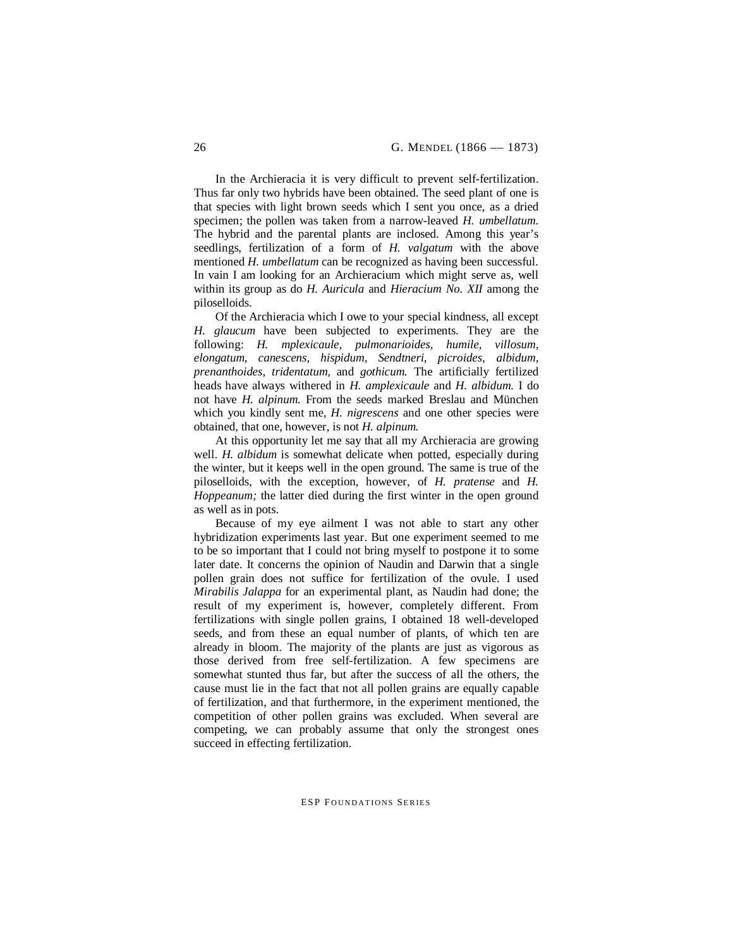In the Archieracia it is very difficult to prevent self-fertilization. Thus far only two hybrids have been obtained. The seed plant of one is that species with light brown seeds which I sent you once, as a dried specimen; the pollen was taken from a narrow-leaved *H. umbellatum.* The hybrid and the parental plants are inclosed. Among this year's seedlings, fertilization of a form of *H. valgatum* with the above mentioned *H. umbellatum* can be recognized as having been successful. In vain I am looking for an Archieracium which might serve as, well within its group as do *H. Auricula* and *Hieracium No. XII* among the piloselloids.

Of the Archieracia which I owe to your special kindness, all except *H. glaucum* have been subjected to experiments. They are the following: *H. mplexicaule, pulmonarioides, humile, villosum, elongatum, canescens, hispidum, Sendtneri, picroides, albidum, prenanthoides, tridentatum,* and *gothicum.* The artificially fertilized heads have always withered in *H. amplexicaule* and *H. albidum.* I do not have *H. alpinum.* From the seeds marked Breslau and München which you kindly sent me, *H. nigrescens* and one other species were obtained, that one, however, is not *H. alpinum.*

At this opportunity let me say that all my Archieracia are growing well. *H. albidum* is somewhat delicate when potted, especially during the winter, but it keeps well in the open ground. The same is true of the piloselloids, with the exception, however, of *H. pratense* and *H. Hoppeanum;* the latter died during the first winter in the open ground as well as in pots.

Because of my eye ailment I was not able to start any other hybridization experiments last year. But one experiment seemed to me to be so important that I could not bring myself to postpone it to some later date. It concerns the opinion of Naudin and Darwin that a single pollen grain does not suffice for fertilization of the ovule. I used *Mirabilis Jalappa* for an experimental plant, as Naudin had done; the result of my experiment is, however, completely different. From fertilizations with single pollen grains, I obtained 18 well-developed seeds, and from these an equal number of plants, of which ten are already in bloom. The majority of the plants are just as vigorous as those derived from free self-fertilization. A few specimens are somewhat stunted thus far, but after the success of all the others, the cause must lie in the fact that not all pollen grains are equally capable of fertilization, and that furthermore, in the experiment mentioned, the competition of other pollen grains was excluded. When several are competing, we can probably assume that only the strongest ones succeed in effecting fertilization.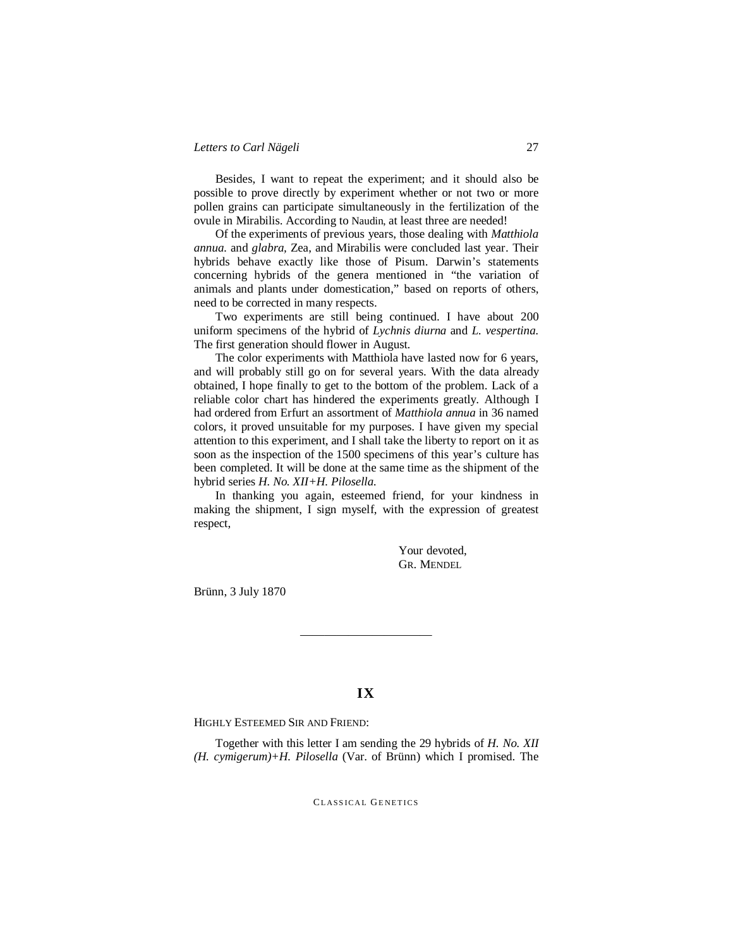Besides, I want to repeat the experiment; and it should also be possible to prove directly by experiment whether or not two or more pollen grains can participate simultaneously in the fertilization of the ovule in Mirabilis. According to Naudin, at least three are needed!

Of the experiments of previous years, those dealing with *Matthiola annua.* and *glabra,* Zea, and Mirabilis were concluded last year. Their hybrids behave exactly like those of Pisum. Darwin's statements concerning hybrids of the genera mentioned in "the variation of animals and plants under domestication," based on reports of others, need to be corrected in many respects.

Two experiments are still being continued. I have about 200 uniform specimens of the hybrid of *Lychnis diurna* and *L. vespertina.* The first generation should flower in August.

The color experiments with Matthiola have lasted now for 6 years, and will probably still go on for several years. With the data already obtained, I hope finally to get to the bottom of the problem. Lack of a reliable color chart has hindered the experiments greatly. Although I had ordered from Erfurt an assortment of *Matthiola annua* in 36 named colors, it proved unsuitable for my purposes. I have given my special attention to this experiment, and I shall take the liberty to report on it as soon as the inspection of the 1500 specimens of this year's culture has been completed. It will be done at the same time as the shipment of the hybrid series *H. No. XII+H. Pilosella.*

In thanking you again, esteemed friend, for your kindness in making the shipment, I sign myself, with the expression of greatest respect,

> Your devoted, GR. MENDEL

Brünn, 3 July 1870

#### **IX**

———————————

HIGHLY ESTEEMED SIR AND FRIEND:

Together with this letter I am sending the 29 hybrids of *H. No. XII (H. cymigerum)+H. Pilosella* (Var. of Brünn) which I promised. The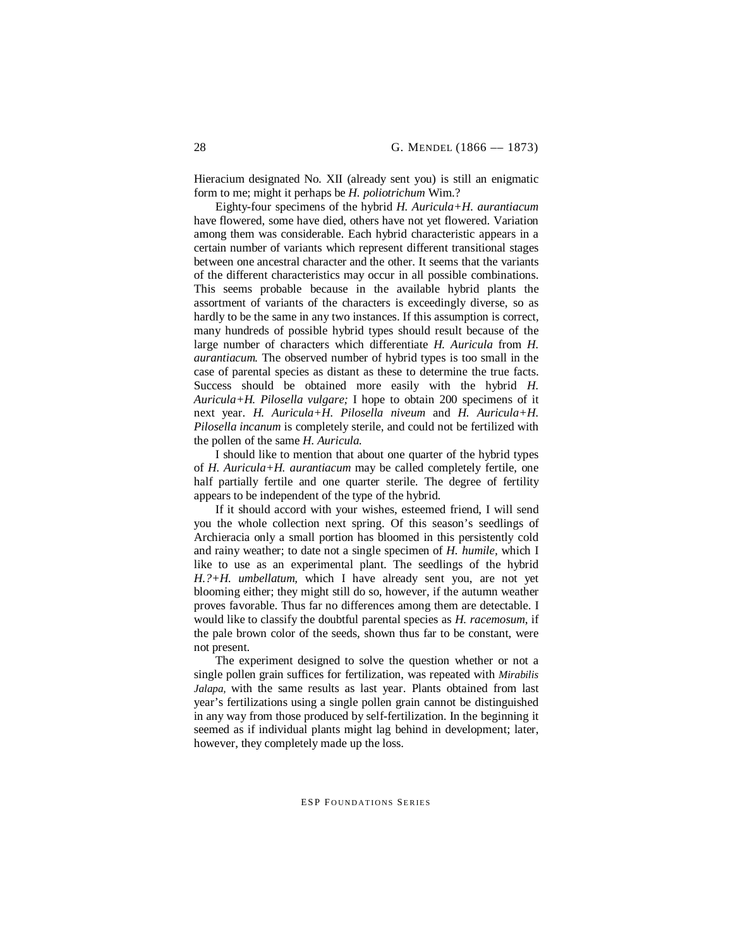Hieracium designated No. XII (already sent you) is still an enigmatic form to me; might it perhaps be *H. poliotrichum* Wim.?

Eighty-four specimens of the hybrid *H. Auricula+H. aurantiacum* have flowered, some have died, others have not yet flowered. Variation among them was considerable. Each hybrid characteristic appears in a certain number of variants which represent different transitional stages between one ancestral character and the other. It seems that the variants of the different characteristics may occur in all possible combinations. This seems probable because in the available hybrid plants the assortment of variants of the characters is exceedingly diverse, so as hardly to be the same in any two instances. If this assumption is correct, many hundreds of possible hybrid types should result because of the large number of characters which differentiate *H. Auricula* from *H. aurantiacum.* The observed number of hybrid types is too small in the case of parental species as distant as these to determine the true facts. Success should be obtained more easily with the hybrid *H. Auricula+H. Pilosella vulgare;* I hope to obtain 200 specimens of it next year. *H. Auricula+H. Pilosella niveum* and *H. Auricula+H. Pilosella incanum* is completely sterile, and could not be fertilized with the pollen of the same *H. Auricula.*

I should like to mention that about one quarter of the hybrid types of *H. Auricula+H. aurantiacum* may be called completely fertile, one half partially fertile and one quarter sterile. The degree of fertility appears to be independent of the type of the hybrid.

If it should accord with your wishes, esteemed friend, I will send you the whole collection next spring. Of this season's seedlings of Archieracia only a small portion has bloomed in this persistently cold and rainy weather; to date not a single specimen of *H. humile,* which I like to use as an experimental plant. The seedlings of the hybrid *H.?+H. umbellatum,* which I have already sent you, are not yet blooming either; they might still do so, however, if the autumn weather proves favorable. Thus far no differences among them are detectable. I would like to classify the doubtful parental species as *H. racemosum*, if the pale brown color of the seeds, shown thus far to be constant, were not present.

The experiment designed to solve the question whether or not a single pollen grain suffices for fertilization, was repeated with *Mirabilis Jalapa,* with the same results as last year. Plants obtained from last year's fertilizations using a single pollen grain cannot be distinguished in any way from those produced by self-fertilization. In the beginning it seemed as if individual plants might lag behind in development; later, however, they completely made up the loss.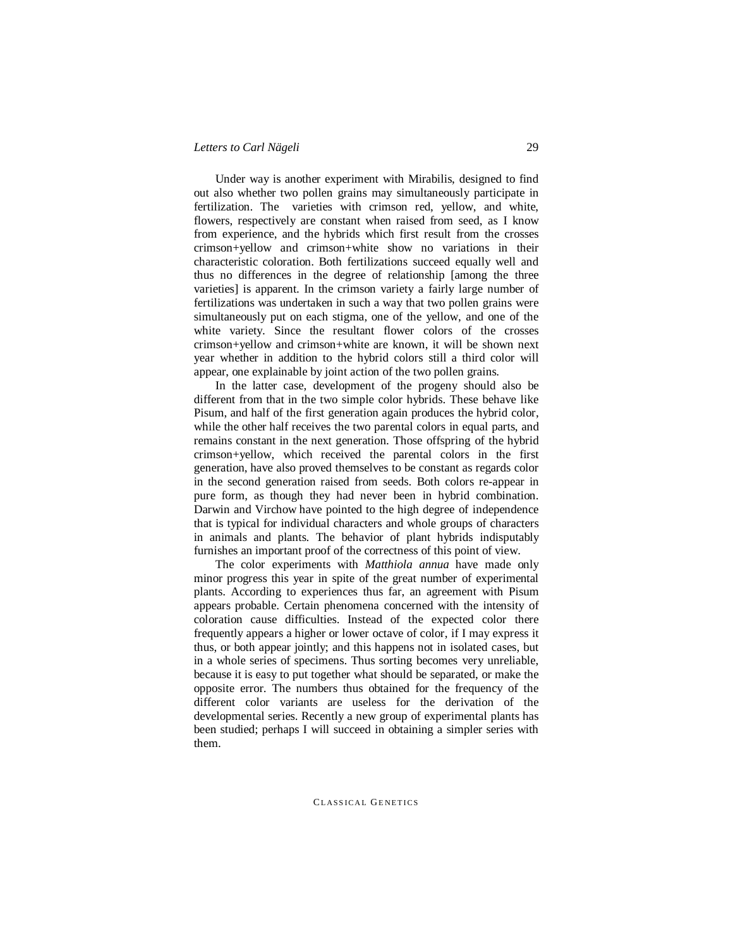Under way is another experiment with Mirabilis, designed to find out also whether two pollen grains may simultaneously participate in fertilization. The varieties with crimson red, yellow, and white, flowers, respectively are constant when raised from seed, as I know from experience, and the hybrids which first result from the crosses crimson+yellow and crimson+white show no variations in their characteristic coloration. Both fertilizations succeed equally well and thus no differences in the degree of relationship [among the three varieties] is apparent. In the crimson variety a fairly large number of fertilizations was undertaken in such a way that two pollen grains were simultaneously put on each stigma, one of the yellow, and one of the white variety. Since the resultant flower colors of the crosses crimson+yellow and crimson+white are known, it will be shown next year whether in addition to the hybrid colors still a third color will appear, one explainable by joint action of the two pollen grains.

In the latter case, development of the progeny should also be different from that in the two simple color hybrids. These behave like Pisum, and half of the first generation again produces the hybrid color, while the other half receives the two parental colors in equal parts, and remains constant in the next generation. Those offspring of the hybrid crimson+yellow, which received the parental colors in the first generation, have also proved themselves to be constant as regards color in the second generation raised from seeds. Both colors re-appear in pure form, as though they had never been in hybrid combination. Darwin and Virchow have pointed to the high degree of independence that is typical for individual characters and whole groups of characters in animals and plants. The behavior of plant hybrids indisputably furnishes an important proof of the correctness of this point of view.

The color experiments with *Matthiola annua* have made only minor progress this year in spite of the great number of experimental plants. According to experiences thus far, an agreement with Pisum appears probable. Certain phenomena concerned with the intensity of coloration cause difficulties. Instead of the expected color there frequently appears a higher or lower octave of color, if I may express it thus, or both appear jointly; and this happens not in isolated cases, but in a whole series of specimens. Thus sorting becomes very unreliable, because it is easy to put together what should be separated, or make the opposite error. The numbers thus obtained for the frequency of the different color variants are useless for the derivation of the developmental series. Recently a new group of experimental plants has been studied; perhaps I will succeed in obtaining a simpler series with them.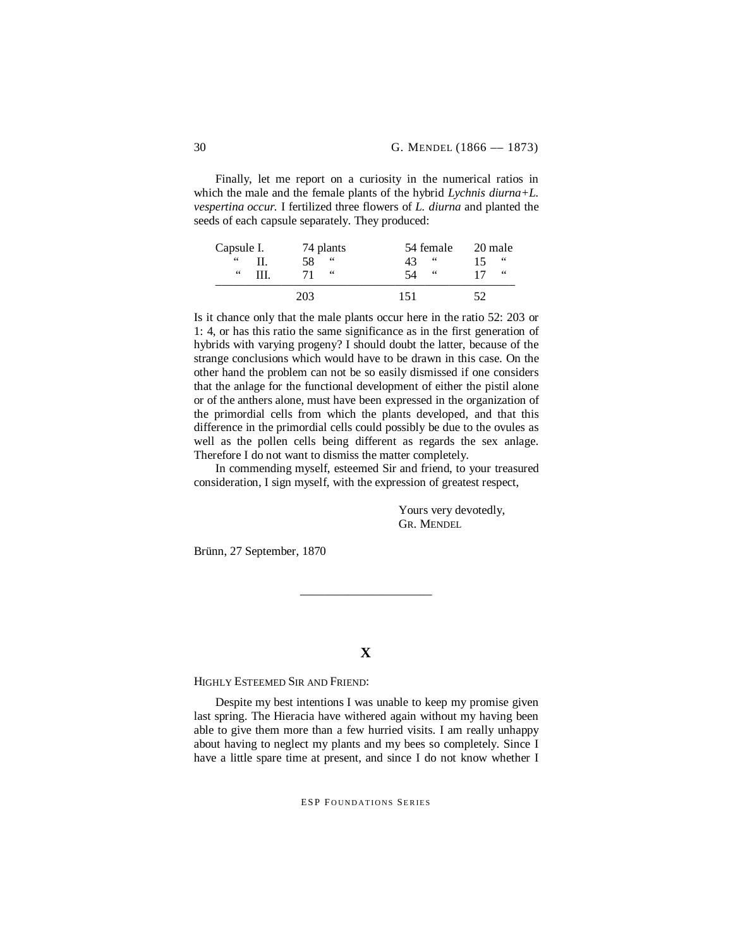Finally, let me report on a curiosity in the numerical ratios in which the male and the female plants of the hybrid *Lychnis diurna+L. vespertina occur.* I fertilized three flowers of *L. diurna* and planted the seeds of each capsule separately. They produced:

| Capsule I.            |     | 74 plants |     | 54 female | 20 male |    |
|-----------------------|-----|-----------|-----|-----------|---------|----|
| $\epsilon$ $\epsilon$ | 58  | 66        | 43  | 66        |         | 66 |
| $\epsilon$ $\epsilon$ | 71  | 66        | 54  | 66        |         | 66 |
|                       | 203 |           | 151 |           |         |    |

Is it chance only that the male plants occur here in the ratio 52: 203 or 1: 4, or has this ratio the same significance as in the first generation of hybrids with varying progeny? I should doubt the latter, because of the strange conclusions which would have to be drawn in this case. On the other hand the problem can not be so easily dismissed if one considers that the anlage for the functional development of either the pistil alone or of the anthers alone, must have been expressed in the organization of the primordial cells from which the plants developed, and that this difference in the primordial cells could possibly be due to the ovules as well as the pollen cells being different as regards the sex anlage. Therefore I do not want to dismiss the matter completely.

In commending myself, esteemed Sir and friend, to your treasured consideration, I sign myself, with the expression of greatest respect,

> Yours very devotedly, GR. MENDEL

Brünn, 27 September, 1870

**X**

———————————

HIGHLY ESTEEMED SIR AND FRIEND:

Despite my best intentions I was unable to keep my promise given last spring. The Hieracia have withered again without my having been able to give them more than a few hurried visits. I am really unhappy about having to neglect my plants and my bees so completely. Since I have a little spare time at present, and since I do not know whether I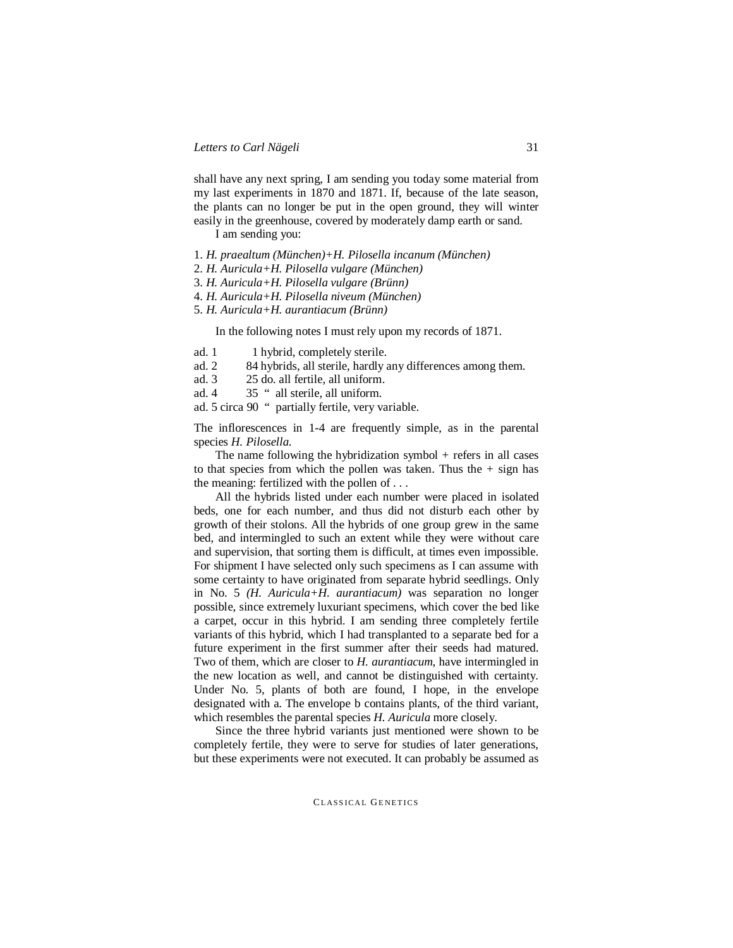shall have any next spring, I am sending you today some material from my last experiments in 1870 and 1871. If, because of the late season, the plants can no longer be put in the open ground, they will winter easily in the greenhouse, covered by moderately damp earth or sand.

I am sending you:

- 1. *H. praealtum (München)+H. Pilosella incanum (München)*
- 2. *H. Auricula+H. Pilosella vulgare (München)*
- 3. *H. Auricula+H. Pilosella vulgare (Brünn)*
- 4. *H. Auricula+H. Pilosella niveum (München)*
- 5. *H. Auricula+H. aurantiacum (Brünn)*

In the following notes I must rely upon my records of 1871.

- ad. 1 1 hybrid, completely sterile.
- ad. 2 84 hybrids, all sterile, hardly any differences among them.
- ad. 3 25 do. all fertile, all uniform.
- ad. 4 35 " all sterile, all uniform.
- ad. 5 circa 90 " partially fertile, very variable.

The inflorescences in 1-4 are frequently simple, as in the parental species *H. Pilosella*.

The name following the hybridization symbol  $+$  refers in all cases to that species from which the pollen was taken. Thus the  $+$  sign has the meaning: fertilized with the pollen of . . .

All the hybrids listed under each number were placed in isolated beds, one for each number, and thus did not disturb each other by growth of their stolons. All the hybrids of one group grew in the same bed, and intermingled to such an extent while they were without care and supervision, that sorting them is difficult, at times even impossible. For shipment I have selected only such specimens as I can assume with some certainty to have originated from separate hybrid seedlings. Only in No. 5 *(H. Auricula+H. aurantiacum)* was separation no longer possible, since extremely luxuriant specimens, which cover the bed like a carpet, occur in this hybrid. I am sending three completely fertile variants of this hybrid, which I had transplanted to a separate bed for a future experiment in the first summer after their seeds had matured. Two of them, which are closer to *H. aurantiacum*, have intermingled in the new location as well, and cannot be distinguished with certainty. Under No. 5, plants of both are found, I hope, in the envelope designated with a. The envelope b contains plants, of the third variant, which resembles the parental species *H. Auricula* more closely.

Since the three hybrid variants just mentioned were shown to be completely fertile, they were to serve for studies of later generations, but these experiments were not executed. It can probably be assumed as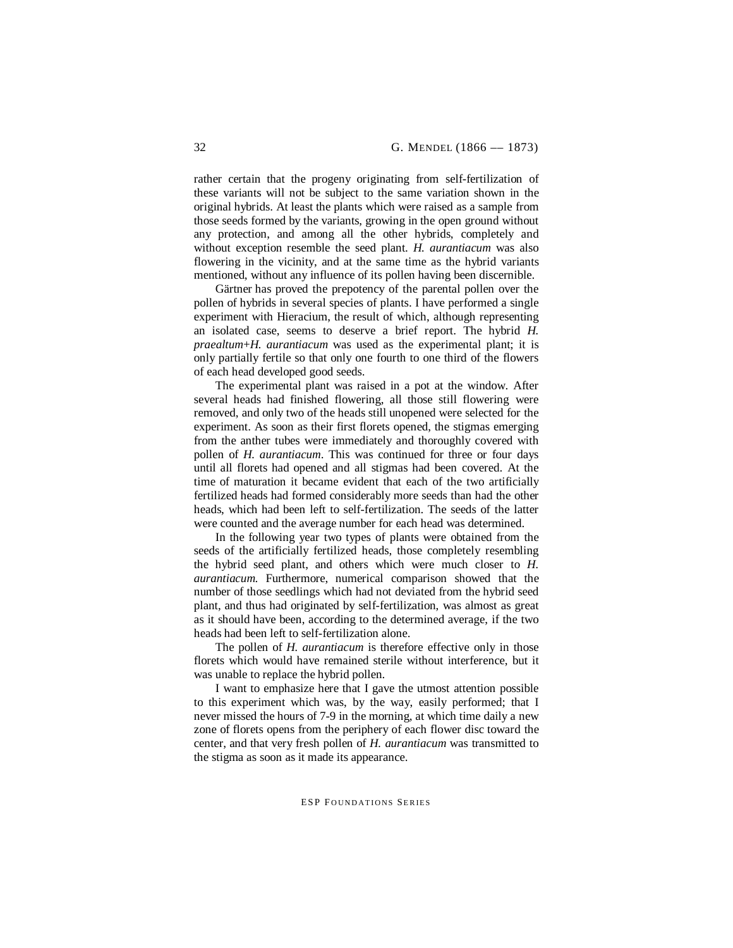rather certain that the progeny originating from self-fertilization of these variants will not be subject to the same variation shown in the original hybrids. At least the plants which were raised as a sample from those seeds formed by the variants, growing in the open ground without any protection, and among all the other hybrids, completely and without exception resemble the seed plant. *H. aurantiacum* was also flowering in the vicinity, and at the same time as the hybrid variants mentioned, without any influence of its pollen having been discernible.

Gärtner has proved the prepotency of the parental pollen over the pollen of hybrids in several species of plants. I have performed a single experiment with Hieracium, the result of which, although representing an isolated case, seems to deserve a brief report. The hybrid *H. praealtum*+*H. aurantiacum* was used as the experimental plant; it is only partially fertile so that only one fourth to one third of the flowers of each head developed good seeds.

The experimental plant was raised in a pot at the window. After several heads had finished flowering, all those still flowering were removed, and only two of the heads still unopened were selected for the experiment. As soon as their first florets opened, the stigmas emerging from the anther tubes were immediately and thoroughly covered with pollen of *H. aurantiacum*. This was continued for three or four days until all florets had opened and all stigmas had been covered. At the time of maturation it became evident that each of the two artificially fertilized heads had formed considerably more seeds than had the other heads, which had been left to self-fertilization. The seeds of the latter were counted and the average number for each head was determined.

In the following year two types of plants were obtained from the seeds of the artificially fertilized heads, those completely resembling the hybrid seed plant, and others which were much closer to *H. aurantiacum*. Furthermore, numerical comparison showed that the number of those seedlings which had not deviated from the hybrid seed plant, and thus had originated by self-fertilization, was almost as great as it should have been, according to the determined average, if the two heads had been left to self-fertilization alone.

The pollen of *H. aurantiacum* is therefore effective only in those florets which would have remained sterile without interference, but it was unable to replace the hybrid pollen.

I want to emphasize here that I gave the utmost attention possible to this experiment which was, by the way, easily performed; that I never missed the hours of 7-9 in the morning, at which time daily a new zone of florets opens from the periphery of each flower disc toward the center, and that very fresh pollen of *H. aurantiacum* was transmitted to the stigma as soon as it made its appearance.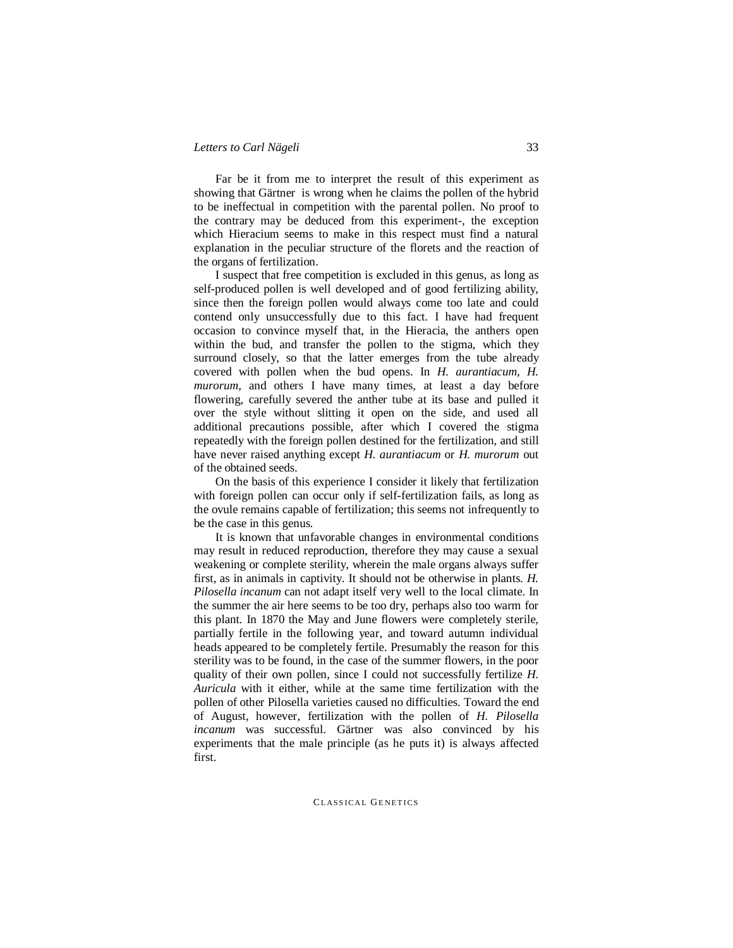Far be it from me to interpret the result of this experiment as showing that Gärtner is wrong when he claims the pollen of the hybrid to be ineffectual in competition with the parental pollen. No proof to the contrary may be deduced from this experiment-, the exception which Hieracium seems to make in this respect must find a natural explanation in the peculiar structure of the florets and the reaction of the organs of fertilization.

I suspect that free competition is excluded in this genus, as long as self-produced pollen is well developed and of good fertilizing ability, since then the foreign pollen would always come too late and could contend only unsuccessfully due to this fact. I have had frequent occasion to convince myself that, in the Hieracia, the anthers open within the bud, and transfer the pollen to the stigma, which they surround closely, so that the latter emerges from the tube already covered with pollen when the bud opens. In *H. aurantiacum, H. murorum,* and others I have many times, at least a day before flowering, carefully severed the anther tube at its base and pulled it over the style without slitting it open on the side, and used all additional precautions possible, after which I covered the stigma repeatedly with the foreign pollen destined for the fertilization, and still have never raised anything except *H. aurantiacum* or *H. murorum* out of the obtained seeds.

On the basis of this experience I consider it likely that fertilization with foreign pollen can occur only if self-fertilization fails, as long as the ovule remains capable of fertilization; this seems not infrequently to be the case in this genus.

It is known that unfavorable changes in environmental conditions may result in reduced reproduction, therefore they may cause a sexual weakening or complete sterility, wherein the male organs always suffer first, as in animals in captivity. It should not be otherwise in plants. *H. Pilosella incanum* can not adapt itself very well to the local climate. In the summer the air here seems to be too dry, perhaps also too warm for this plant. In 1870 the May and June flowers were completely sterile, partially fertile in the following year, and toward autumn individual heads appeared to be completely fertile. Presumably the reason for this sterility was to be found, in the case of the summer flowers, in the poor quality of their own pollen, since I could not successfully fertilize *H. Auricula* with it either, while at the same time fertilization with the pollen of other Pilosella varieties caused no difficulties. Toward the end of August, however, fertilization with the pollen of *H. Pilosella incanum* was successful. Gärtner was also convinced by his experiments that the male principle (as he puts it) is always affected first.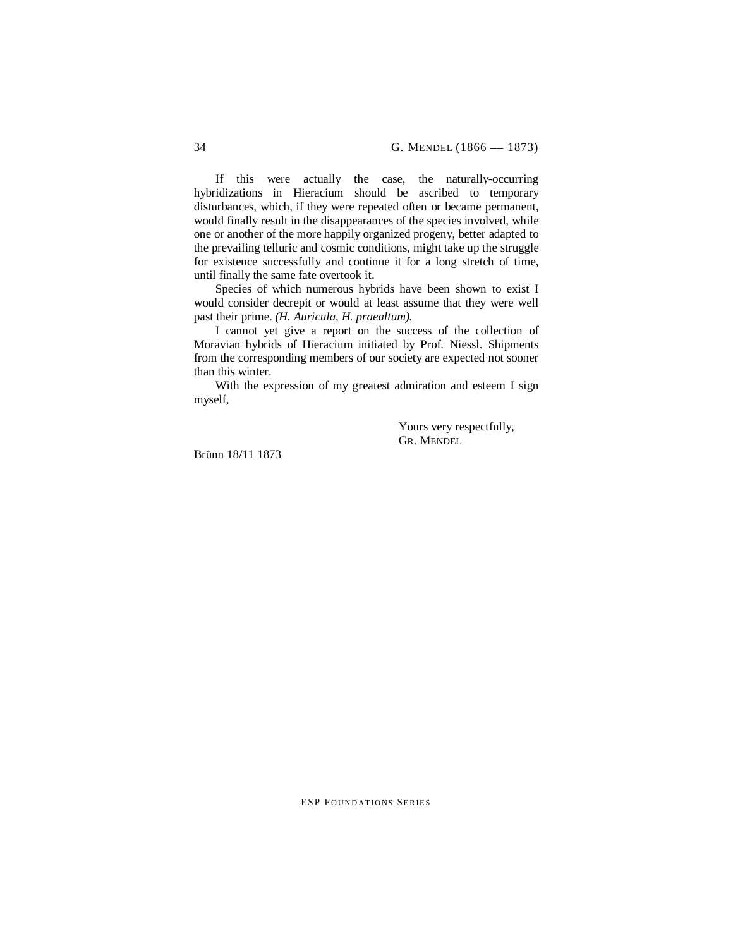If this were actually the case, the naturally-occurring hybridizations in Hieracium should be ascribed to temporary disturbances, which, if they were repeated often or became permanent, would finally result in the disappearances of the species involved, while one or another of the more happily organized progeny, better adapted to the prevailing telluric and cosmic conditions, might take up the struggle for existence successfully and continue it for a long stretch of time, until finally the same fate overtook it.

Species of which numerous hybrids have been shown to exist I would consider decrepit or would at least assume that they were well past their prime. *(H. Auricula, H. praealtum).*

I cannot yet give a report on the success of the collection of Moravian hybrids of Hieracium initiated by Prof. Niessl. Shipments from the corresponding members of our society are expected not sooner than this winter.

With the expression of my greatest admiration and esteem I sign myself,

> Yours very respectfully, GR. MENDEL

Brünn 18/11 1873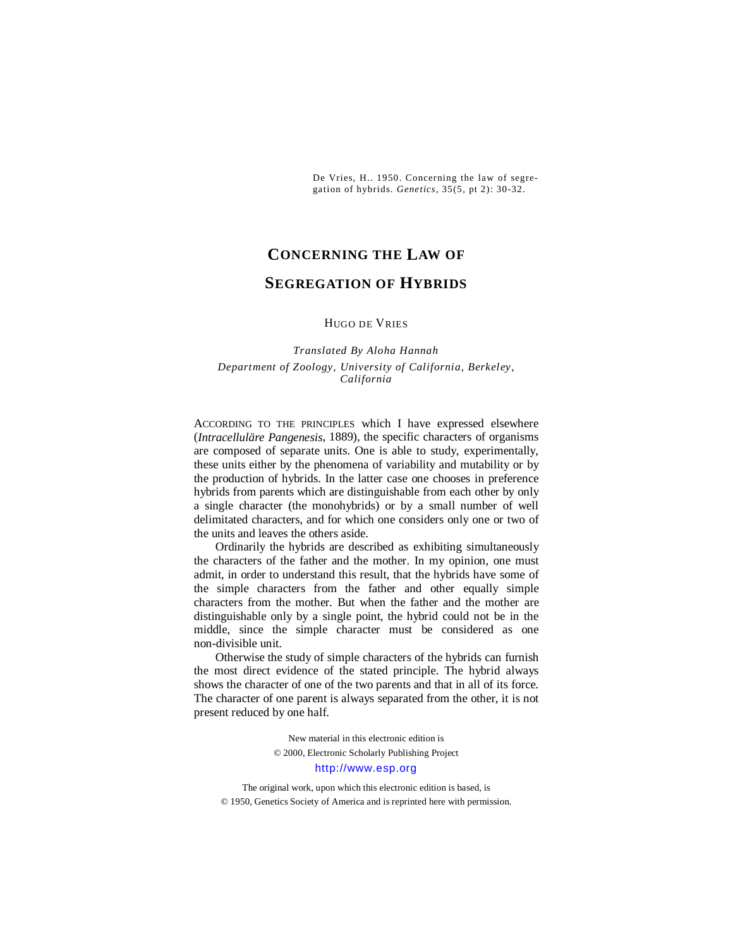De Vries, H.. 1950. Concerning the law of segregation of hybrids. *Genetics*, 35(5, pt 2): 30-32.

# **CONCERNING THE LAW OF SEGREGATION OF HYBRIDS**

#### HUGO DE VRIES

#### *Translated By Aloha Hannah Department of Zoology, University of California, Berkeley, California*

ACCORDING TO THE PRINCIPLES which I have expressed elsewhere (*Intracelluläre Pangenesis*, 1889), the specific characters of organisms are composed of separate units. One is able to study, experimentally, these units either by the phenomena of variability and mutability or by the production of hybrids. In the latter case one chooses in preference hybrids from parents which are distinguishable from each other by only a single character (the monohybrids) or by a small number of well delimitated characters, and for which one considers only one or two of the units and leaves the others aside.

Ordinarily the hybrids are described as exhibiting simultaneously the characters of the father and the mother. In my opinion, one must admit, in order to understand this result, that the hybrids have some of the simple characters from the father and other equally simple characters from the mother. But when the father and the mother are distinguishable only by a single point, the hybrid could not be in the middle, since the simple character must be considered as one non-divisible unit.

Otherwise the study of simple characters of the hybrids can furnish the most direct evidence of the stated principle. The hybrid always shows the character of one of the two parents and that in all of its force. The character of one parent is always separated from the other, it is not present reduced by one half.

> New material in this electronic edition is © 2000, Electronic Scholarly Publishing Project http://www.esp.org

The original work, upon which this electronic edition is based, is © 1950, Genetics Society of America and is reprinted here with permission.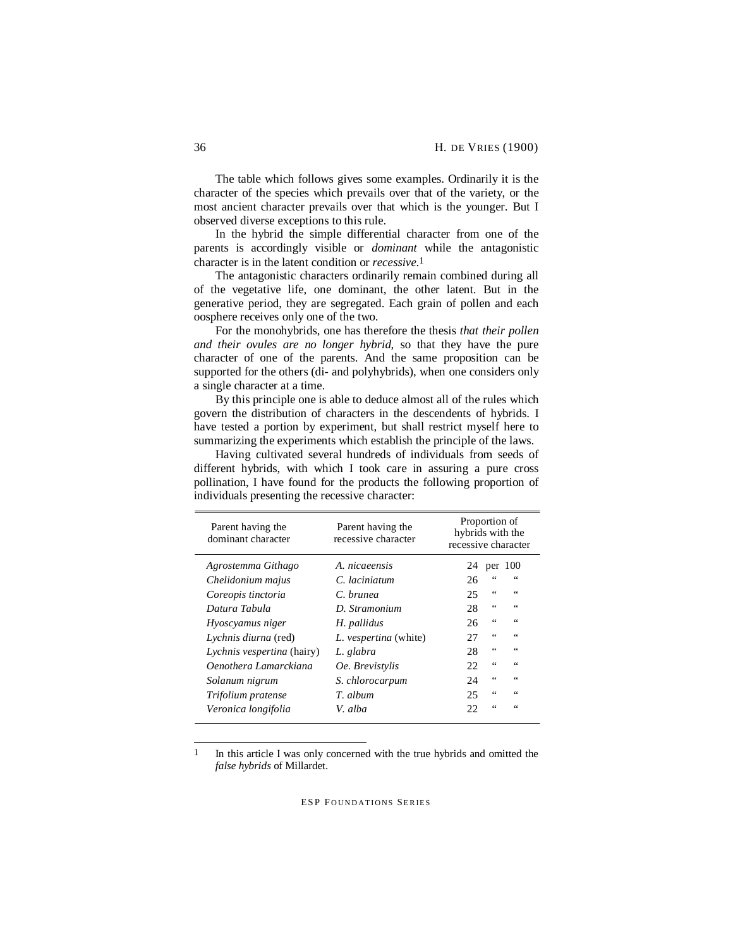The table which follows gives some examples. Ordinarily it is the character of the species which prevails over that of the variety, or the most ancient character prevails over that which is the younger. But I observed diverse exceptions to this rule.

In the hybrid the simple differential character from one of the parents is accordingly visible or *dominant* while the antagonistic character is in the latent condition or *recessive*.1

The antagonistic characters ordinarily remain combined during all of the vegetative life, one dominant, the other latent. But in the generative period, they are segregated. Each grain of pollen and each oosphere receives only one of the two.

For the monohybrids, one has therefore the thesis *that their pollen and their ovules are no longer hybrid,* so that they have the pure character of one of the parents. And the same proposition can be supported for the others (di- and polyhybrids), when one considers only a single character at a time.

By this principle one is able to deduce almost all of the rules which govern the distribution of characters in the descendents of hybrids. I have tested a portion by experiment, but shall restrict myself here to summarizing the experiments which establish the principle of the laws.

Having cultivated several hundreds of individuals from seeds of different hybrids, with which I took care in assuring a pure cross pollination, I have found for the products the following proportion of individuals presenting the recessive character:

| Parent having the<br>dominant character | Parent having the<br>recessive character | Proportion of<br>hybrids with the<br>recessive character |  |
|-----------------------------------------|------------------------------------------|----------------------------------------------------------|--|
| Agrostemma Githago                      | A. nicaeensis                            | 24<br>per<br>100                                         |  |
| Chelidonium majus                       | C. laciniatum                            | 66<br>66<br>26                                           |  |
| Coreopis tinctoria                      | C. brunea                                | 66<br>66<br>25                                           |  |
| Datura Tabula                           | D. Stramonium                            | $\zeta$ $\zeta$<br>$\zeta$ $\zeta$<br>28                 |  |
| Hyoscyamus niger                        | H. pallidus                              | 66<br>66<br>26                                           |  |
| Lychnis diurna (red)                    | L. vespertina (white)                    | $\zeta$ $\zeta$<br>66<br>27                              |  |
| Lychnis vespertina (hairy)              | L. glabra                                | $\zeta$ $\zeta$<br>$\zeta$ $\zeta$<br>28                 |  |
| Oenothera Lamarckiana                   | Oe. Brevistylis                          | $\zeta$ $\zeta$<br>$\zeta$ $\zeta$<br>22                 |  |
| Solanum nigrum                          | S. chlorocarpum                          | $\zeta$ $\zeta$<br>$\zeta$ $\zeta$<br>24                 |  |
| Trifolium pratense                      | T. album                                 | $\zeta$ $\zeta$<br>66<br>25                              |  |
| Veronica longifolia                     | V. alba                                  | 66<br>66<br>22                                           |  |

<sup>&</sup>lt;sup>1</sup> In this article I was only concerned with the true hybrids and omitted the *false hybrids* of Millardet.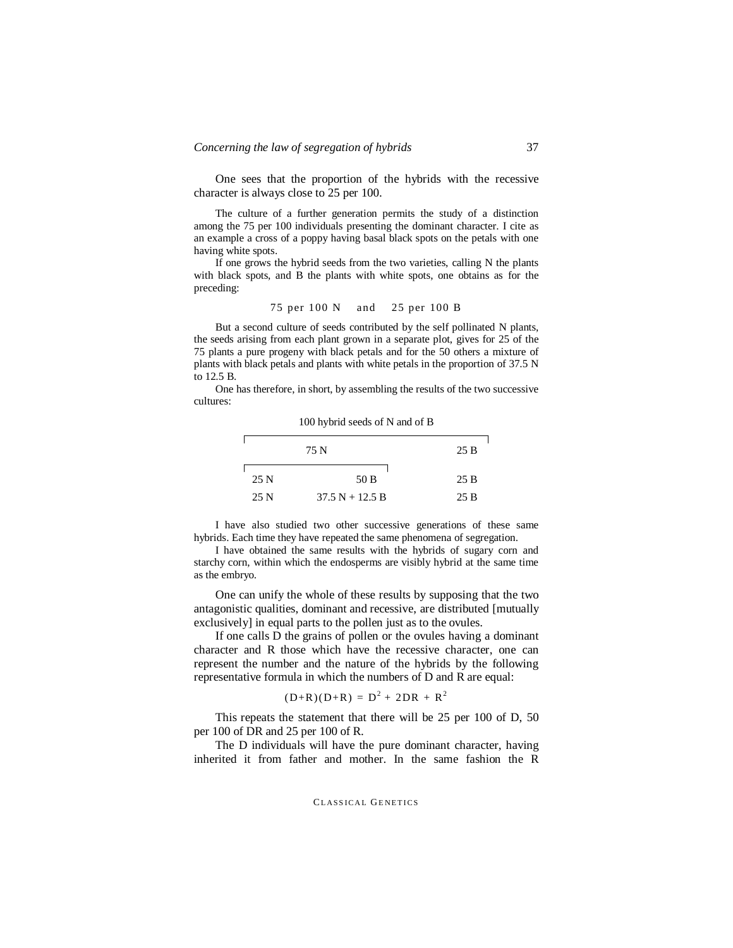One sees that the proportion of the hybrids with the recessive character is always close to 25 per 100.

The culture of a further generation permits the study of a distinction among the 75 per 100 individuals presenting the dominant character. I cite as an example a cross of a poppy having basal black spots on the petals with one having white spots.

If one grows the hybrid seeds from the two varieties, calling N the plants with black spots, and B the plants with white spots, one obtains as for the preceding:

75 per 100 N and 25 per 100 B

But a second culture of seeds contributed by the self pollinated N plants, the seeds arising from each plant grown in a separate plot, gives for 25 of the 75 plants a pure progeny with black petals and for the 50 others a mixture of plants with black petals and plants with white petals in the proportion of 37.5 N to 12.5 B.

One has therefore, in short, by assembling the results of the two successive cultures:  $100111111100$ 

| TOO hybrid seeds of N and of B |                   |      |  |  |
|--------------------------------|-------------------|------|--|--|
|                                | 75 N              | 25B  |  |  |
| 25N                            | 50 B              | 25B  |  |  |
| 25 N                           | $37.5 N + 12.5 B$ | 25 B |  |  |

I have also studied two other successive generations of these same hybrids. Each time they have repeated the same phenomena of segregation.

I have obtained the same results with the hybrids of sugary corn and starchy corn, within which the endosperms are visibly hybrid at the same time as the embryo.

One can unify the whole of these results by supposing that the two antagonistic qualities, dominant and recessive, are distributed [mutually exclusively] in equal parts to the pollen just as to the ovules.

If one calls D the grains of pollen or the ovules having a dominant character and R those which have the recessive character, one can represent the number and the nature of the hybrids by the following representative formula in which the numbers of D and R are equal:

$$
(D+R)(D+R) = D2 + 2DR + R2
$$

This repeats the statement that there will be 25 per 100 of D, 50 per 100 of DR and 25 per 100 of R.

The D individuals will have the pure dominant character, having inherited it from father and mother. In the same fashion the R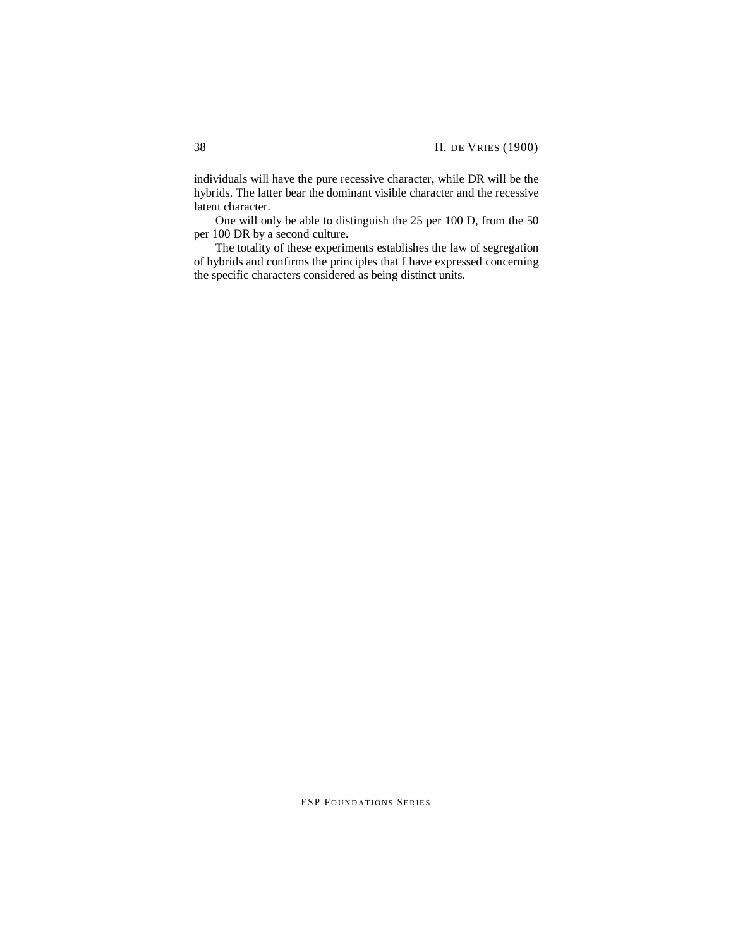individuals will have the pure recessive character, while DR will be the hybrids. The latter bear the dominant visible character and the recessive latent character.

One will only be able to distinguish the 25 per 100 D, from the 50 per 100 DR by a second culture.

The totality of these experiments establishes the law of segregation of hybrids and confirms the principles that I have expressed concerning the specific characters considered as being distinct units.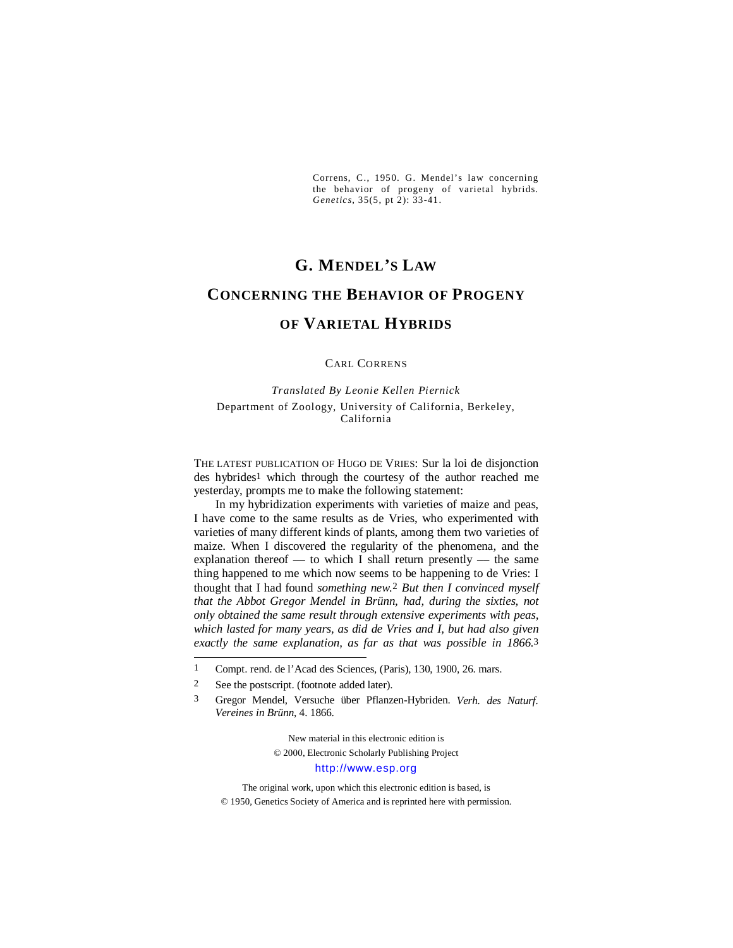Correns, C., 1950. G. Mendel's law concerning the behavior of progeny of varietal hybrids. *Genetics*, 35(5, pt 2): 33-41.

### **G. MENDEL'S LAW**

## **CONCERNING THE BEHAVIOR OF PROGENY**

### **OF VARIETAL HYBRIDS**

CARL CORRENS

#### *Translated By Leonie Kellen Piernick* Department of Zoology, University of California, Berkeley, California

THE LATEST PUBLICATION OF HUGO DE VRIES: Sur la loi de disjonction des hybrides1 which through the courtesy of the author reached me yesterday, prompts me to make the following statement:

In my hybridization experiments with varieties of maize and peas, I have come to the same results as de Vries, who experimented with varieties of many different kinds of plants, among them two varieties of maize. When I discovered the regularity of the phenomena, and the explanation thereof  $-$  to which I shall return presently  $-$  the same thing happened to me which now seems to be happening to de Vries: I thought that I had found *something new.*2 *But then I convinced myself that the Abbot Gregor Mendel in Brünn, had, during the sixties, not only obtained the same result through extensive experiments with peas, which lasted for many years, as did de Vries and I, but had also given exactly the same explanation, as far as that was possible in 1866.*3

 $\overline{a}$ 

New material in this electronic edition is

© 2000, Electronic Scholarly Publishing Project

http://www.esp.org

The original work, upon which this electronic edition is based, is

© 1950, Genetics Society of America and is reprinted here with permission.

<sup>1</sup> Compt. rend. de l'Acad des Sciences, (Paris), 130, 1900, 26. mars.

<sup>2</sup> See the postscript. (footnote added later).

<sup>3</sup> Gregor Mendel, Versuche über Pflanzen-Hybriden. *Verh. des Naturf. Vereines in Brünn*, 4. 1866.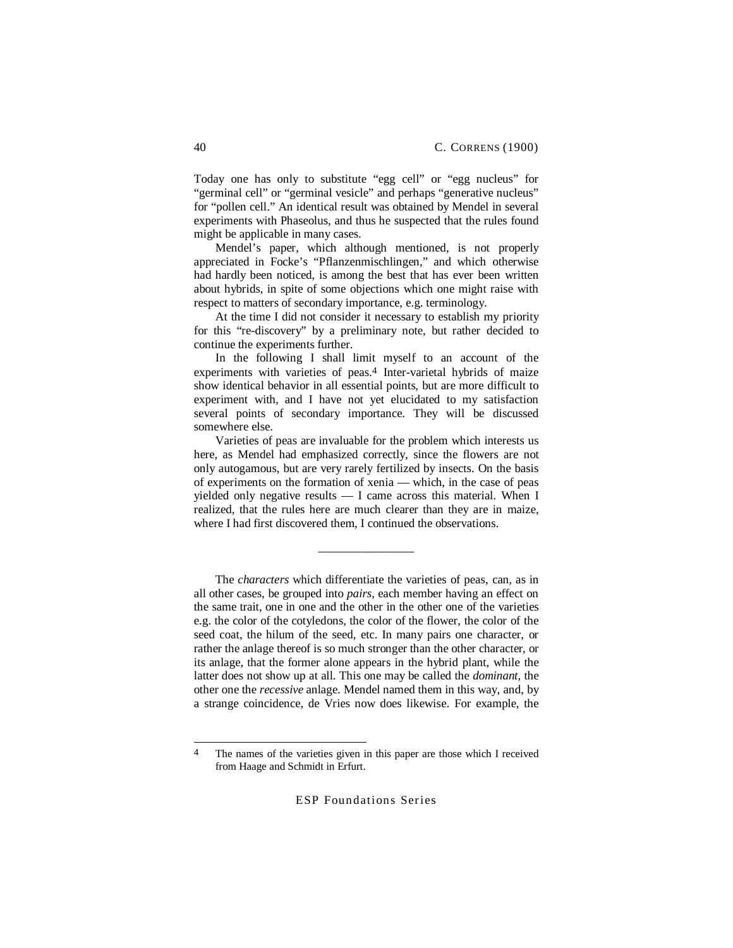Today one has only to substitute "egg cell" or "egg nucleus" for "germinal cell" or "germinal vesicle" and perhaps "generative nucleus" for "pollen cell." An identical result was obtained by Mendel in several experiments with Phaseolus, and thus he suspected that the rules found might be applicable in many cases.

Mendel's paper, which although mentioned, is not properly appreciated in Focke's "Pflanzenmischlingen," and which otherwise had hardly been noticed, is among the best that has ever been written about hybrids, in spite of some objections which one might raise with respect to matters of secondary importance, e.g. terminology.

At the time I did not consider it necessary to establish my priority for this "re-discovery" by a preliminary note, but rather decided to continue the experiments further.

In the following I shall limit myself to an account of the experiments with varieties of peas.4 Inter-varietal hybrids of maize show identical behavior in all essential points, but are more difficult to experiment with, and I have not yet elucidated to my satisfaction several points of secondary importance. They will be discussed somewhere else.

Varieties of peas are invaluable for the problem which interests us here, as Mendel had emphasized correctly, since the flowers are not only autogamous, but are very rarely fertilized by insects. On the basis of experiments on the formation of xenia –– which, in the case of peas yielded only negative results –– I came across this material. When I realized, that the rules here are much clearer than they are in maize, where I had first discovered them, I continued the observations.

––––––––––––––––

The *characters* which differentiate the varieties of peas, can, as in all other cases, be grouped into *pairs,* each member having an effect on the same trait, one in one and the other in the other one of the varieties e.g. the color of the cotyledons, the color of the flower, the color of the seed coat, the hilum of the seed, etc. In many pairs one character, or rather the anlage thereof is so much stronger than the other character, or its anlage, that the former alone appears in the hybrid plant, while the latter does not show up at all. This one may be called the *dominant,* the other one the *recessive* anlage. Mendel named them in this way, and, by a strange coincidence, de Vries now does likewise. For example, the

<sup>&</sup>lt;sup>4</sup> The names of the varieties given in this paper are those which I received from Haage and Schmidt in Erfurt.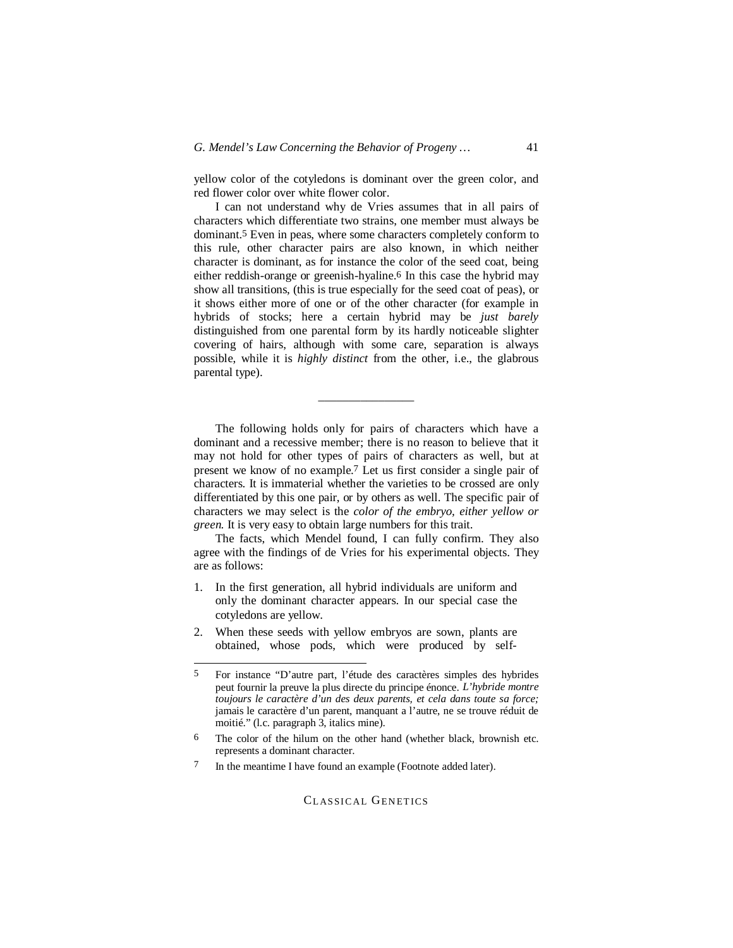yellow color of the cotyledons is dominant over the green color, and red flower color over white flower color.

I can not understand why de Vries assumes that in all pairs of characters which differentiate two strains, one member must always be dominant.5 Even in peas, where some characters completely conform to this rule, other character pairs are also known, in which neither character is dominant, as for instance the color of the seed coat, being either reddish-orange or greenish-hyaline.6 In this case the hybrid may show all transitions, (this is true especially for the seed coat of peas), or it shows either more of one or of the other character (for example in hybrids of stocks; here a certain hybrid may be *just barely* distinguished from one parental form by its hardly noticeable slighter covering of hairs, although with some care, separation is always possible, while it is *highly distinct* from the other, i.e., the glabrous parental type).

The following holds only for pairs of characters which have a dominant and a recessive member; there is no reason to believe that it may not hold for other types of pairs of characters as well, but at present we know of no example.7 Let us first consider a single pair of characters. It is immaterial whether the varieties to be crossed are only differentiated by this one pair, or by others as well. The specific pair of characters we may select is the *color of the embryo, either yellow or green.* It is very easy to obtain large numbers for this trait.

––––––––––––––––

The facts, which Mendel found, I can fully confirm. They also agree with the findings of de Vries for his experimental objects. They are as follows:

- 1. In the first generation, all hybrid individuals are uniform and only the dominant character appears. In our special case the cotyledons are yellow.
- 2. When these seeds with yellow embryos are sown, plants are obtained, whose pods, which were produced by self-

<sup>5</sup> For instance "D'autre part, l'étude des caractères simples des hybrides peut fournir la preuve la plus directe du principe énonce. *L'hybride montre toujours le caractère d'un des deux parents, et cela dans toute sa force;* jamais le caractère d'un parent, manquant a l'autre, ne se trouve réduit de moitié." (l.c. paragraph 3, italics mine).

<sup>6</sup> The color of the hilum on the other hand (whether black, brownish etc. represents a dominant character.

<sup>7</sup> In the meantime I have found an example (Footnote added later).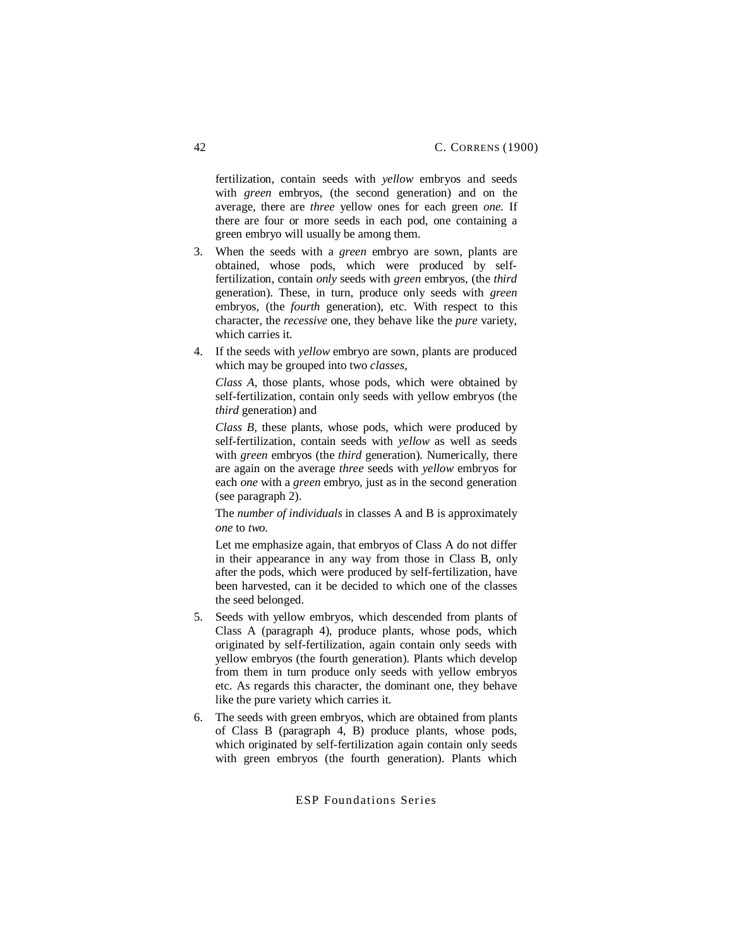fertilization, contain seeds with *yellow* embryos and seeds with *green* embryos, (the second generation) and on the average, there are *three* yellow ones for each green *one.* If there are four or more seeds in each pod, one containing a green embryo will usually be among them.

- 3. When the seeds with a *green* embryo are sown, plants are obtained, whose pods, which were produced by selffertilization, contain *only* seeds with *green* embryos, (the *third* generation). These, in turn, produce only seeds with *green* embryos, (the *fourth* generation), etc. With respect to this character, the *recessive* one, they behave like the *pure* variety, which carries it.
- 4. If the seeds with *yellow* embryo are sown, plants are produced which may be grouped into two *classes,*

*Class A*, those plants, whose pods, which were obtained by self-fertilization, contain only seeds with yellow embryos (the *third* generation) and

*Class B,* these plants, whose pods, which were produced by self-fertilization, contain seeds with *yellow* as well as seeds with *green* embryos (the *third* generation). Numerically, there are again on the average *three* seeds with *yellow* embryos for each *one* with a *green* embryo, just as in the second generation (see paragraph 2).

The *number of individuals* in classes A and B is approximately *one* to *two.*

Let me emphasize again, that embryos of Class A do not differ in their appearance in any way from those in Class B, only after the pods, which were produced by self-fertilization, have been harvested, can it be decided to which one of the classes the seed belonged.

- 5. Seeds with yellow embryos, which descended from plants of Class A (paragraph 4), produce plants, whose pods, which originated by self-fertilization, again contain only seeds with yellow embryos (the fourth generation). Plants which develop from them in turn produce only seeds with yellow embryos etc. As regards this character, the dominant one, they behave like the pure variety which carries it.
- 6. The seeds with green embryos, which are obtained from plants of Class B (paragraph 4, B) produce plants, whose pods, which originated by self-fertilization again contain only seeds with green embryos (the fourth generation). Plants which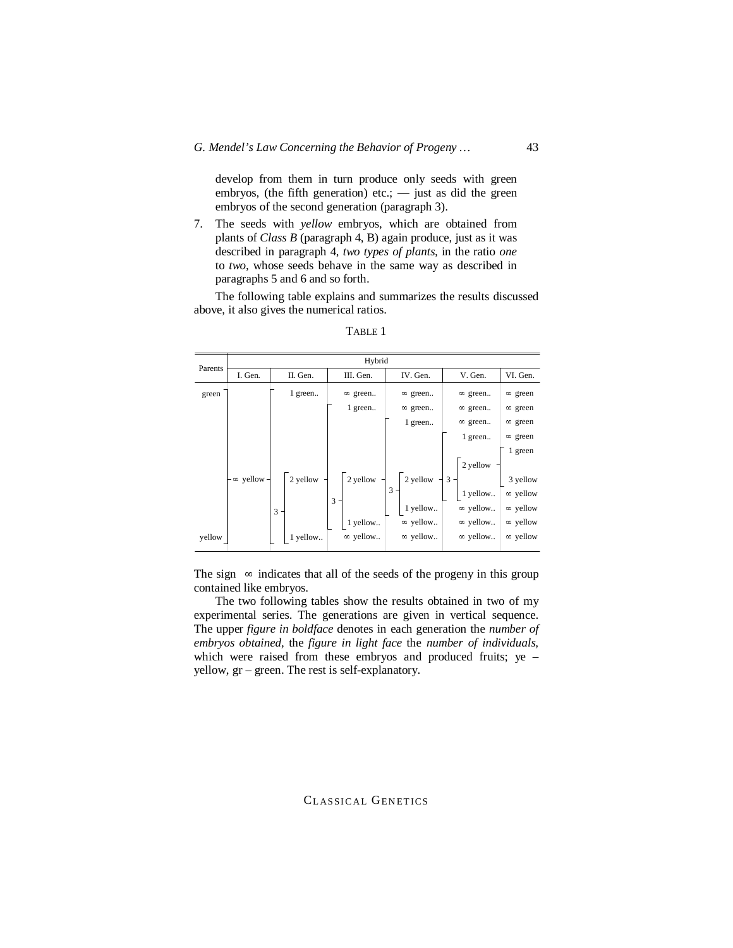develop from them in turn produce only seeds with green embryos, (the fifth generation) etc.;  $-$  just as did the green embryos of the second generation (paragraph 3).

7. The seeds with *yellow* embryos, which are obtained from plants of *Class B* (paragraph 4, B) again produce, just as it was described in paragraph 4, *two types of plants,* in the ratio *one* to *two,* whose seeds behave in the same way as described in paragraphs 5 and 6 and so forth.

The following table explains and summarizes the results discussed above, it also gives the numerical ratios.

|         | Hybrid            |                 |                 |                 |                                                                                                                                                                                                                                                                                             |                 |  |
|---------|-------------------|-----------------|-----------------|-----------------|---------------------------------------------------------------------------------------------------------------------------------------------------------------------------------------------------------------------------------------------------------------------------------------------|-----------------|--|
| Parents | I. Gen.           | II. Gen.        | III. Gen.       | IV. Gen.        | V. Gen.                                                                                                                                                                                                                                                                                     | VI. Gen.        |  |
| green   |                   | 1 green         | ∞ green         | ∞ green         | ∞ green                                                                                                                                                                                                                                                                                     | $\infty$ green  |  |
|         |                   |                 | 1 green         | ∞ green         | ∞ green                                                                                                                                                                                                                                                                                     | $\infty$ green  |  |
|         |                   |                 |                 | 1 green         | ∞ green                                                                                                                                                                                                                                                                                     | $\infty$ green  |  |
|         |                   |                 |                 |                 | 1 green                                                                                                                                                                                                                                                                                     | $\infty$ green  |  |
|         |                   |                 |                 |                 |                                                                                                                                                                                                                                                                                             | 1 green         |  |
|         |                   |                 |                 |                 |                                                                                                                                                                                                                                                                                             |                 |  |
|         | $\infty$ yellow - | $ 2$ yellow $ $ |                 |                 | $\left[\begin{array}{c c} 2 \text{ yellow} & 1 \end{array}\right] = 3 \left[\begin{array}{c c} 2 \text{ yellow} & 1 \end{array}\right] = \left[\begin{array}{c c} 2 \text{ yellow} & 1 \end{array}\right] = \left[\begin{array}{c} 3 \text{ yellow} \\ 3 \text{ yellow} \end{array}\right]$ |                 |  |
|         |                   |                 | $3 -$           |                 |                                                                                                                                                                                                                                                                                             |                 |  |
|         |                   | 3               |                 | 1 yellow        | ∞ yellow                                                                                                                                                                                                                                                                                    | ∞ yellow        |  |
|         |                   |                 | 1 yellow        | $\infty$ yellow | $\infty$ yellow                                                                                                                                                                                                                                                                             | $\infty$ yellow |  |
| yellow  |                   | 1 yellow        | $\infty$ yellow | ∞ yellow        | $\infty$ yellow                                                                                                                                                                                                                                                                             | $\infty$ yellow |  |

TABLE 1

The sign  $\infty$  indicates that all of the seeds of the progeny in this group contained like embryos.

The two following tables show the results obtained in two of my experimental series. The generations are given in vertical sequence. The upper *figure in boldface* denotes in each generation the *number of embryos obtained,* the *figure in light face* the *number of individuals,* which were raised from these embryos and produced fruits; ye – yellow, gr – green. The rest is self-explanatory.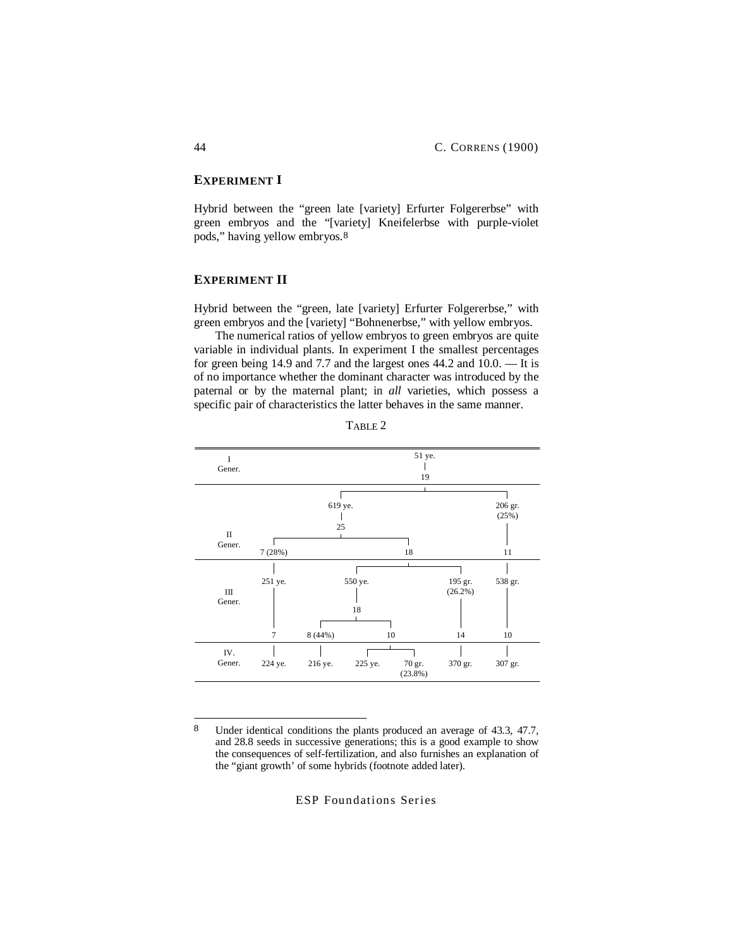#### **EXPERIMENT I**

Hybrid between the "green late [variety] Erfurter Folgererbse" with green embryos and the "[variety] Kneifelerbse with purple-violet pods," having yellow embryos.8

#### **EXPERIMENT II**

Hybrid between the "green, late [variety] Erfurter Folgererbse," with green embryos and the [variety] "Bohnenerbse," with yellow embryos.

The numerical ratios of yellow embryos to green embryos are quite variable in individual plants. In experiment I the smallest percentages for green being 14.9 and 7.7 and the largest ones  $44.2$  and  $10.0$ . — It is of no importance whether the dominant character was introduced by the paternal or by the maternal plant; in *all* varieties, which possess a specific pair of characteristics the latter behaves in the same manner.



TABLE 2

<sup>8</sup> Under identical conditions the plants produced an average of 43.3, 47.7, and 28.8 seeds in successive generations; this is a good example to show the consequences of self-fertilization, and also furnishes an explanation of the "giant growth' of some hybrids (footnote added later).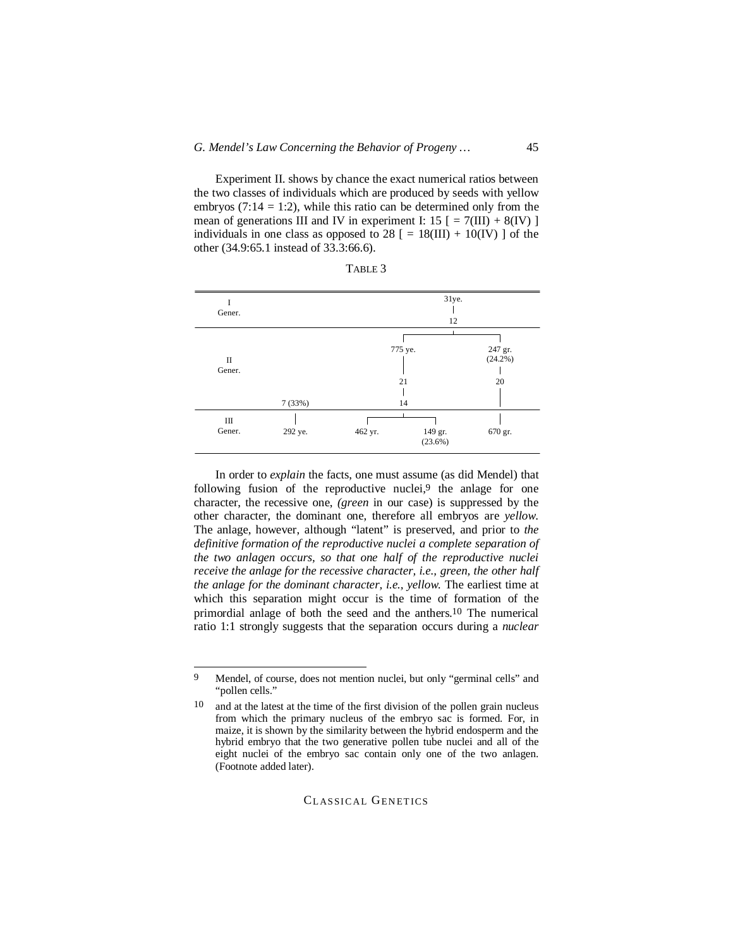Experiment II. shows by chance the exact numerical ratios between the two classes of individuals which are produced by seeds with yellow embryos  $(7:14 = 1:2)$ , while this ratio can be determined only from the mean of generations III and IV in experiment I:  $15$  [ =  $7(III) + 8(IV)$  ] individuals in one class as opposed to 28  $[ = 18(III) + 10(IV) ]$  of the other (34.9:65.1 instead of 33.3:66.6).

| Gener.                |         |                                  | 31ye.<br>12                 |
|-----------------------|---------|----------------------------------|-----------------------------|
| $_{\rm II}$<br>Gener. | 7(33%)  | 775 ye.<br>21<br>14              | 247 gr.<br>$(24.2\%)$<br>20 |
| Ш<br>Gener.           | 292 ye. | 462 yr.<br>149 gr.<br>$(23.6\%)$ | 670 gr.                     |

| н<br>n |  |
|--------|--|
|--------|--|

In order to *explain* the facts, one must assume (as did Mendel) that following fusion of the reproductive nuclei,  $9$  the anlage for one character, the recessive one, *(green* in our case) is suppressed by the other character, the dominant one, therefore all embryos are *yellow*. The anlage, however, although "latent" is preserved, and prior to *the definitive formation of the reproductive nuclei a complete separation of the two anlagen occurs, so that one half of the reproductive nuclei receive the anlage for the recessive character, i.e., green, the other half the anlage for the dominant character, i.e., yellow.* The earliest time at which this separation might occur is the time of formation of the primordial anlage of both the seed and the anthers.10 The numerical ratio 1:1 strongly suggests that the separation occurs during a *nuclear*

<sup>9</sup> Mendel, of course, does not mention nuclei, but only "germinal cells" and "pollen cells."

<sup>10</sup> and at the latest at the time of the first division of the pollen grain nucleus from which the primary nucleus of the embryo sac is formed. For, in maize, it is shown by the similarity between the hybrid endosperm and the hybrid embryo that the two generative pollen tube nuclei and all of the eight nuclei of the embryo sac contain only one of the two anlagen. (Footnote added later).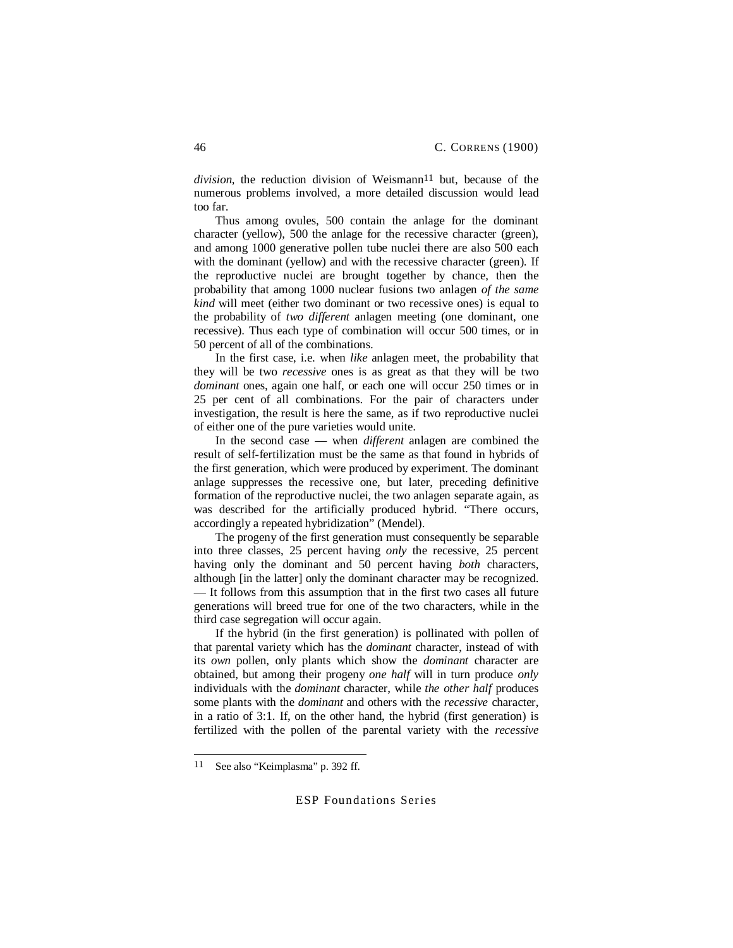division, the reduction division of Weismann<sup>11</sup> but, because of the numerous problems involved, a more detailed discussion would lead too far.

Thus among ovules, 500 contain the anlage for the dominant character (yellow), 500 the anlage for the recessive character (green), and among 1000 generative pollen tube nuclei there are also 500 each with the dominant (yellow) and with the recessive character (green). If the reproductive nuclei are brought together by chance, then the probability that among 1000 nuclear fusions two anlagen *of the same kind* will meet (either two dominant or two recessive ones) is equal to the probability of *two different* anlagen meeting (one dominant, one recessive). Thus each type of combination will occur 500 times, or in 50 percent of all of the combinations.

In the first case, i.e. when *like* anlagen meet, the probability that they will be two *recessive* ones is as great as that they will be two *dominant* ones, again one half, or each one will occur 250 times or in 25 per cent of all combinations. For the pair of characters under investigation, the result is here the same, as if two reproductive nuclei of either one of the pure varieties would unite.

In the second case –– when *different* anlagen are combined the result of self-fertilization must be the same as that found in hybrids of the first generation, which were produced by experiment. The dominant anlage suppresses the recessive one, but later, preceding definitive formation of the reproductive nuclei, the two anlagen separate again, as was described for the artificially produced hybrid. "There occurs, accordingly a repeated hybridization" (Mendel).

The progeny of the first generation must consequently be separable into three classes, 25 percent having *only* the recessive, 25 percent having only the dominant and 50 percent having *both* characters, although [in the latter] only the dominant character may be recognized. –– It follows from this assumption that in the first two cases all future generations will breed true for one of the two characters, while in the third case segregation will occur again.

If the hybrid (in the first generation) is pollinated with pollen of that parental variety which has the *dominant* character, instead of with its *own* pollen, only plants which show the *dominant* character are obtained, but among their progeny *one half* will in turn produce *only* individuals with the *dominant* character, while *the other half* produces some plants with the *dominant* and others with the *recessive* character, in a ratio of 3:1. If, on the other hand, the hybrid (first generation) is fertilized with the pollen of the parental variety with the *recessive*

<sup>11</sup> See also "Keimplasma" p. 392 ff.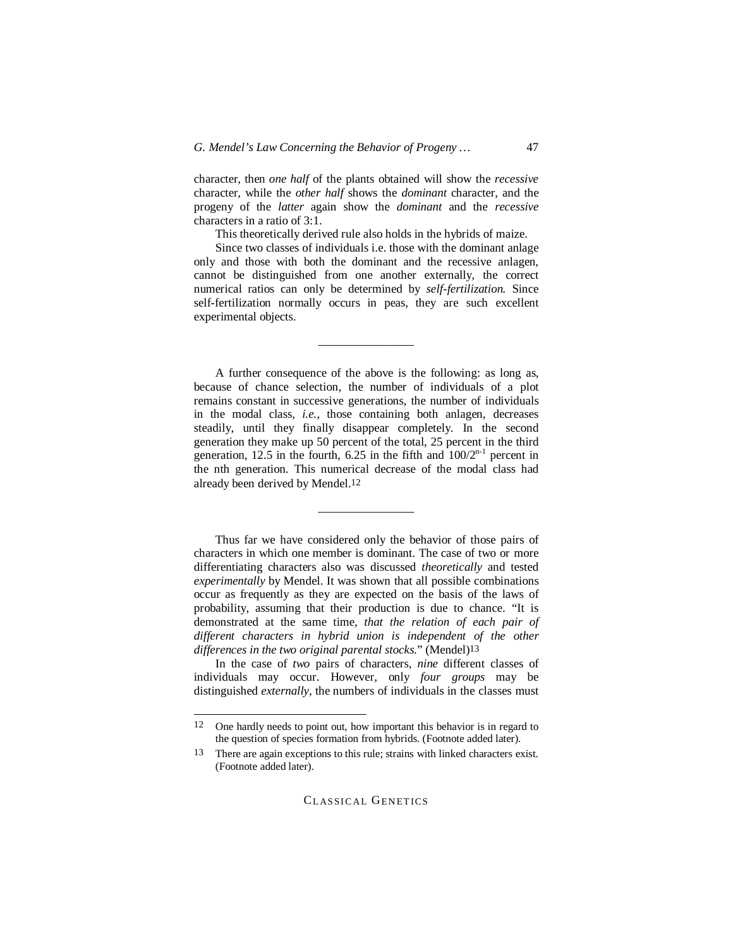character, then *one half* of the plants obtained will show the *recessive* character, while the *other half* shows the *dominant* character, and the progeny of the *latter* again show the *dominant* and the *recessive* characters in a ratio of 3:1.

This theoretically derived rule also holds in the hybrids of maize.

Since two classes of individuals i.e. those with the dominant anlage only and those with both the dominant and the recessive anlagen, cannot be distinguished from one another externally, the correct numerical ratios can only be determined by *self-fertilization.* Since self-fertilization normally occurs in peas, they are such excellent experimental objects.

––––––––––––––––

A further consequence of the above is the following: as long as, because of chance selection, the number of individuals of a plot remains constant in successive generations, the number of individuals in the modal class, *i.e.,* those containing both anlagen, decreases steadily, until they finally disappear completely. In the second generation they make up 50 percent of the total, 25 percent in the third generation, 12.5 in the fourth, 6.25 in the fifth and  $100/2^{n-1}$  percent in the nth generation. This numerical decrease of the modal class had already been derived by Mendel.12

––––––––––––––––

Thus far we have considered only the behavior of those pairs of characters in which one member is dominant. The case of two or more differentiating characters also was discussed *theoretically* and tested *experimentally* by Mendel. It was shown that all possible combinations occur as frequently as they are expected on the basis of the laws of probability, assuming that their production is due to chance. "It is demonstrated at the same time, *that the relation of each pair of different characters in hybrid union is independent of the other differences in the two original parental stocks*." (Mendel)13

In the case of *two* pairs of characters, *nine* different classes of individuals may occur. However, only *four groups* may be distinguished *externally,* the numbers of individuals in the classes must

<sup>12</sup> One hardly needs to point out, how important this behavior is in regard to the question of species formation from hybrids. (Footnote added later).

<sup>13</sup> There are again exceptions to this rule; strains with linked characters exist. (Footnote added later).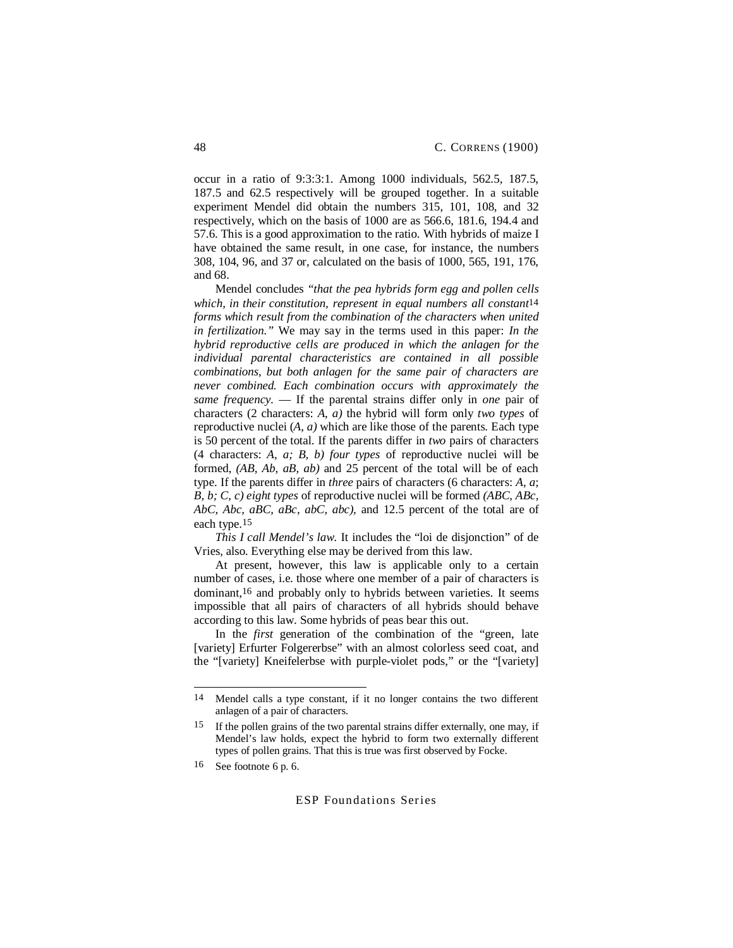occur in a ratio of 9:3:3:1. Among 1000 individuals, 562.5, 187.5, 187.5 and 62.5 respectively will be grouped together. In a suitable experiment Mendel did obtain the numbers 315, 101, 108, and 32 respectively, which on the basis of 1000 are as 566.6, 181.6, 194.4 and 57.6. This is a good approximation to the ratio. With hybrids of maize I have obtained the same result, in one case, for instance, the numbers 308, 104, 96, and 37 or, calculated on the basis of 1000, 565, 191, 176, and 68.

Mendel concludes *"that the pea hybrids form egg and pollen cells which, in their constitution, represent in equal numbers all constant*14 *forms which result from the combination of the characters when united in fertilization."* We may say in the terms used in this paper: *In the hybrid reproductive cells are produced in which the anlagen for the individual parental characteristics are contained in all possible combinations, but both anlagen for the same pair of characters are never combined. Each combination occurs with approximately the same frequency.* –– If the parental strains differ only in *one* pair of characters (2 characters: *A*, *a)* the hybrid will form only *two types* of reproductive nuclei (*A*, *a)* which are like those of the parents. Each type is 50 percent of the total. If the parents differ in *two* pairs of characters (4 characters: *A*, *a; B, b) four types* of reproductive nuclei will be formed, *(AB, Ab, aB, ab)* and 25 percent of the total will be of each type. If the parents differ in *three* pairs of characters (6 characters: *A*, *a*; *B, b; C, c) eight types* of reproductive nuclei will be formed *(ABC, ABc, AbC, Abc, aBC, aBc, abC, abc),* and 12.5 percent of the total are of each type.15

*This I call Mendel's law*. It includes the "loi de disjonction" of de Vries, also. Everything else may be derived from this law.

At present, however, this law is applicable only to a certain number of cases, i.e. those where one member of a pair of characters is dominant,16 and probably only to hybrids between varieties. It seems impossible that all pairs of characters of all hybrids should behave according to this law. Some hybrids of peas bear this out.

In the *first* generation of the combination of the "green, late [variety] Erfurter Folgererbse" with an almost colorless seed coat, and the "[variety] Kneifelerbse with purple-violet pods," or the "[variety]

<sup>14</sup> Mendel calls a type constant, if it no longer contains the two different anlagen of a pair of characters.

<sup>15</sup> If the pollen grains of the two parental strains differ externally, one may, if Mendel's law holds, expect the hybrid to form two externally different types of pollen grains. That this is true was first observed by Focke.

<sup>16</sup> See footnote 6 p. 6.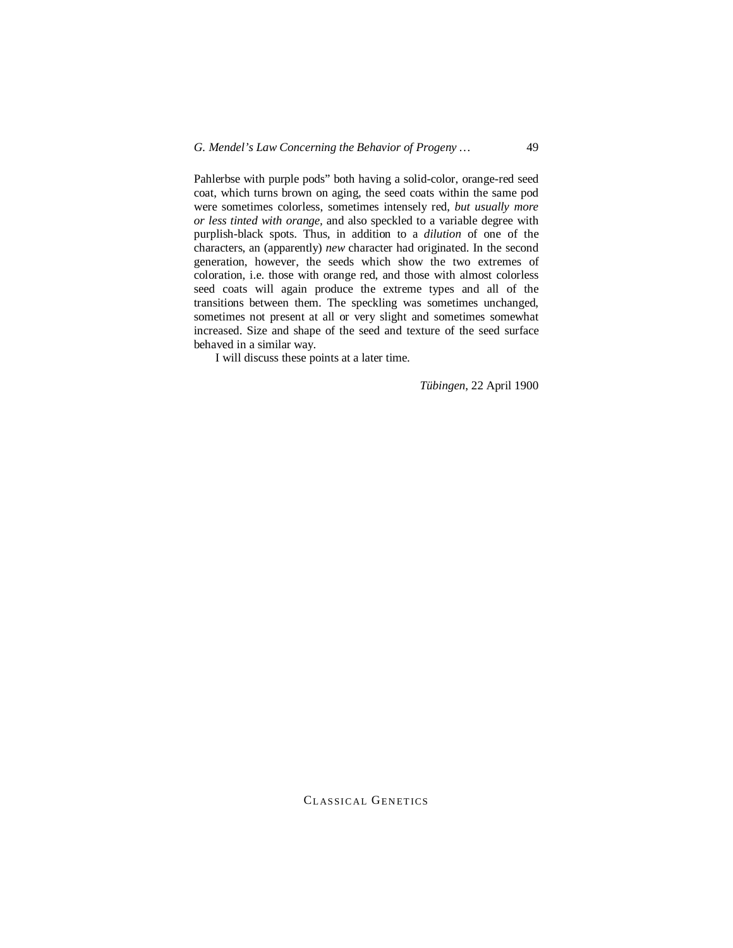Pahlerbse with purple pods" both having a solid-color, orange-red seed coat, which turns brown on aging, the seed coats within the same pod were sometimes colorless, sometimes intensely red, *but usually more or less tinted with orange,* and also speckled to a variable degree with purplish-black spots. Thus, in addition to a *dilution* of one of the characters, an (apparently) *new* character had originated. In the second generation, however, the seeds which show the two extremes of coloration, i.e. those with orange red, and those with almost colorless seed coats will again produce the extreme types and all of the transitions between them. The speckling was sometimes unchanged, sometimes not present at all or very slight and sometimes somewhat increased. Size and shape of the seed and texture of the seed surface behaved in a similar way.

I will discuss these points at a later time.

*Tübingen*, 22 April 1900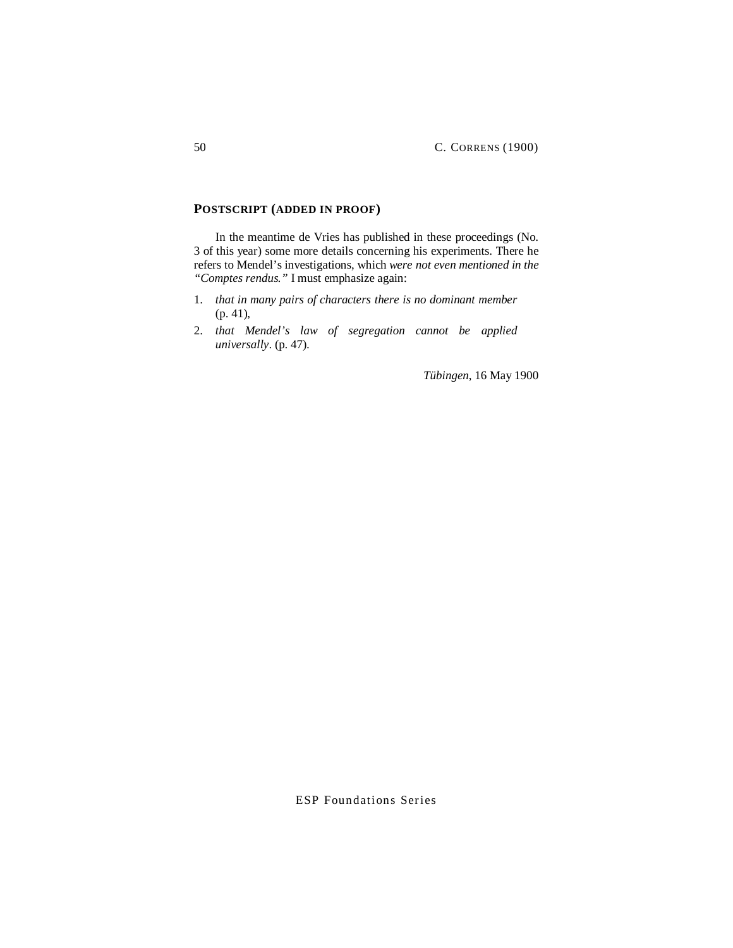#### **POSTSCRIPT (ADDED IN PROOF)**

In the meantime de Vries has published in these proceedings (No. 3 of this year) some more details concerning his experiments. There he refers to Mendel's investigations, which *were not even mentioned in the "Comptes rendus."* I must emphasize again:

- 1. *that in many pairs of characters there is no dominant member* (p. 41),
- 2. *that Mendel's law of segregation cannot be applied universally*. (p. 47).

*Tübingen*, 16 May 1900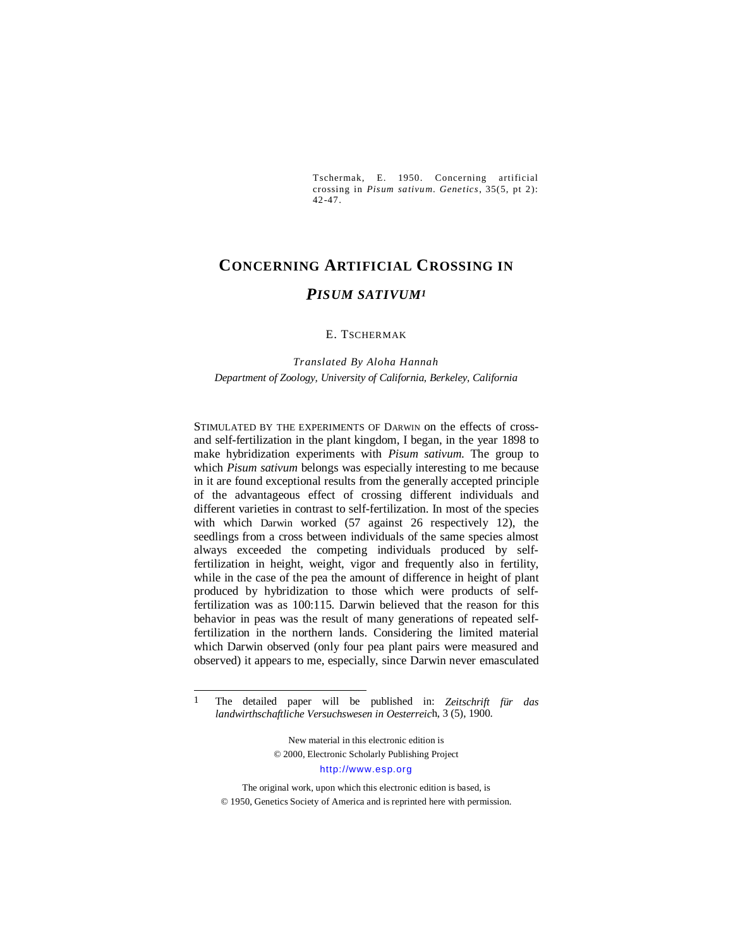Tschermak, E. 1950. Concerning artificial crossing in *Pisum sativum*. *Genetics*, 35(5, pt 2): 42-47.

## **CONCERNING ARTIFICIAL CROSSING IN**

#### *PISUM SATIVUM1*

#### E. TSCHERMAK

#### *Translated By Aloha Hannah Department of Zoology, University of California, Berkeley, California*

STIMULATED BY THE EXPERIMENTS OF DARWIN on the effects of crossand self-fertilization in the plant kingdom, I began, in the year 1898 to make hybridization experiments with *Pisum sativum*. The group to which *Pisum sativum* belongs was especially interesting to me because in it are found exceptional results from the generally accepted principle of the advantageous effect of crossing different individuals and different varieties in contrast to self-fertilization. In most of the species with which Darwin worked (57 against 26 respectively 12), the seedlings from a cross between individuals of the same species almost always exceeded the competing individuals produced by selffertilization in height, weight, vigor and frequently also in fertility, while in the case of the pea the amount of difference in height of plant produced by hybridization to those which were products of selffertilization was as 100:115. Darwin believed that the reason for this behavior in peas was the result of many generations of repeated selffertilization in the northern lands. Considering the limited material which Darwin observed (only four pea plant pairs were measured and observed) it appears to me, especially, since Darwin never emasculated

New material in this electronic edition is

© 2000, Electronic Scholarly Publishing Project

http://www.esp.org

The original work, upon which this electronic edition is based, is

© 1950, Genetics Society of America and is reprinted here with permission.

 $\mathbf{1}$ 1 The detailed paper will be published in: *Zeitschrift für das landwirthschaftliche Versuchswesen in Oesterreic*h, 3 (5), 1900.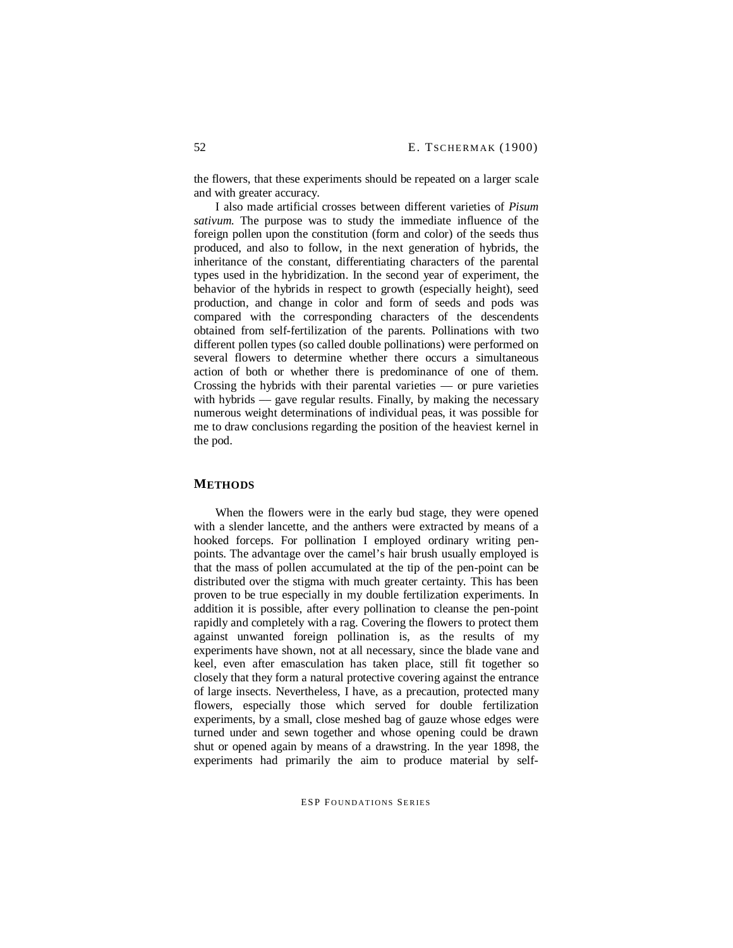the flowers, that these experiments should be repeated on a larger scale and with greater accuracy.

I also made artificial crosses between different varieties of *Pisum sativum*. The purpose was to study the immediate influence of the foreign pollen upon the constitution (form and color) of the seeds thus produced, and also to follow, in the next generation of hybrids, the inheritance of the constant, differentiating characters of the parental types used in the hybridization. In the second year of experiment, the behavior of the hybrids in respect to growth (especially height), seed production, and change in color and form of seeds and pods was compared with the corresponding characters of the descendents obtained from self-fertilization of the parents. Pollinations with two different pollen types (so called double pollinations) were performed on several flowers to determine whether there occurs a simultaneous action of both or whether there is predominance of one of them. Crossing the hybrids with their parental varieties  $-$  or pure varieties with hybrids  $-$  gave regular results. Finally, by making the necessary numerous weight determinations of individual peas, it was possible for me to draw conclusions regarding the position of the heaviest kernel in the pod.

#### **METHODS**

When the flowers were in the early bud stage, they were opened with a slender lancette, and the anthers were extracted by means of a hooked forceps. For pollination I employed ordinary writing penpoints. The advantage over the camel's hair brush usually employed is that the mass of pollen accumulated at the tip of the pen-point can be distributed over the stigma with much greater certainty. This has been proven to be true especially in my double fertilization experiments. In addition it is possible, after every pollination to cleanse the pen-point rapidly and completely with a rag. Covering the flowers to protect them against unwanted foreign pollination is, as the results of my experiments have shown, not at all necessary, since the blade vane and keel, even after emasculation has taken place, still fit together so closely that they form a natural protective covering against the entrance of large insects. Nevertheless, I have, as a precaution, protected many flowers, especially those which served for double fertilization experiments, by a small, close meshed bag of gauze whose edges were turned under and sewn together and whose opening could be drawn shut or opened again by means of a drawstring. In the year 1898, the experiments had primarily the aim to produce material by self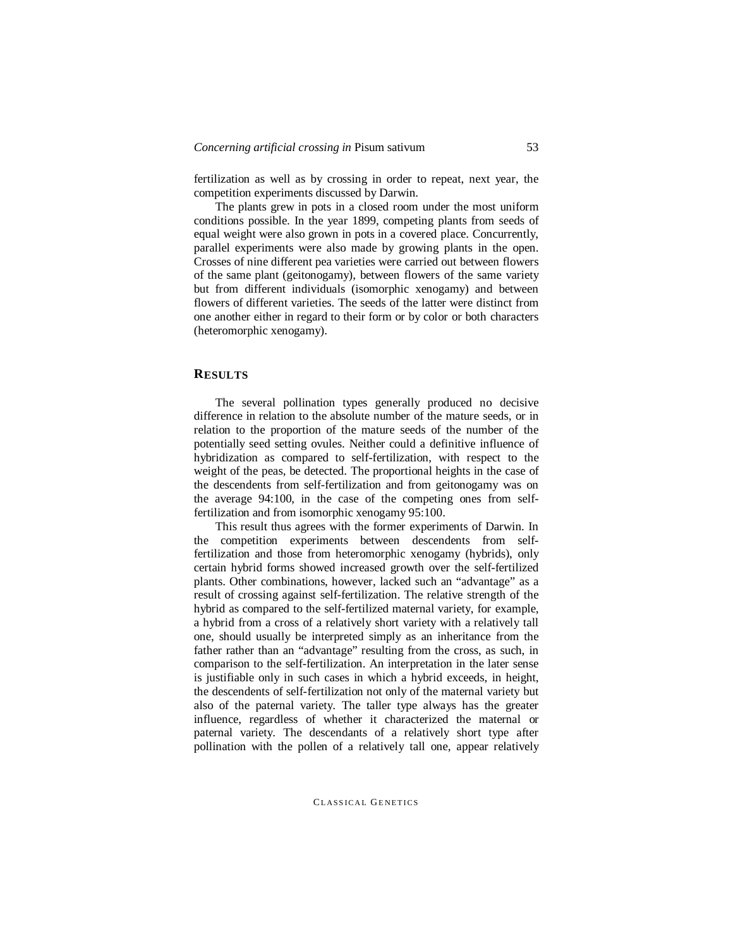fertilization as well as by crossing in order to repeat, next year, the competition experiments discussed by Darwin.

The plants grew in pots in a closed room under the most uniform conditions possible. In the year 1899, competing plants from seeds of equal weight were also grown in pots in a covered place. Concurrently, parallel experiments were also made by growing plants in the open. Crosses of nine different pea varieties were carried out between flowers of the same plant (geitonogamy), between flowers of the same variety but from different individuals (isomorphic xenogamy) and between flowers of different varieties. The seeds of the latter were distinct from one another either in regard to their form or by color or both characters (heteromorphic xenogamy).

#### **RESULTS**

The several pollination types generally produced no decisive difference in relation to the absolute number of the mature seeds, or in relation to the proportion of the mature seeds of the number of the potentially seed setting ovules. Neither could a definitive influence of hybridization as compared to self-fertilization, with respect to the weight of the peas, be detected. The proportional heights in the case of the descendents from self-fertilization and from geitonogamy was on the average 94:100, in the case of the competing ones from selffertilization and from isomorphic xenogamy 95:100.

This result thus agrees with the former experiments of Darwin. In the competition experiments between descendents from selffertilization and those from heteromorphic xenogamy (hybrids), only certain hybrid forms showed increased growth over the self-fertilized plants. Other combinations, however, lacked such an "advantage" as a result of crossing against self-fertilization. The relative strength of the hybrid as compared to the self-fertilized maternal variety, for example, a hybrid from a cross of a relatively short variety with a relatively tall one, should usually be interpreted simply as an inheritance from the father rather than an "advantage" resulting from the cross, as such, in comparison to the self-fertilization. An interpretation in the later sense is justifiable only in such cases in which a hybrid exceeds, in height, the descendents of self-fertilization not only of the maternal variety but also of the paternal variety. The taller type always has the greater influence, regardless of whether it characterized the maternal or paternal variety. The descendants of a relatively short type after pollination with the pollen of a relatively tall one, appear relatively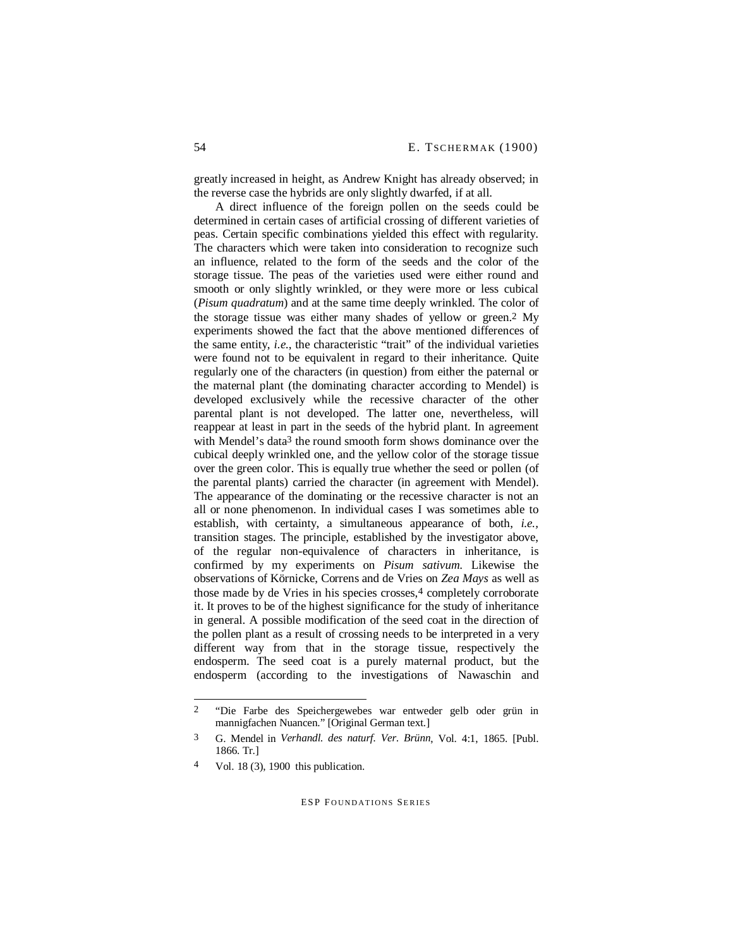greatly increased in height, as Andrew Knight has already observed; in the reverse case the hybrids are only slightly dwarfed, if at all.

A direct influence of the foreign pollen on the seeds could be determined in certain cases of artificial crossing of different varieties of peas. Certain specific combinations yielded this effect with regularity. The characters which were taken into consideration to recognize such an influence, related to the form of the seeds and the color of the storage tissue. The peas of the varieties used were either round and smooth or only slightly wrinkled, or they were more or less cubical (*Pisum quadratum*) and at the same time deeply wrinkled. The color of the storage tissue was either many shades of yellow or green.2 My experiments showed the fact that the above mentioned differences of the same entity, *i.e.*, the characteristic "trait" of the individual varieties were found not to be equivalent in regard to their inheritance. Quite regularly one of the characters (in question) from either the paternal or the maternal plant (the dominating character according to Mendel) is developed exclusively while the recessive character of the other parental plant is not developed. The latter one, nevertheless, will reappear at least in part in the seeds of the hybrid plant. In agreement with Mendel's data<sup>3</sup> the round smooth form shows dominance over the cubical deeply wrinkled one, and the yellow color of the storage tissue over the green color. This is equally true whether the seed or pollen (of the parental plants) carried the character (in agreement with Mendel). The appearance of the dominating or the recessive character is not an all or none phenomenon. In individual cases I was sometimes able to establish, with certainty, a simultaneous appearance of both, *i.e.,* transition stages. The principle, established by the investigator above, of the regular non-equivalence of characters in inheritance, is confirmed by my experiments on *Pisum sativum*. Likewise the observations of Körnicke, Correns and de Vries on *Zea Mays* as well as those made by de Vries in his species crosses,4 completely corroborate it. It proves to be of the highest significance for the study of inheritance in general. A possible modification of the seed coat in the direction of the pollen plant as a result of crossing needs to be interpreted in a very different way from that in the storage tissue, respectively the endosperm. The seed coat is a purely maternal product, but the endosperm (according to the investigations of Nawaschin and

<sup>&</sup>lt;sup>2</sup> "Die Farbe des Speichergewebes war entweder gelb oder grün in mannigfachen Nuancen." [Original German text.]

<sup>3</sup> G. Mendel in *Verhandl. des naturf. Ver. Brünn*, Vol. 4:1, 1865. [Publ. 1866. Tr.]

<sup>4</sup> Vol. 18 (3), 1900 this publication.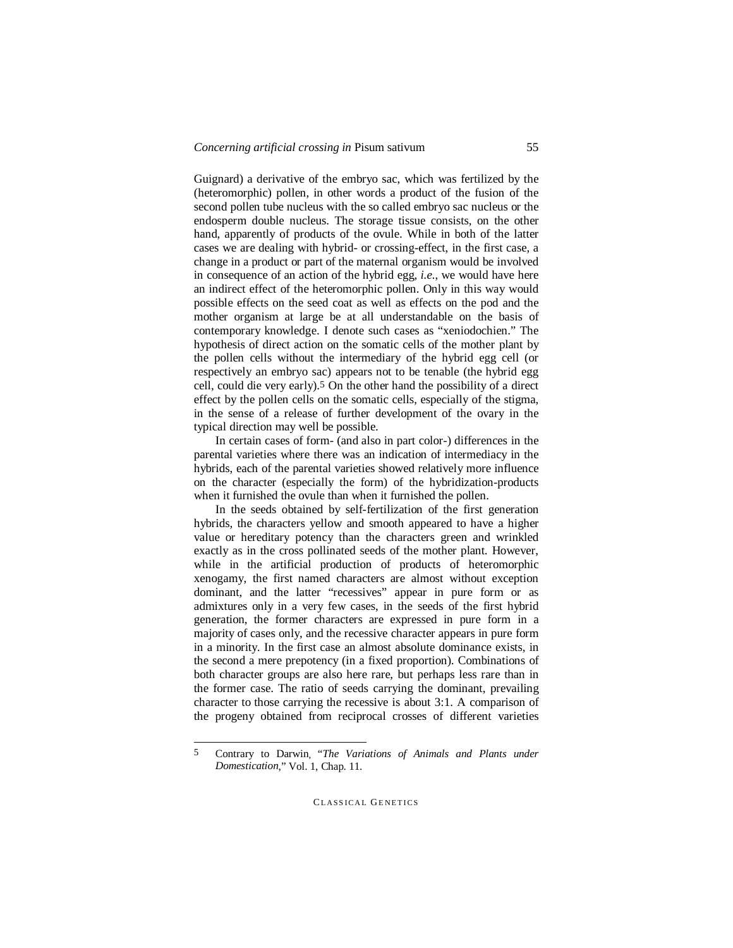Guignard) a derivative of the embryo sac, which was fertilized by the (heteromorphic) pollen, in other words a product of the fusion of the second pollen tube nucleus with the so called embryo sac nucleus or the endosperm double nucleus. The storage tissue consists, on the other hand, apparently of products of the ovule. While in both of the latter cases we are dealing with hybrid- or crossing-effect, in the first case, a change in a product or part of the maternal organism would be involved in consequence of an action of the hybrid egg, *i.e.*, we would have here an indirect effect of the heteromorphic pollen. Only in this way would possible effects on the seed coat as well as effects on the pod and the mother organism at large be at all understandable on the basis of contemporary knowledge. I denote such cases as "xeniodochien." The hypothesis of direct action on the somatic cells of the mother plant by the pollen cells without the intermediary of the hybrid egg cell (or respectively an embryo sac) appears not to be tenable (the hybrid egg cell, could die very early).5 On the other hand the possibility of a direct effect by the pollen cells on the somatic cells, especially of the stigma, in the sense of a release of further development of the ovary in the typical direction may well be possible.

In certain cases of form- (and also in part color-) differences in the parental varieties where there was an indication of intermediacy in the hybrids, each of the parental varieties showed relatively more influence on the character (especially the form) of the hybridization-products when it furnished the ovule than when it furnished the pollen.

In the seeds obtained by self-fertilization of the first generation hybrids, the characters yellow and smooth appeared to have a higher value or hereditary potency than the characters green and wrinkled exactly as in the cross pollinated seeds of the mother plant. However, while in the artificial production of products of heteromorphic xenogamy, the first named characters are almost without exception dominant, and the latter "recessives" appear in pure form or as admixtures only in a very few cases, in the seeds of the first hybrid generation, the former characters are expressed in pure form in a majority of cases only, and the recessive character appears in pure form in a minority. In the first case an almost absolute dominance exists, in the second a mere prepotency (in a fixed proportion). Combinations of both character groups are also here rare, but perhaps less rare than in the former case. The ratio of seeds carrying the dominant, prevailing character to those carrying the recessive is about 3:1. A comparison of the progeny obtained from reciprocal crosses of different varieties

<sup>5</sup> Contrary to Darwin, "*The Variations of Animals and Plants under Domestication*," Vol. 1, Chap. 11.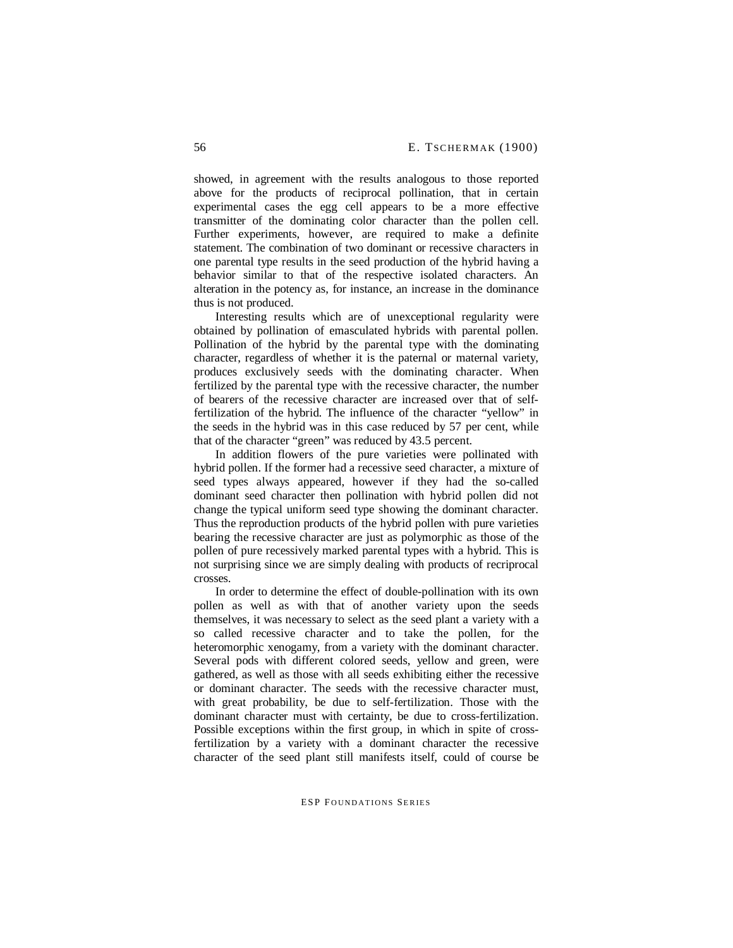showed, in agreement with the results analogous to those reported above for the products of reciprocal pollination, that in certain experimental cases the egg cell appears to be a more effective transmitter of the dominating color character than the pollen cell. Further experiments, however, are required to make a definite statement. The combination of two dominant or recessive characters in one parental type results in the seed production of the hybrid having a behavior similar to that of the respective isolated characters. An alteration in the potency as, for instance, an increase in the dominance thus is not produced.

Interesting results which are of unexceptional regularity were obtained by pollination of emasculated hybrids with parental pollen. Pollination of the hybrid by the parental type with the dominating character, regardless of whether it is the paternal or maternal variety, produces exclusively seeds with the dominating character. When fertilized by the parental type with the recessive character, the number of bearers of the recessive character are increased over that of selffertilization of the hybrid. The influence of the character "yellow" in the seeds in the hybrid was in this case reduced by 57 per cent, while that of the character "green" was reduced by 43.5 percent.

In addition flowers of the pure varieties were pollinated with hybrid pollen. If the former had a recessive seed character, a mixture of seed types always appeared, however if they had the so-called dominant seed character then pollination with hybrid pollen did not change the typical uniform seed type showing the dominant character. Thus the reproduction products of the hybrid pollen with pure varieties bearing the recessive character are just as polymorphic as those of the pollen of pure recessively marked parental types with a hybrid. This is not surprising since we are simply dealing with products of recriprocal crosses.

In order to determine the effect of double-pollination with its own pollen as well as with that of another variety upon the seeds themselves, it was necessary to select as the seed plant a variety with a so called recessive character and to take the pollen, for the heteromorphic xenogamy, from a variety with the dominant character. Several pods with different colored seeds, yellow and green, were gathered, as well as those with all seeds exhibiting either the recessive or dominant character. The seeds with the recessive character must, with great probability, be due to self-fertilization. Those with the dominant character must with certainty, be due to cross-fertilization. Possible exceptions within the first group, in which in spite of crossfertilization by a variety with a dominant character the recessive character of the seed plant still manifests itself, could of course be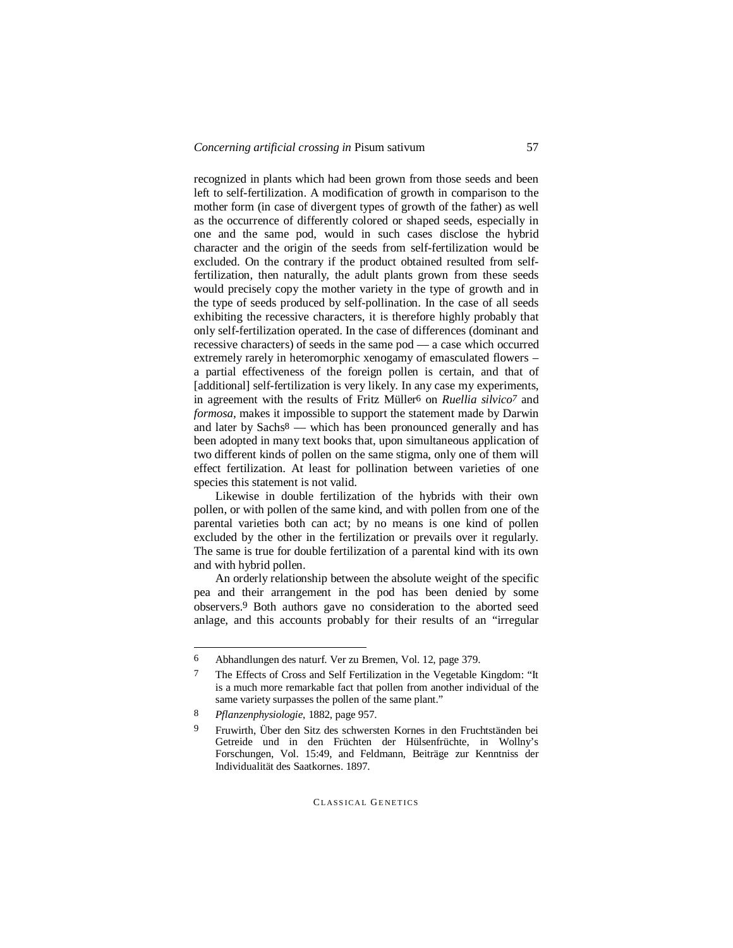recognized in plants which had been grown from those seeds and been left to self-fertilization. A modification of growth in comparison to the mother form (in case of divergent types of growth of the father) as well as the occurrence of differently colored or shaped seeds, especially in one and the same pod, would in such cases disclose the hybrid character and the origin of the seeds from self-fertilization would be excluded. On the contrary if the product obtained resulted from selffertilization, then naturally, the adult plants grown from these seeds would precisely copy the mother variety in the type of growth and in the type of seeds produced by self-pollination. In the case of all seeds exhibiting the recessive characters, it is therefore highly probably that only self-fertilization operated. In the case of differences (dominant and recessive characters) of seeds in the same pod –– a case which occurred extremely rarely in heteromorphic xenogamy of emasculated flowers – a partial effectiveness of the foreign pollen is certain, and that of [additional] self-fertilization is very likely. In any case my experiments, in agreement with the results of Fritz Müller6 on *Ruellia silvico7* and *formosa,* makes it impossible to support the statement made by Darwin and later by Sachs8 –– which has been pronounced generally and has been adopted in many text books that, upon simultaneous application of two different kinds of pollen on the same stigma, only one of them will effect fertilization. At least for pollination between varieties of one species this statement is not valid.

Likewise in double fertilization of the hybrids with their own pollen, or with pollen of the same kind, and with pollen from one of the parental varieties both can act; by no means is one kind of pollen excluded by the other in the fertilization or prevails over it regularly. The same is true for double fertilization of a parental kind with its own and with hybrid pollen.

An orderly relationship between the absolute weight of the specific pea and their arrangement in the pod has been denied by some observers.9 Both authors gave no consideration to the aborted seed anlage, and this accounts probably for their results of an "irregular

<sup>6</sup> Abhandlungen des naturf. Ver zu Bremen, Vol. 12, page 379.

<sup>7</sup> The Effects of Cross and Self Fertilization in the Vegetable Kingdom: "It is a much more remarkable fact that pollen from another individual of the same variety surpasses the pollen of the same plant."

<sup>8</sup> *Pflanzenphysiologie*, 1882, page 957.

<sup>9</sup> Fruwirth, Über den Sitz des schwersten Kornes in den Fruchtständen bei Getreide und in den Früchten der Hülsenfrüchte, in Wollny's Forschungen, Vol. 15:49, and Feldmann, Beiträge zur Kenntniss der Individualität des Saatkornes. 1897.